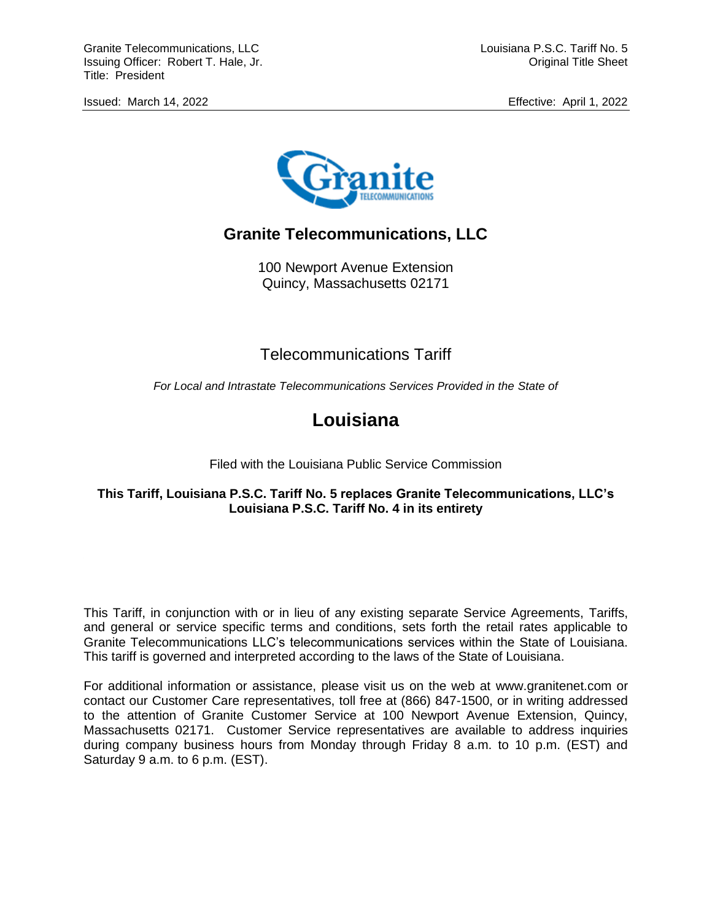

# **Granite Telecommunications, LLC**

100 Newport Avenue Extension Quincy, Massachusetts 02171

## Telecommunications Tariff

*For Local and Intrastate Telecommunications Services Provided in the State of*

# **Louisiana**

Filed with the Louisiana Public Service Commission

## **This Tariff, Louisiana P.S.C. Tariff No. 5 replaces Granite Telecommunications, LLC's Louisiana P.S.C. Tariff No. 4 in its entirety**

This Tariff, in conjunction with or in lieu of any existing separate Service Agreements, Tariffs, and general or service specific terms and conditions, sets forth the retail rates applicable to Granite Telecommunications LLC's telecommunications services within the State of Louisiana. This tariff is governed and interpreted according to the laws of the State of Louisiana.

For additional information or assistance, please visit us on the web at www.granitenet.com or contact our Customer Care representatives, toll free at (866) 847-1500, or in writing addressed to the attention of Granite Customer Service at 100 Newport Avenue Extension, Quincy, Massachusetts 02171. Customer Service representatives are available to address inquiries during company business hours from Monday through Friday 8 a.m. to 10 p.m. (EST) and Saturday 9 a.m. to 6 p.m. (EST).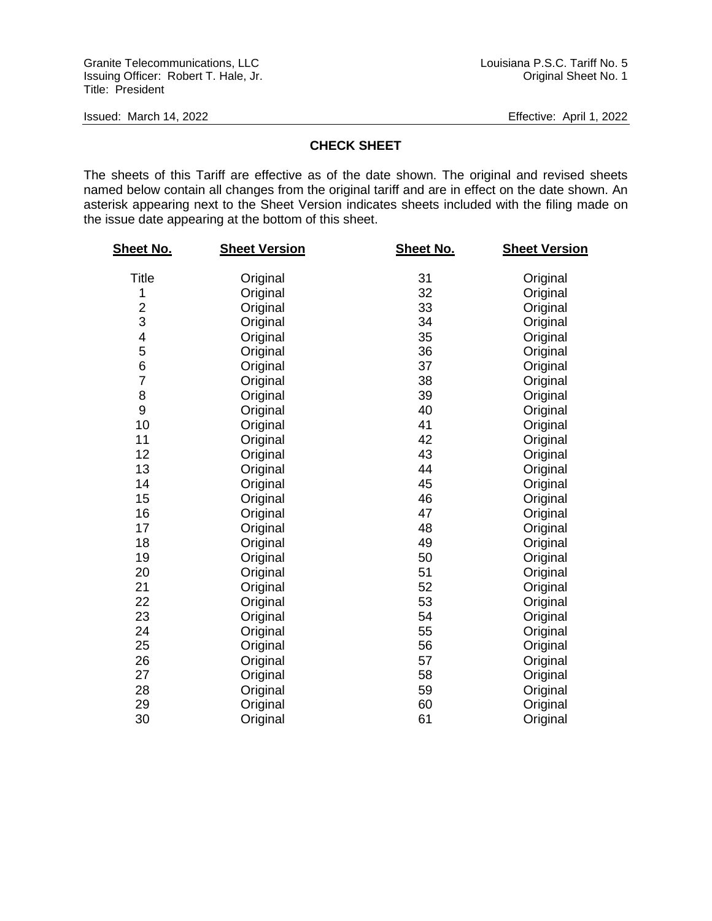## **CHECK SHEET**

The sheets of this Tariff are effective as of the date shown. The original and revised sheets named below contain all changes from the original tariff and are in effect on the date shown. An asterisk appearing next to the Sheet Version indicates sheets included with the filing made on the issue date appearing at the bottom of this sheet.

| <u>Sheet No.</u>        | <b>Sheet Version</b> | <b>Sheet No.</b> | <b>Sheet Version</b> |
|-------------------------|----------------------|------------------|----------------------|
| Title                   | Original             | 31               | Original             |
| 1                       | Original             | 32               | Original             |
| $\overline{\mathbf{c}}$ | Original             | 33               | Original             |
| 3                       | Original             | 34               | Original             |
| 4                       | Original             | 35               | Original             |
| 5                       | Original             | 36               | Original             |
| 6                       | Original             | 37               | Original             |
| $\overline{7}$          | Original             | 38               | Original             |
| 8                       | Original             | 39               | Original             |
| 9                       | Original             | 40               | Original             |
| 10                      | Original             | 41               | Original             |
| 11                      | Original             | 42               | Original             |
| 12                      | Original             | 43               | Original             |
| 13                      | Original             | 44               | Original             |
| 14                      | Original             | 45               | Original             |
| 15                      | Original             | 46               | Original             |
| 16                      | Original             | 47               | Original             |
| 17                      | Original             | 48               | Original             |
| 18                      | Original             | 49               | Original             |
| 19                      | Original             | 50               | Original             |
| 20                      | Original             | 51               | Original             |
| 21                      | Original             | 52               | Original             |
| 22                      | Original             | 53               | Original             |
| 23                      | Original             | 54               | Original             |
| 24                      | Original             | 55               | Original             |
| 25                      | Original             | 56               | Original             |
| 26                      | Original             | 57               | Original             |
| 27                      | Original             | 58               | Original             |
| 28                      | Original             | 59               | Original             |
| 29                      | Original             | 60               | Original             |
| 30                      | Original             | 61               | Original             |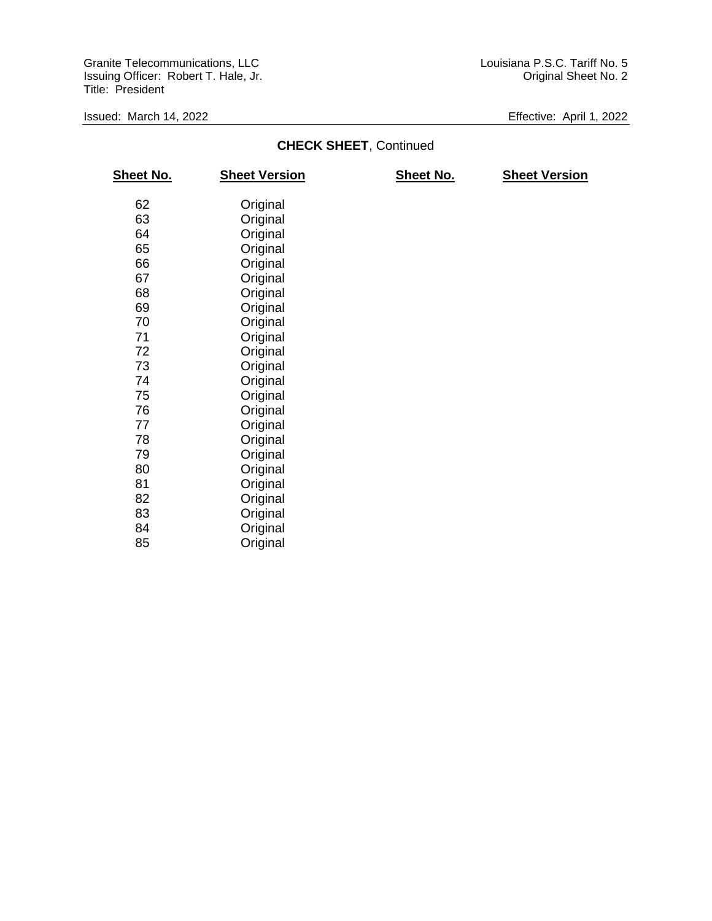## **CHECK SHEET**, Continued

| <b>Sheet No.</b> | <b>Sheet Version</b> | <b>Sheet No.</b> | <b>Sheet Version</b> |
|------------------|----------------------|------------------|----------------------|
| 62               | Original             |                  |                      |
| 63               | Original             |                  |                      |
| 64               | Original             |                  |                      |
| 65               | Original             |                  |                      |
| 66               | Original             |                  |                      |
| 67               | Original             |                  |                      |
| 68               | Original             |                  |                      |
| 69               | Original             |                  |                      |
| 70               | Original             |                  |                      |
| 71               | Original             |                  |                      |
| 72               | Original             |                  |                      |
| 73               | Original             |                  |                      |
| 74               | Original             |                  |                      |
| 75               | Original             |                  |                      |
| 76               | Original             |                  |                      |
| 77               | Original             |                  |                      |
| 78               | Original             |                  |                      |
| 79               | Original             |                  |                      |
| 80               | Original             |                  |                      |
| 81               | Original             |                  |                      |
| 82               | Original             |                  |                      |
| 83               | Original             |                  |                      |
| 84               | Original             |                  |                      |
| 85               | Original             |                  |                      |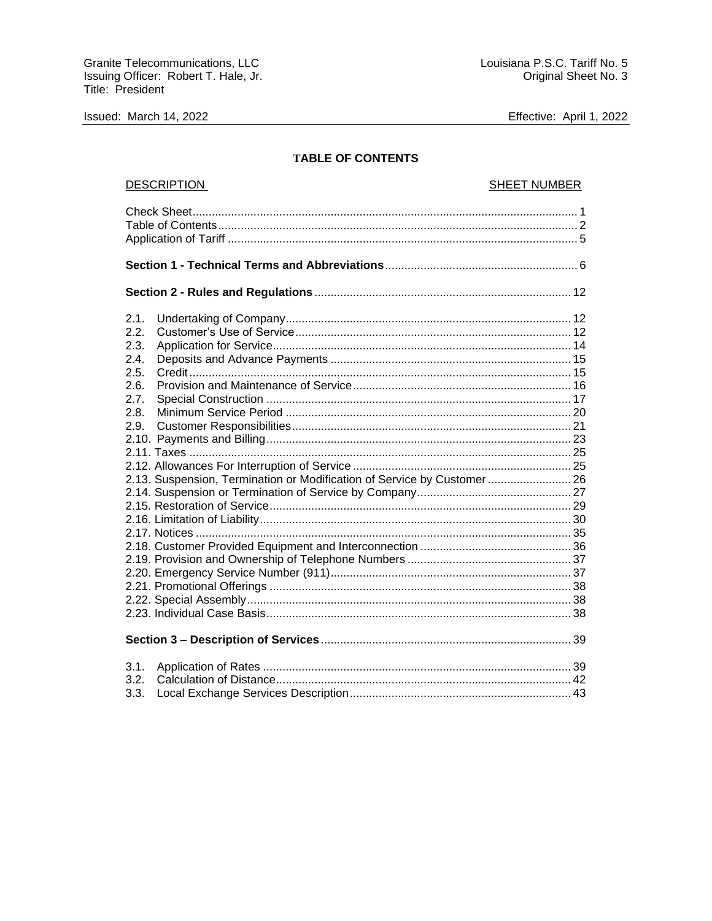Issued: March 14, 2022

Effective: April 1, 2022

## **TABLE OF CONTENTS**

| <b>DESCRIPTION</b>                                                                                                                              | <b>SHEET NUMBER</b> |  |
|-------------------------------------------------------------------------------------------------------------------------------------------------|---------------------|--|
|                                                                                                                                                 |                     |  |
|                                                                                                                                                 |                     |  |
|                                                                                                                                                 |                     |  |
| 2.1.<br>2.2.<br>2.3.<br>2.4.<br>2.5.<br>2.6.<br>2.7.<br>2.8.<br>2.9.<br>2.13. Suspension, Termination or Modification of Service by Customer 26 |                     |  |
|                                                                                                                                                 |                     |  |
| 3.1.<br>3.2.<br>3.3.                                                                                                                            |                     |  |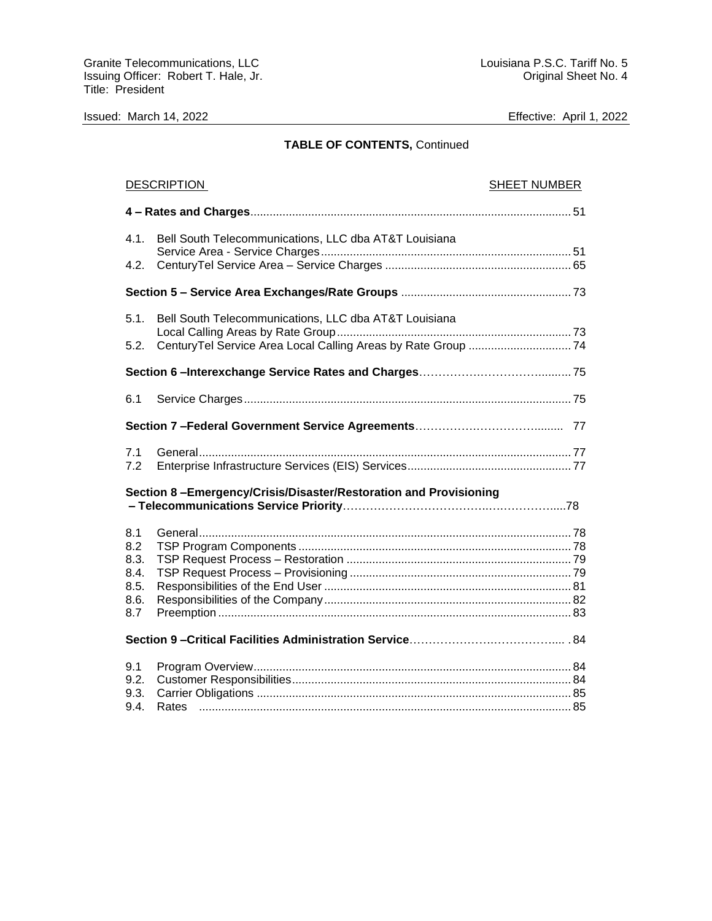## **TABLE OF CONTENTS,** Continued

| <b>DESCRIPTION</b> |                                                                  | <b>SHEET NUMBER</b> |
|--------------------|------------------------------------------------------------------|---------------------|
|                    |                                                                  |                     |
| 4.1.               | Bell South Telecommunications, LLC dba AT&T Louisiana            |                     |
| 4.2.               |                                                                  |                     |
|                    |                                                                  |                     |
| 5.1.               | Bell South Telecommunications, LLC dba AT&T Louisiana            |                     |
| 5.2.               |                                                                  |                     |
|                    |                                                                  |                     |
| 6.1                |                                                                  |                     |
|                    |                                                                  |                     |
| 7.1<br>7.2         |                                                                  |                     |
|                    | Section 8-Emergency/Crisis/Disaster/Restoration and Provisioning |                     |
| 8.1                |                                                                  |                     |
| 8.2                |                                                                  |                     |
| 8.3.               |                                                                  |                     |
| 8.4.<br>8.5.       |                                                                  |                     |
| 8.6.               |                                                                  |                     |
| 8.7                |                                                                  |                     |
|                    |                                                                  |                     |
| 9.1                |                                                                  |                     |
| 9.2.               |                                                                  |                     |
| 9.3.               |                                                                  |                     |
| 9.4.               |                                                                  |                     |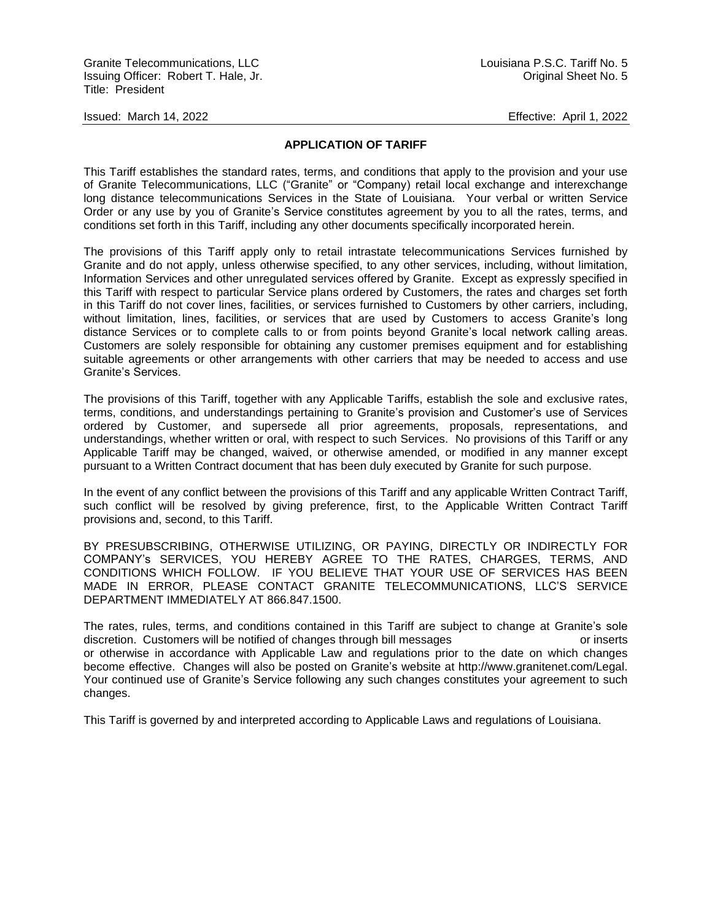## **APPLICATION OF TARIFF**

This Tariff establishes the standard rates, terms, and conditions that apply to the provision and your use of Granite Telecommunications, LLC ("Granite" or "Company) retail local exchange and interexchange long distance telecommunications Services in the State of Louisiana. Your verbal or written Service Order or any use by you of Granite's Service constitutes agreement by you to all the rates, terms, and conditions set forth in this Tariff, including any other documents specifically incorporated herein.

The provisions of this Tariff apply only to retail intrastate telecommunications Services furnished by Granite and do not apply, unless otherwise specified, to any other services, including, without limitation, Information Services and other unregulated services offered by Granite. Except as expressly specified in this Tariff with respect to particular Service plans ordered by Customers, the rates and charges set forth in this Tariff do not cover lines, facilities, or services furnished to Customers by other carriers, including, without limitation, lines, facilities, or services that are used by Customers to access Granite's long distance Services or to complete calls to or from points beyond Granite's local network calling areas. Customers are solely responsible for obtaining any customer premises equipment and for establishing suitable agreements or other arrangements with other carriers that may be needed to access and use Granite's Services.

The provisions of this Tariff, together with any Applicable Tariffs, establish the sole and exclusive rates, terms, conditions, and understandings pertaining to Granite's provision and Customer's use of Services ordered by Customer, and supersede all prior agreements, proposals, representations, and understandings, whether written or oral, with respect to such Services. No provisions of this Tariff or any Applicable Tariff may be changed, waived, or otherwise amended, or modified in any manner except pursuant to a Written Contract document that has been duly executed by Granite for such purpose.

In the event of any conflict between the provisions of this Tariff and any applicable Written Contract Tariff, such conflict will be resolved by giving preference, first, to the Applicable Written Contract Tariff provisions and, second, to this Tariff.

BY PRESUBSCRIBING, OTHERWISE UTILIZING, OR PAYING, DIRECTLY OR INDIRECTLY FOR COMPANY's SERVICES, YOU HEREBY AGREE TO THE RATES, CHARGES, TERMS, AND CONDITIONS WHICH FOLLOW. IF YOU BELIEVE THAT YOUR USE OF SERVICES HAS BEEN MADE IN ERROR, PLEASE CONTACT GRANITE TELECOMMUNICATIONS, LLC'S SERVICE DEPARTMENT IMMEDIATELY AT 866.847.1500.

The rates, rules, terms, and conditions contained in this Tariff are subject to change at Granite's sole discretion. Customers will be notified of changes through bill messages or inserts or inserts or otherwise in accordance with Applicable Law and regulations prior to the date on which changes become effective. Changes will also be posted on Granite's website at http://www.granitenet.com/Legal. Your continued use of Granite's Service following any such changes constitutes your agreement to such changes.

This Tariff is governed by and interpreted according to Applicable Laws and regulations of Louisiana.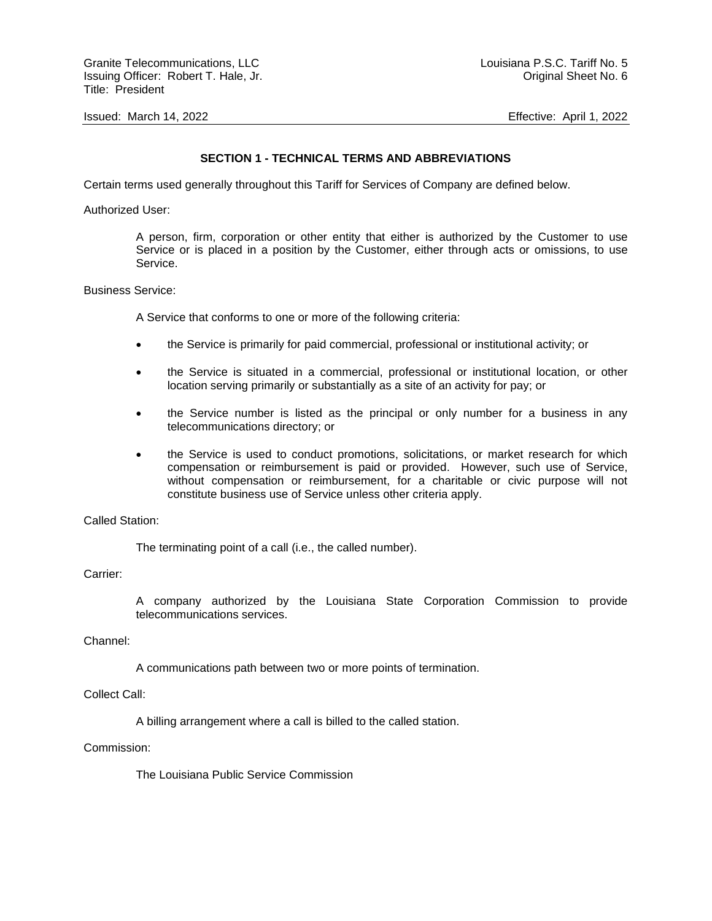Granite Telecommunications, LLC and the control of the control of the Louisiana P.S.C. Tariff No. 5 Issuing Officer: Robert T. Hale, Jr. Original Sheet No. 6 Title: President

Issued: March 14, 2022 Effective: April 1, 2022

## **SECTION 1 - TECHNICAL TERMS AND ABBREVIATIONS**

Certain terms used generally throughout this Tariff for Services of Company are defined below.

Authorized User:

A person, firm, corporation or other entity that either is authorized by the Customer to use Service or is placed in a position by the Customer, either through acts or omissions, to use Service.

#### Business Service:

A Service that conforms to one or more of the following criteria:

- the Service is primarily for paid commercial, professional or institutional activity; or
- the Service is situated in a commercial, professional or institutional location, or other location serving primarily or substantially as a site of an activity for pay; or
- the Service number is listed as the principal or only number for a business in any telecommunications directory; or
- the Service is used to conduct promotions, solicitations, or market research for which compensation or reimbursement is paid or provided. However, such use of Service, without compensation or reimbursement, for a charitable or civic purpose will not constitute business use of Service unless other criteria apply.

## Called Station:

The terminating point of a call (i.e., the called number).

#### Carrier:

A company authorized by the Louisiana State Corporation Commission to provide telecommunications services.

#### Channel:

A communications path between two or more points of termination.

#### Collect Call:

A billing arrangement where a call is billed to the called station.

## Commission:

The Louisiana Public Service Commission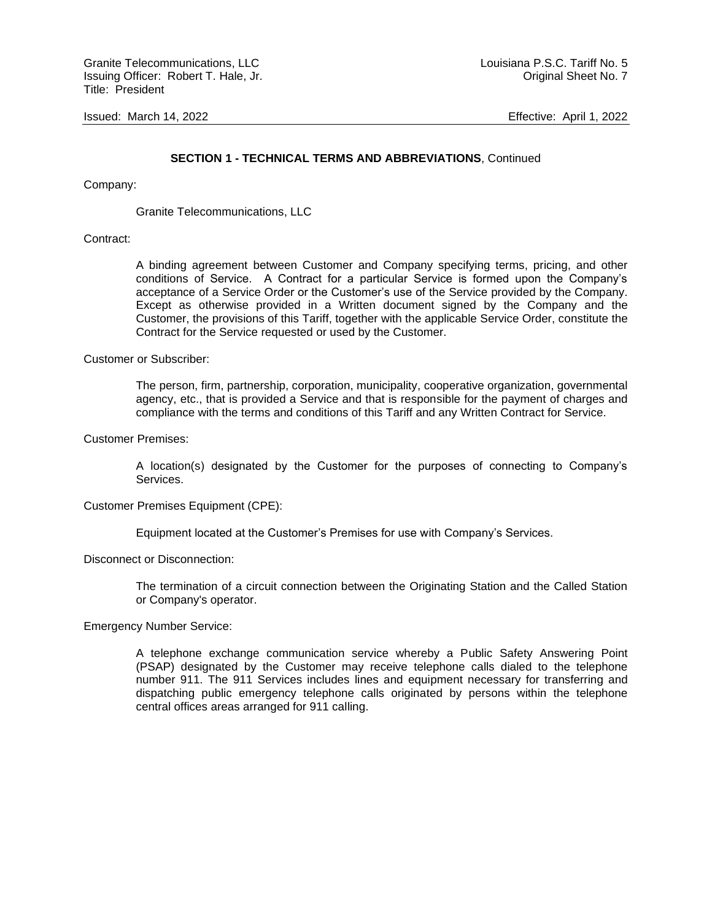## **SECTION 1 - TECHNICAL TERMS AND ABBREVIATIONS**, Continued

Company:

Granite Telecommunications, LLC

#### Contract:

A binding agreement between Customer and Company specifying terms, pricing, and other conditions of Service. A Contract for a particular Service is formed upon the Company's acceptance of a Service Order or the Customer's use of the Service provided by the Company. Except as otherwise provided in a Written document signed by the Company and the Customer, the provisions of this Tariff, together with the applicable Service Order, constitute the Contract for the Service requested or used by the Customer.

Customer or Subscriber:

The person, firm, partnership, corporation, municipality, cooperative organization, governmental agency, etc., that is provided a Service and that is responsible for the payment of charges and compliance with the terms and conditions of this Tariff and any Written Contract for Service.

Customer Premises:

A location(s) designated by the Customer for the purposes of connecting to Company's Services.

#### Customer Premises Equipment (CPE):

Equipment located at the Customer's Premises for use with Company's Services.

Disconnect or Disconnection:

The termination of a circuit connection between the Originating Station and the Called Station or Company's operator.

Emergency Number Service:

A telephone exchange communication service whereby a Public Safety Answering Point (PSAP) designated by the Customer may receive telephone calls dialed to the telephone number 911. The 911 Services includes lines and equipment necessary for transferring and dispatching public emergency telephone calls originated by persons within the telephone central offices areas arranged for 911 calling.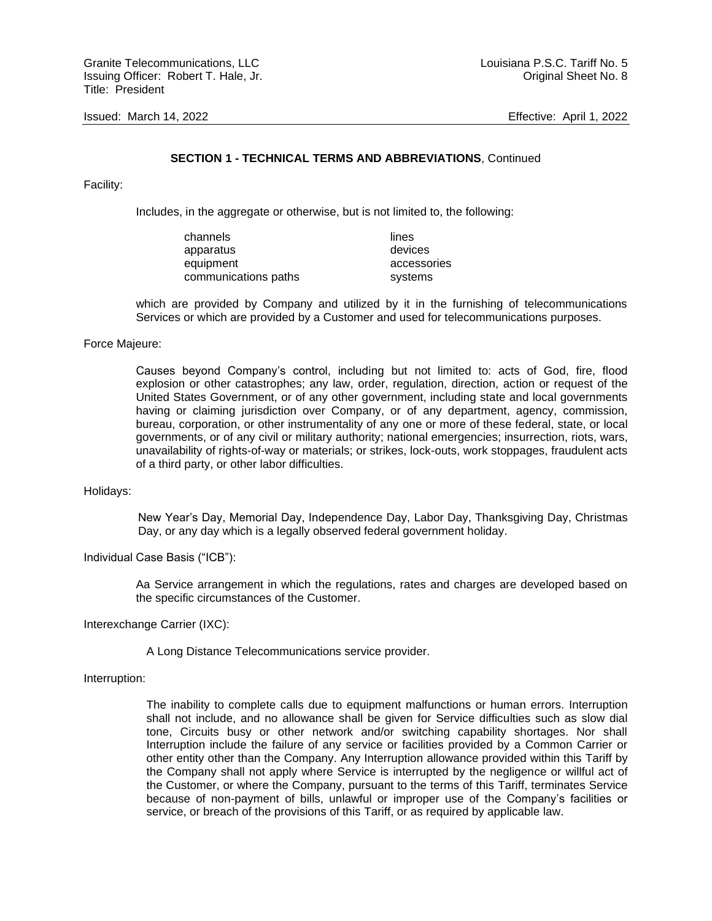#### **SECTION 1 - TECHNICAL TERMS AND ABBREVIATIONS**, Continued

Facility:

Includes, in the aggregate or otherwise, but is not limited to, the following:

| channels             | lines       |
|----------------------|-------------|
| apparatus            | devices     |
| equipment            | accessories |
| communications paths | systems     |

which are provided by Company and utilized by it in the furnishing of telecommunications Services or which are provided by a Customer and used for telecommunications purposes.

#### Force Majeure:

Causes beyond Company's control, including but not limited to: acts of God, fire, flood explosion or other catastrophes; any law, order, regulation, direction, action or request of the United States Government, or of any other government, including state and local governments having or claiming jurisdiction over Company, or of any department, agency, commission, bureau, corporation, or other instrumentality of any one or more of these federal, state, or local governments, or of any civil or military authority; national emergencies; insurrection, riots, wars, unavailability of rights-of-way or materials; or strikes, lock-outs, work stoppages, fraudulent acts of a third party, or other labor difficulties.

#### Holidays:

New Year's Day, Memorial Day, Independence Day, Labor Day, Thanksgiving Day, Christmas Day, or any day which is a legally observed federal government holiday.

Individual Case Basis ("ICB"):

Aa Service arrangement in which the regulations, rates and charges are developed based on the specific circumstances of the Customer.

Interexchange Carrier (IXC):

A Long Distance Telecommunications service provider.

Interruption:

The inability to complete calls due to equipment malfunctions or human errors. Interruption shall not include, and no allowance shall be given for Service difficulties such as slow dial tone, Circuits busy or other network and/or switching capability shortages. Nor shall Interruption include the failure of any service or facilities provided by a Common Carrier or other entity other than the Company. Any Interruption allowance provided within this Tariff by the Company shall not apply where Service is interrupted by the negligence or willful act of the Customer, or where the Company, pursuant to the terms of this Tariff, terminates Service because of non-payment of bills, unlawful or improper use of the Company's facilities or service, or breach of the provisions of this Tariff, or as required by applicable law.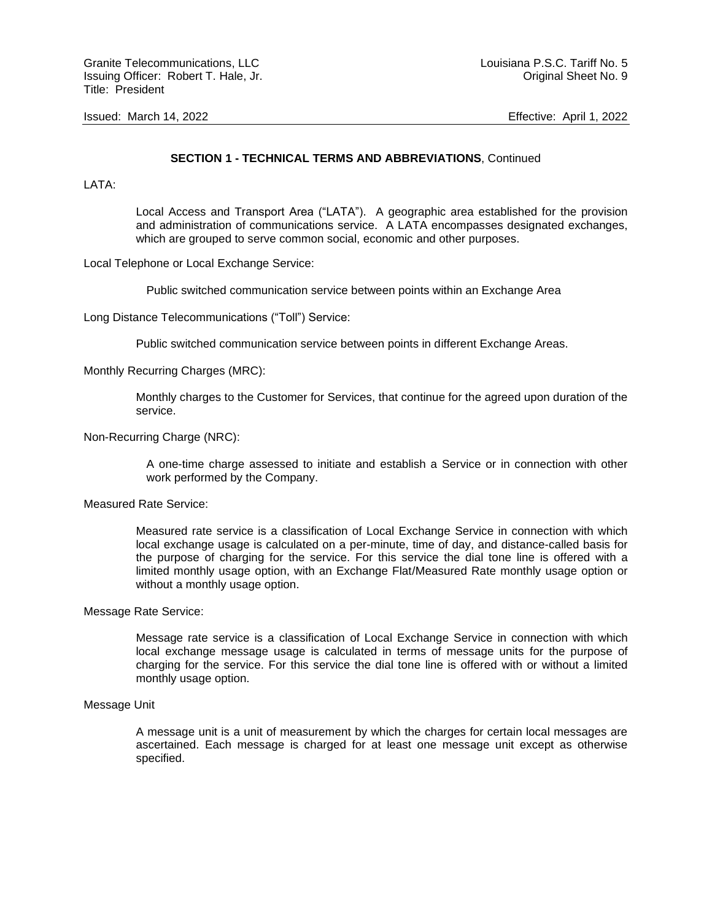## **SECTION 1 - TECHNICAL TERMS AND ABBREVIATIONS**, Continued

LATA:

Local Access and Transport Area ("LATA"). A geographic area established for the provision and administration of communications service. A LATA encompasses designated exchanges, which are grouped to serve common social, economic and other purposes.

Local Telephone or Local Exchange Service:

Public switched communication service between points within an Exchange Area

Long Distance Telecommunications ("Toll") Service:

Public switched communication service between points in different Exchange Areas.

Monthly Recurring Charges (MRC):

Monthly charges to the Customer for Services, that continue for the agreed upon duration of the service.

Non-Recurring Charge (NRC):

A one-time charge assessed to initiate and establish a Service or in connection with other work performed by the Company.

Measured Rate Service:

Measured rate service is a classification of Local Exchange Service in connection with which local exchange usage is calculated on a per-minute, time of day, and distance-called basis for the purpose of charging for the service. For this service the dial tone line is offered with a limited monthly usage option, with an Exchange Flat/Measured Rate monthly usage option or without a monthly usage option.

Message Rate Service:

Message rate service is a classification of Local Exchange Service in connection with which local exchange message usage is calculated in terms of message units for the purpose of charging for the service. For this service the dial tone line is offered with or without a limited monthly usage option.

#### Message Unit

A message unit is a unit of measurement by which the charges for certain local messages are ascertained. Each message is charged for at least one message unit except as otherwise specified.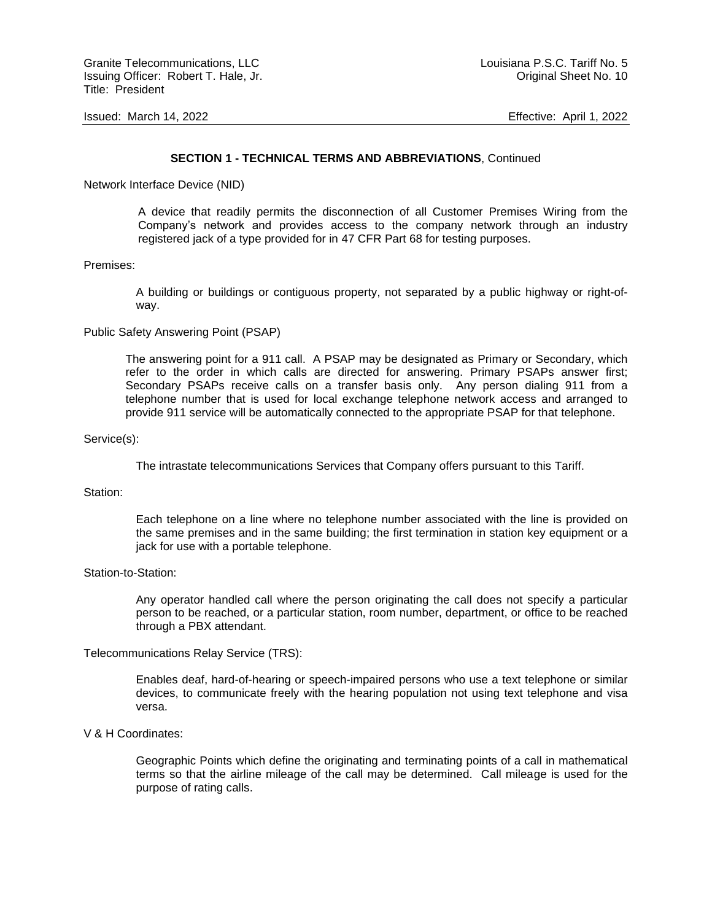#### **SECTION 1 - TECHNICAL TERMS AND ABBREVIATIONS**, Continued

Network Interface Device (NID)

A device that readily permits the disconnection of all Customer Premises Wiring from the Company's network and provides access to the company network through an industry registered jack of a type provided for in 47 CFR Part 68 for testing purposes.

#### Premises:

A building or buildings or contiguous property, not separated by a public highway or right-ofway.

## Public Safety Answering Point (PSAP)

The answering point for a 911 call. A PSAP may be designated as Primary or Secondary, which refer to the order in which calls are directed for answering. Primary PSAPs answer first; Secondary PSAPs receive calls on a transfer basis only. Any person dialing 911 from a telephone number that is used for local exchange telephone network access and arranged to provide 911 service will be automatically connected to the appropriate PSAP for that telephone.

#### Service(s):

The intrastate telecommunications Services that Company offers pursuant to this Tariff.

#### Station:

Each telephone on a line where no telephone number associated with the line is provided on the same premises and in the same building; the first termination in station key equipment or a jack for use with a portable telephone.

#### Station-to-Station:

Any operator handled call where the person originating the call does not specify a particular person to be reached, or a particular station, room number, department, or office to be reached through a PBX attendant.

#### Telecommunications Relay Service (TRS):

Enables deaf, hard-of-hearing or speech-impaired persons who use a text telephone or similar devices, to communicate freely with the hearing population not using text telephone and visa versa.

#### V & H Coordinates:

Geographic Points which define the originating and terminating points of a call in mathematical terms so that the airline mileage of the call may be determined. Call mileage is used for the purpose of rating calls.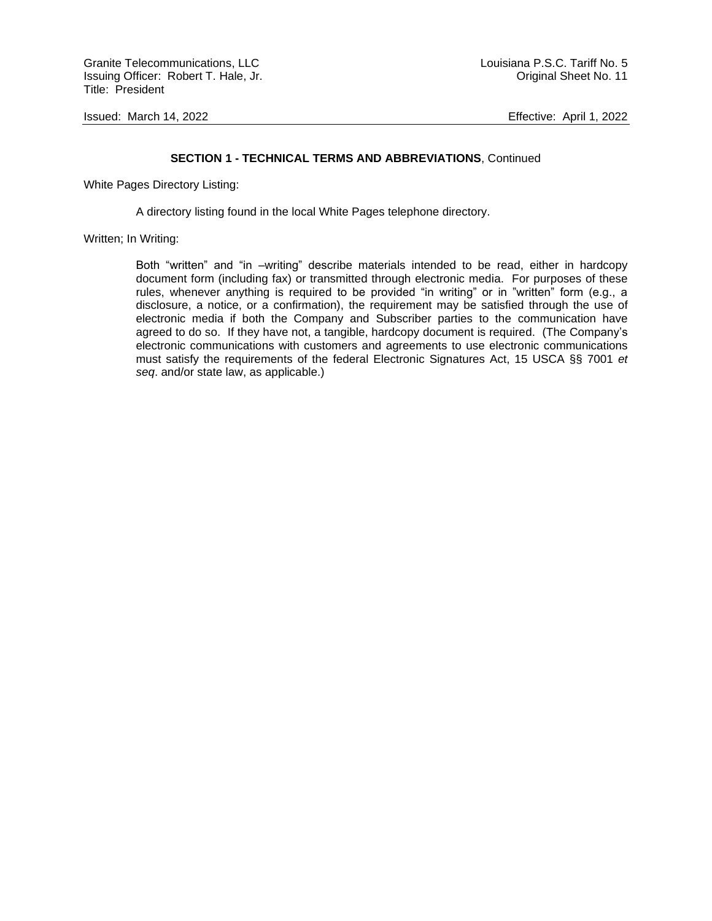Granite Telecommunications, LLC and the control of the control of the Louisiana P.S.C. Tariff No. 5 Issuing Officer: Robert T. Hale, Jr. Canadian Christian Christian Christian Christian Christian Christian Christian Christian Christian Christian Christian Christian Christian Christian Christian Christian Christian Christ Title: President

Issued: March 14, 2022 Effective: April 1, 2022

#### **SECTION 1 - TECHNICAL TERMS AND ABBREVIATIONS**, Continued

White Pages Directory Listing:

A directory listing found in the local White Pages telephone directory.

#### Written; In Writing:

Both "written" and "in –writing" describe materials intended to be read, either in hardcopy document form (including fax) or transmitted through electronic media. For purposes of these rules, whenever anything is required to be provided "in writing" or in "written" form (e.g., a disclosure, a notice, or a confirmation), the requirement may be satisfied through the use of electronic media if both the Company and Subscriber parties to the communication have agreed to do so. If they have not, a tangible, hardcopy document is required. (The Company's electronic communications with customers and agreements to use electronic communications must satisfy the requirements of the federal Electronic Signatures Act, 15 USCA §§ 7001 *et seq*. and/or state law, as applicable.)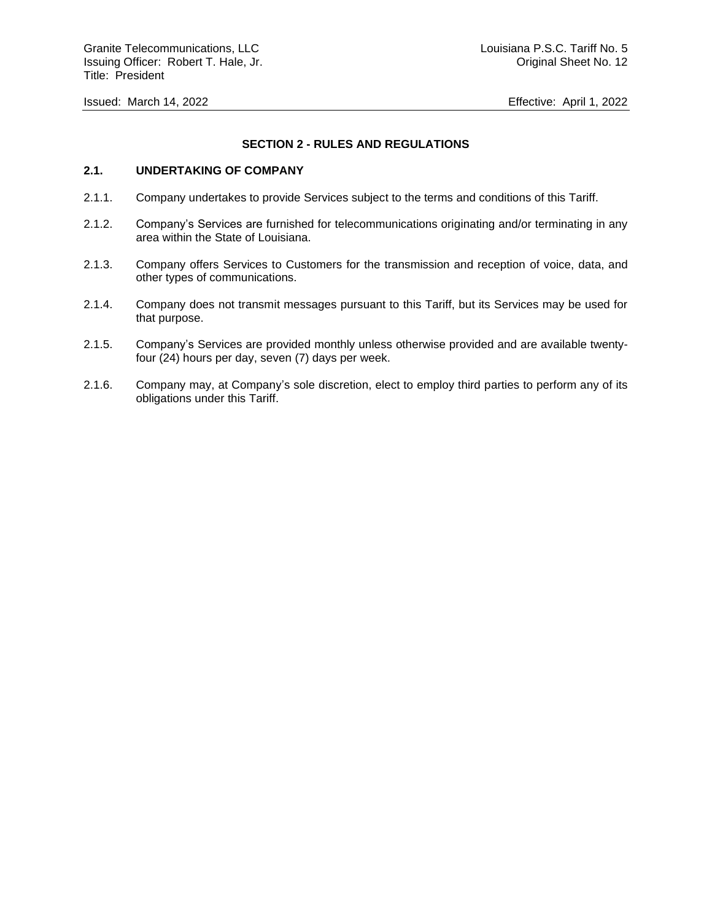## **SECTION 2 - RULES AND REGULATIONS**

## **2.1. UNDERTAKING OF COMPANY**

- 2.1.1. Company undertakes to provide Services subject to the terms and conditions of this Tariff.
- 2.1.2. Company's Services are furnished for telecommunications originating and/or terminating in any area within the State of Louisiana.
- 2.1.3. Company offers Services to Customers for the transmission and reception of voice, data, and other types of communications.
- 2.1.4. Company does not transmit messages pursuant to this Tariff, but its Services may be used for that purpose.
- 2.1.5. Company's Services are provided monthly unless otherwise provided and are available twentyfour (24) hours per day, seven (7) days per week.
- 2.1.6. Company may, at Company's sole discretion, elect to employ third parties to perform any of its obligations under this Tariff.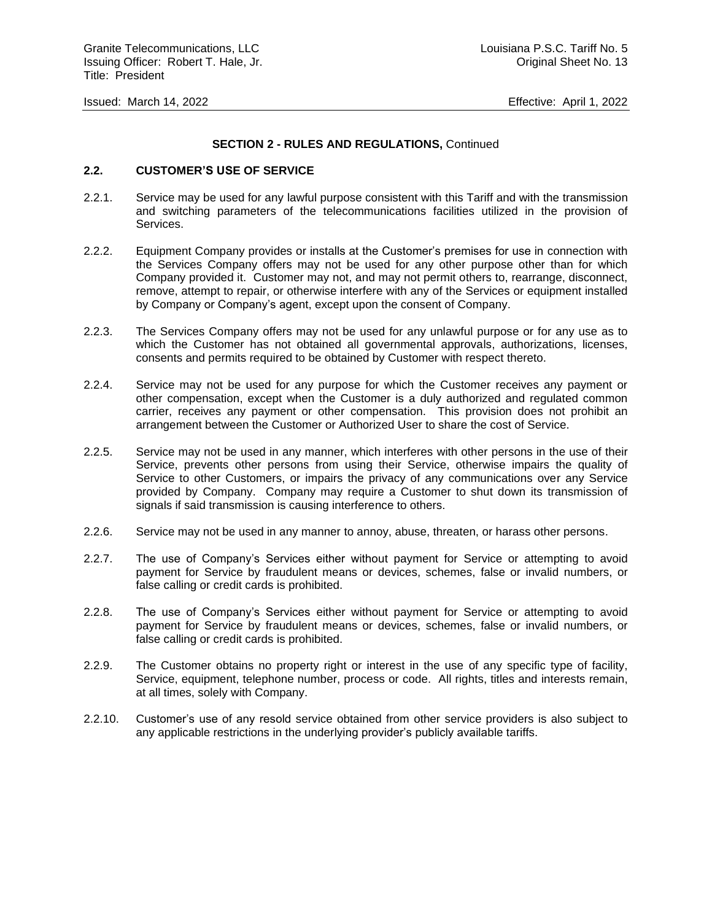## **SECTION 2 - RULES AND REGULATIONS,** Continued

## **2.2. CUSTOMER'S USE OF SERVICE**

- 2.2.1. Service may be used for any lawful purpose consistent with this Tariff and with the transmission and switching parameters of the telecommunications facilities utilized in the provision of Services.
- 2.2.2. Equipment Company provides or installs at the Customer's premises for use in connection with the Services Company offers may not be used for any other purpose other than for which Company provided it. Customer may not, and may not permit others to, rearrange, disconnect, remove, attempt to repair, or otherwise interfere with any of the Services or equipment installed by Company or Company's agent, except upon the consent of Company.
- 2.2.3. The Services Company offers may not be used for any unlawful purpose or for any use as to which the Customer has not obtained all governmental approvals, authorizations, licenses, consents and permits required to be obtained by Customer with respect thereto.
- 2.2.4. Service may not be used for any purpose for which the Customer receives any payment or other compensation, except when the Customer is a duly authorized and regulated common carrier, receives any payment or other compensation. This provision does not prohibit an arrangement between the Customer or Authorized User to share the cost of Service.
- 2.2.5. Service may not be used in any manner, which interferes with other persons in the use of their Service, prevents other persons from using their Service, otherwise impairs the quality of Service to other Customers, or impairs the privacy of any communications over any Service provided by Company. Company may require a Customer to shut down its transmission of signals if said transmission is causing interference to others.
- 2.2.6. Service may not be used in any manner to annoy, abuse, threaten, or harass other persons.
- 2.2.7. The use of Company's Services either without payment for Service or attempting to avoid payment for Service by fraudulent means or devices, schemes, false or invalid numbers, or false calling or credit cards is prohibited.
- 2.2.8. The use of Company's Services either without payment for Service or attempting to avoid payment for Service by fraudulent means or devices, schemes, false or invalid numbers, or false calling or credit cards is prohibited.
- 2.2.9. The Customer obtains no property right or interest in the use of any specific type of facility, Service, equipment, telephone number, process or code. All rights, titles and interests remain, at all times, solely with Company.
- 2.2.10. Customer's use of any resold service obtained from other service providers is also subject to any applicable restrictions in the underlying provider's publicly available tariffs.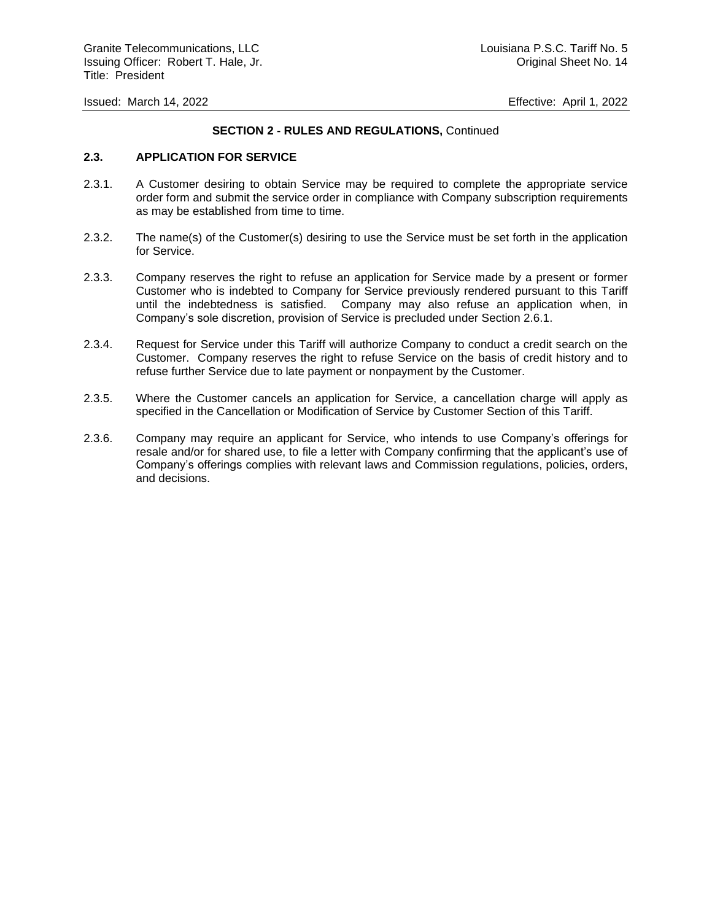## **SECTION 2 - RULES AND REGULATIONS,** Continued

## **2.3. APPLICATION FOR SERVICE**

- 2.3.1. A Customer desiring to obtain Service may be required to complete the appropriate service order form and submit the service order in compliance with Company subscription requirements as may be established from time to time.
- 2.3.2. The name(s) of the Customer(s) desiring to use the Service must be set forth in the application for Service.
- 2.3.3. Company reserves the right to refuse an application for Service made by a present or former Customer who is indebted to Company for Service previously rendered pursuant to this Tariff until the indebtedness is satisfied. Company may also refuse an application when, in Company's sole discretion, provision of Service is precluded under Section 2.6.1.
- 2.3.4. Request for Service under this Tariff will authorize Company to conduct a credit search on the Customer. Company reserves the right to refuse Service on the basis of credit history and to refuse further Service due to late payment or nonpayment by the Customer.
- 2.3.5. Where the Customer cancels an application for Service, a cancellation charge will apply as specified in the Cancellation or Modification of Service by Customer Section of this Tariff.
- 2.3.6. Company may require an applicant for Service, who intends to use Company's offerings for resale and/or for shared use, to file a letter with Company confirming that the applicant's use of Company's offerings complies with relevant laws and Commission regulations, policies, orders, and decisions.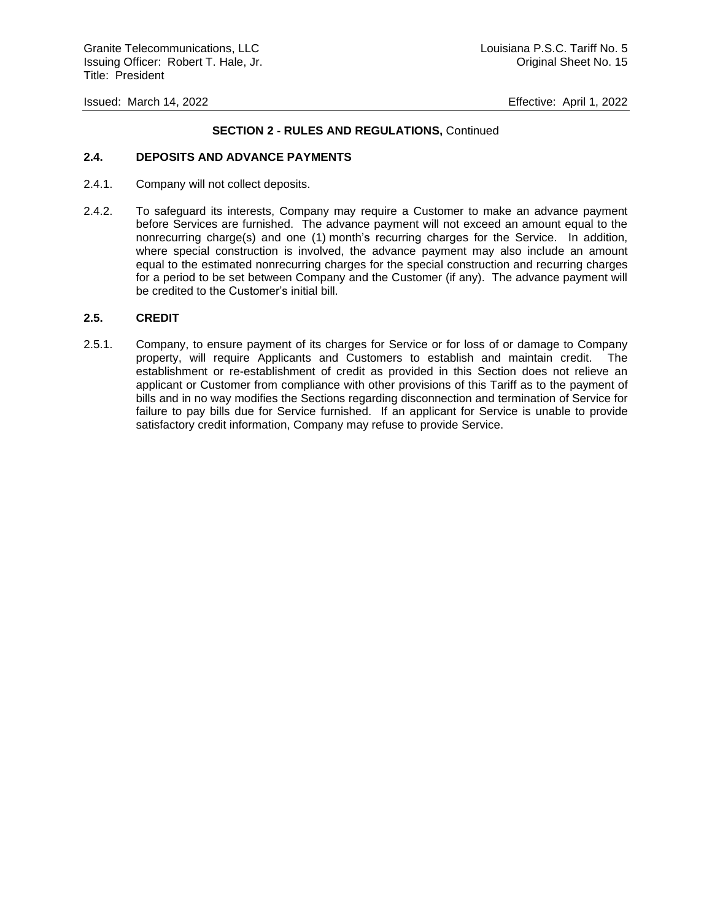## **SECTION 2 - RULES AND REGULATIONS,** Continued

## **2.4. DEPOSITS AND ADVANCE PAYMENTS**

- 2.4.1. Company will not collect deposits.
- 2.4.2. To safeguard its interests, Company may require a Customer to make an advance payment before Services are furnished. The advance payment will not exceed an amount equal to the nonrecurring charge(s) and one (1) month's recurring charges for the Service. In addition, where special construction is involved, the advance payment may also include an amount equal to the estimated nonrecurring charges for the special construction and recurring charges for a period to be set between Company and the Customer (if any). The advance payment will be credited to the Customer's initial bill.

#### **2.5. CREDIT**

2.5.1. Company, to ensure payment of its charges for Service or for loss of or damage to Company property, will require Applicants and Customers to establish and maintain credit. The establishment or re-establishment of credit as provided in this Section does not relieve an applicant or Customer from compliance with other provisions of this Tariff as to the payment of bills and in no way modifies the Sections regarding disconnection and termination of Service for failure to pay bills due for Service furnished. If an applicant for Service is unable to provide satisfactory credit information, Company may refuse to provide Service.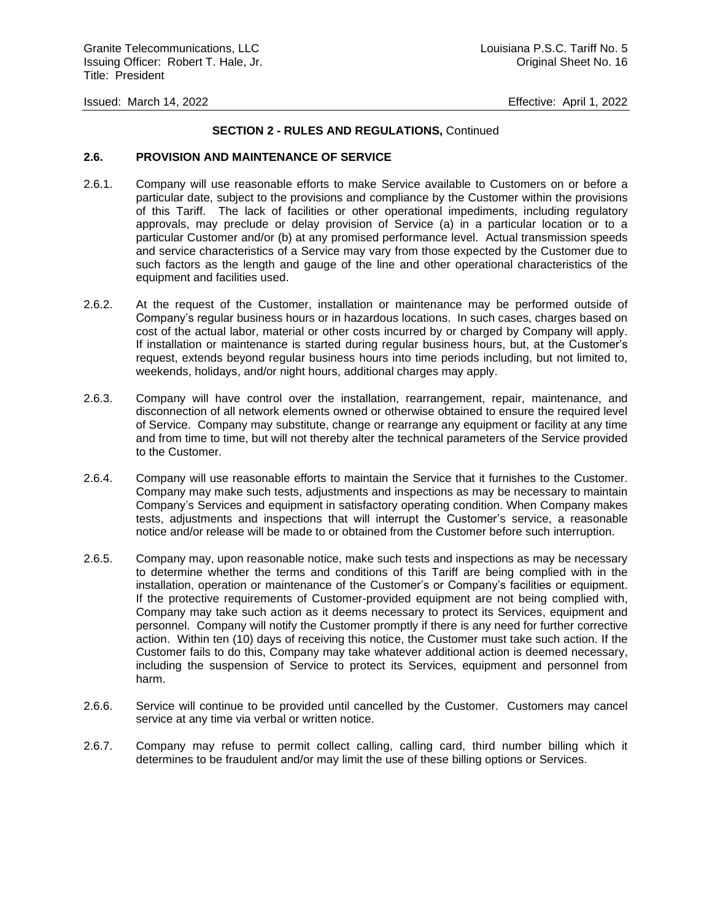## **SECTION 2 - RULES AND REGULATIONS,** Continued

## **2.6. PROVISION AND MAINTENANCE OF SERVICE**

- 2.6.1. Company will use reasonable efforts to make Service available to Customers on or before a particular date, subject to the provisions and compliance by the Customer within the provisions of this Tariff. The lack of facilities or other operational impediments, including regulatory approvals, may preclude or delay provision of Service (a) in a particular location or to a particular Customer and/or (b) at any promised performance level. Actual transmission speeds and service characteristics of a Service may vary from those expected by the Customer due to such factors as the length and gauge of the line and other operational characteristics of the equipment and facilities used.
- 2.6.2. At the request of the Customer, installation or maintenance may be performed outside of Company's regular business hours or in hazardous locations. In such cases, charges based on cost of the actual labor, material or other costs incurred by or charged by Company will apply. If installation or maintenance is started during regular business hours, but, at the Customer's request, extends beyond regular business hours into time periods including, but not limited to, weekends, holidays, and/or night hours, additional charges may apply.
- 2.6.3. Company will have control over the installation, rearrangement, repair, maintenance, and disconnection of all network elements owned or otherwise obtained to ensure the required level of Service. Company may substitute, change or rearrange any equipment or facility at any time and from time to time, but will not thereby alter the technical parameters of the Service provided to the Customer.
- 2.6.4. Company will use reasonable efforts to maintain the Service that it furnishes to the Customer. Company may make such tests, adjustments and inspections as may be necessary to maintain Company's Services and equipment in satisfactory operating condition. When Company makes tests, adjustments and inspections that will interrupt the Customer's service, a reasonable notice and/or release will be made to or obtained from the Customer before such interruption.
- 2.6.5. Company may, upon reasonable notice, make such tests and inspections as may be necessary to determine whether the terms and conditions of this Tariff are being complied with in the installation, operation or maintenance of the Customer's or Company's facilities or equipment. If the protective requirements of Customer-provided equipment are not being complied with, Company may take such action as it deems necessary to protect its Services, equipment and personnel. Company will notify the Customer promptly if there is any need for further corrective action. Within ten (10) days of receiving this notice, the Customer must take such action. If the Customer fails to do this, Company may take whatever additional action is deemed necessary, including the suspension of Service to protect its Services, equipment and personnel from harm.
- 2.6.6. Service will continue to be provided until cancelled by the Customer. Customers may cancel service at any time via verbal or written notice.
- 2.6.7. Company may refuse to permit collect calling, calling card, third number billing which it determines to be fraudulent and/or may limit the use of these billing options or Services.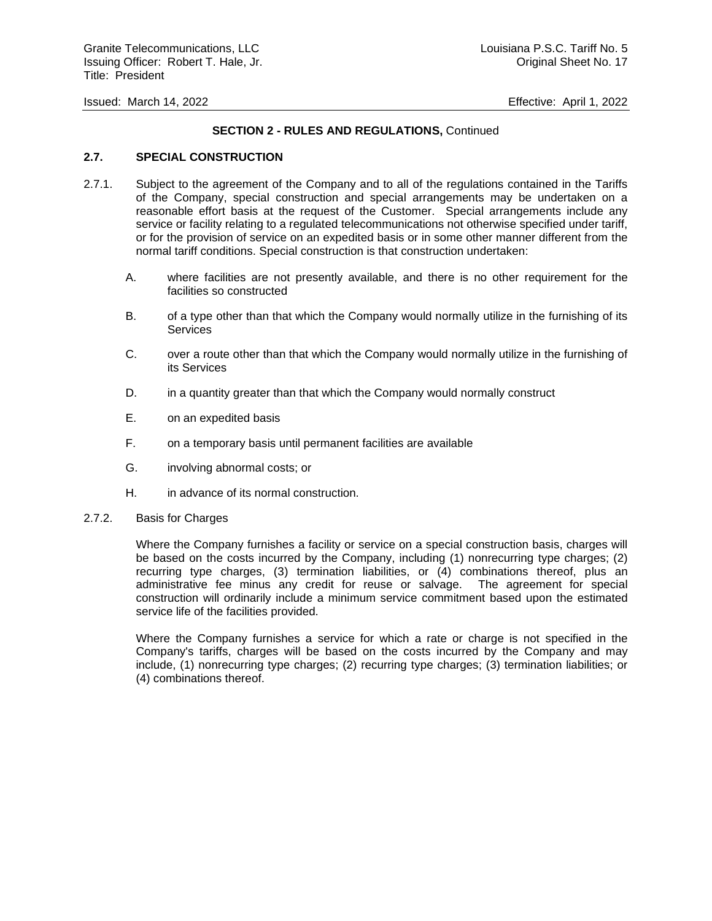## **SECTION 2 - RULES AND REGULATIONS,** Continued

## **2.7. SPECIAL CONSTRUCTION**

- 2.7.1. Subject to the agreement of the Company and to all of the regulations contained in the Tariffs of the Company, special construction and special arrangements may be undertaken on a reasonable effort basis at the request of the Customer. Special arrangements include any service or facility relating to a regulated telecommunications not otherwise specified under tariff, or for the provision of service on an expedited basis or in some other manner different from the normal tariff conditions. Special construction is that construction undertaken:
	- A. where facilities are not presently available, and there is no other requirement for the facilities so constructed
	- B. of a type other than that which the Company would normally utilize in the furnishing of its **Services**
	- C. over a route other than that which the Company would normally utilize in the furnishing of its Services
	- D. in a quantity greater than that which the Company would normally construct
	- E. on an expedited basis
	- F. on a temporary basis until permanent facilities are available
	- G. involving abnormal costs; or
	- H. in advance of its normal construction.
- 2.7.2. Basis for Charges

Where the Company furnishes a facility or service on a special construction basis, charges will be based on the costs incurred by the Company, including (1) nonrecurring type charges; (2) recurring type charges, (3) termination liabilities, or (4) combinations thereof, plus an administrative fee minus any credit for reuse or salvage. The agreement for special construction will ordinarily include a minimum service commitment based upon the estimated service life of the facilities provided.

Where the Company furnishes a service for which a rate or charge is not specified in the Company's tariffs, charges will be based on the costs incurred by the Company and may include, (1) nonrecurring type charges; (2) recurring type charges; (3) termination liabilities; or (4) combinations thereof.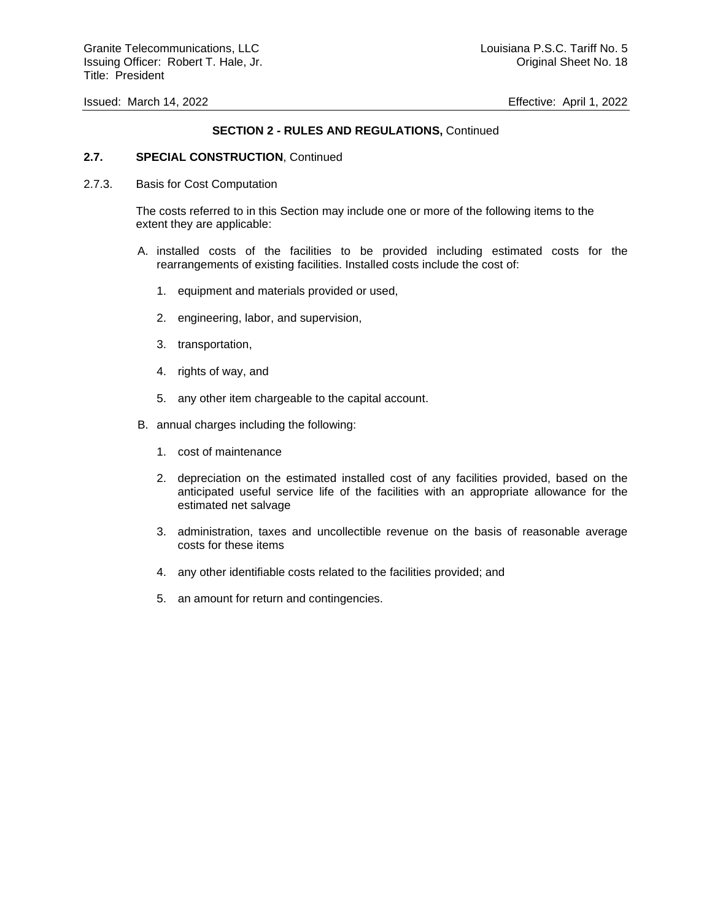## **SECTION 2 - RULES AND REGULATIONS,** Continued

#### **2.7. SPECIAL CONSTRUCTION**, Continued

2.7.3. Basis for Cost Computation

The costs referred to in this Section may include one or more of the following items to the extent they are applicable:

- A. installed costs of the facilities to be provided including estimated costs for the rearrangements of existing facilities. Installed costs include the cost of:
	- 1. equipment and materials provided or used,
	- 2. engineering, labor, and supervision,
	- 3. transportation,
	- 4. rights of way, and
	- 5. any other item chargeable to the capital account.
- B. annual charges including the following:
	- 1. cost of maintenance
	- 2. depreciation on the estimated installed cost of any facilities provided, based on the anticipated useful service life of the facilities with an appropriate allowance for the estimated net salvage
	- 3. administration, taxes and uncollectible revenue on the basis of reasonable average costs for these items
	- 4. any other identifiable costs related to the facilities provided; and
	- 5. an amount for return and contingencies.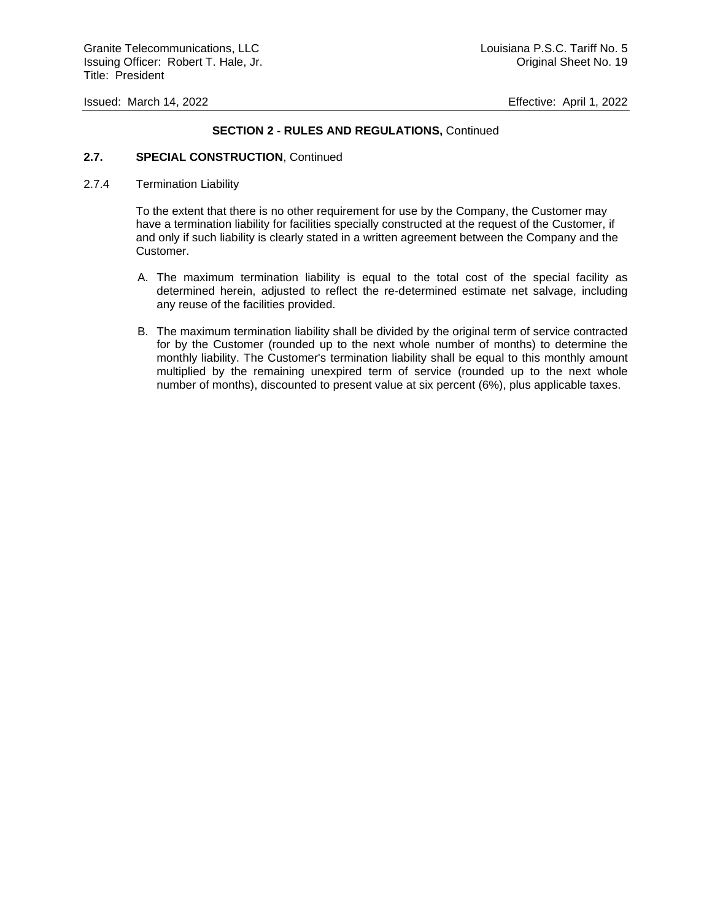## **SECTION 2 - RULES AND REGULATIONS,** Continued

## **2.7. SPECIAL CONSTRUCTION**, Continued

## 2.7.4 Termination Liability

To the extent that there is no other requirement for use by the Company, the Customer may have a termination liability for facilities specially constructed at the request of the Customer, if and only if such liability is clearly stated in a written agreement between the Company and the Customer.

- A. The maximum termination liability is equal to the total cost of the special facility as determined herein, adjusted to reflect the re-determined estimate net salvage, including any reuse of the facilities provided.
- B. The maximum termination liability shall be divided by the original term of service contracted for by the Customer (rounded up to the next whole number of months) to determine the monthly liability. The Customer's termination liability shall be equal to this monthly amount multiplied by the remaining unexpired term of service (rounded up to the next whole number of months), discounted to present value at six percent (6%), plus applicable taxes.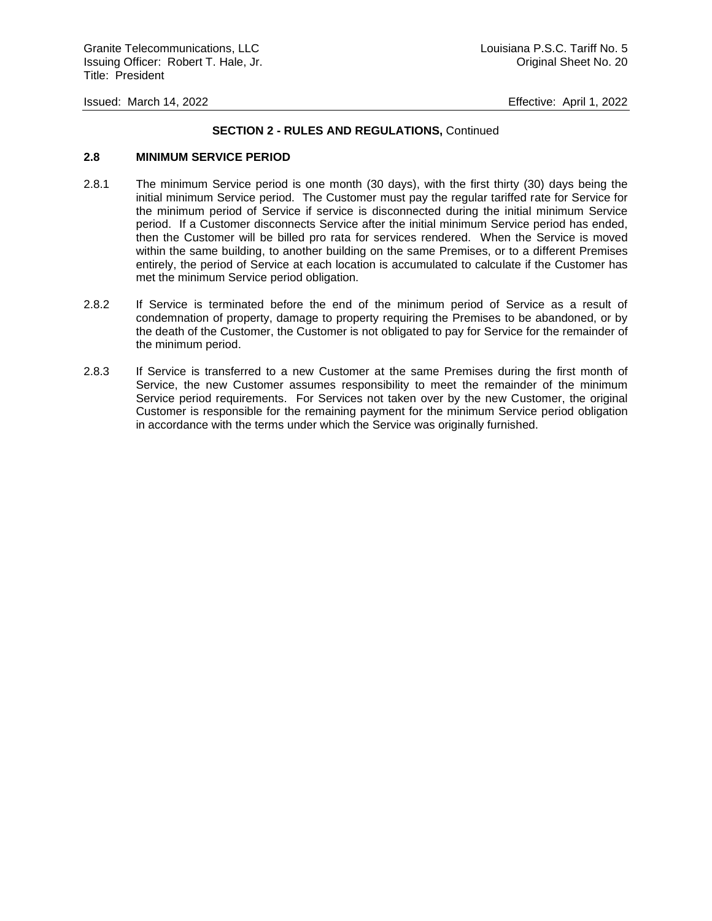## **SECTION 2 - RULES AND REGULATIONS,** Continued

#### **2.8 MINIMUM SERVICE PERIOD**

- 2.8.1 The minimum Service period is one month (30 days), with the first thirty (30) days being the initial minimum Service period. The Customer must pay the regular tariffed rate for Service for the minimum period of Service if service is disconnected during the initial minimum Service period. If a Customer disconnects Service after the initial minimum Service period has ended, then the Customer will be billed pro rata for services rendered. When the Service is moved within the same building, to another building on the same Premises, or to a different Premises entirely, the period of Service at each location is accumulated to calculate if the Customer has met the minimum Service period obligation.
- 2.8.2 If Service is terminated before the end of the minimum period of Service as a result of condemnation of property, damage to property requiring the Premises to be abandoned, or by the death of the Customer, the Customer is not obligated to pay for Service for the remainder of the minimum period.
- 2.8.3 If Service is transferred to a new Customer at the same Premises during the first month of Service, the new Customer assumes responsibility to meet the remainder of the minimum Service period requirements. For Services not taken over by the new Customer, the original Customer is responsible for the remaining payment for the minimum Service period obligation in accordance with the terms under which the Service was originally furnished.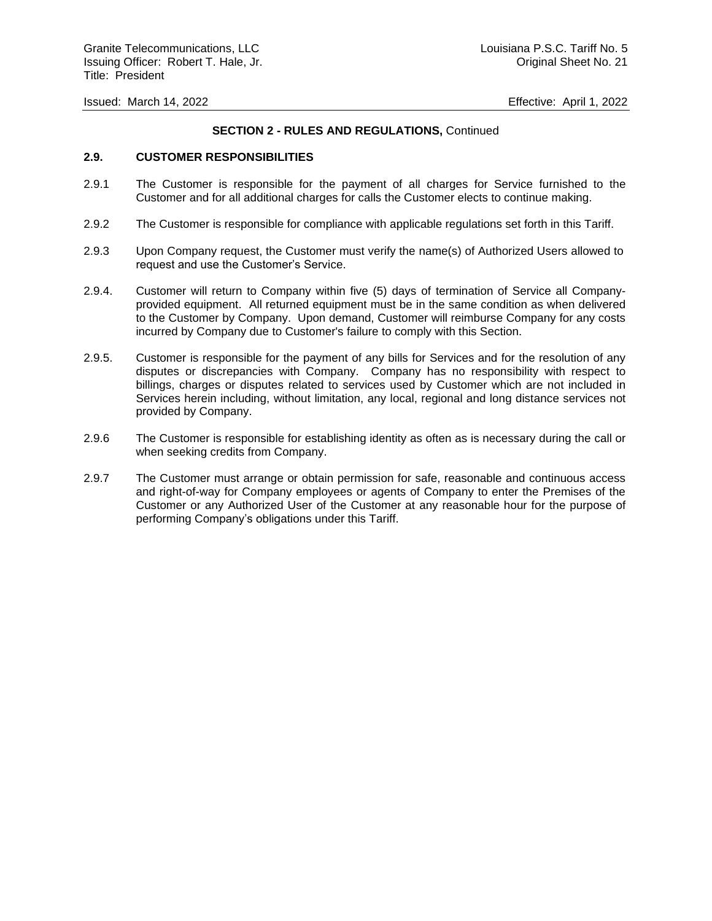## **SECTION 2 - RULES AND REGULATIONS,** Continued

## **2.9. CUSTOMER RESPONSIBILITIES**

- 2.9.1 The Customer is responsible for the payment of all charges for Service furnished to the Customer and for all additional charges for calls the Customer elects to continue making.
- 2.9.2 The Customer is responsible for compliance with applicable regulations set forth in this Tariff.
- 2.9.3 Upon Company request, the Customer must verify the name(s) of Authorized Users allowed to request and use the Customer's Service.
- 2.9.4. Customer will return to Company within five (5) days of termination of Service all Companyprovided equipment. All returned equipment must be in the same condition as when delivered to the Customer by Company. Upon demand, Customer will reimburse Company for any costs incurred by Company due to Customer's failure to comply with this Section.
- 2.9.5. Customer is responsible for the payment of any bills for Services and for the resolution of any disputes or discrepancies with Company. Company has no responsibility with respect to billings, charges or disputes related to services used by Customer which are not included in Services herein including, without limitation, any local, regional and long distance services not provided by Company.
- 2.9.6 The Customer is responsible for establishing identity as often as is necessary during the call or when seeking credits from Company.
- 2.9.7 The Customer must arrange or obtain permission for safe, reasonable and continuous access and right-of-way for Company employees or agents of Company to enter the Premises of the Customer or any Authorized User of the Customer at any reasonable hour for the purpose of performing Company's obligations under this Tariff.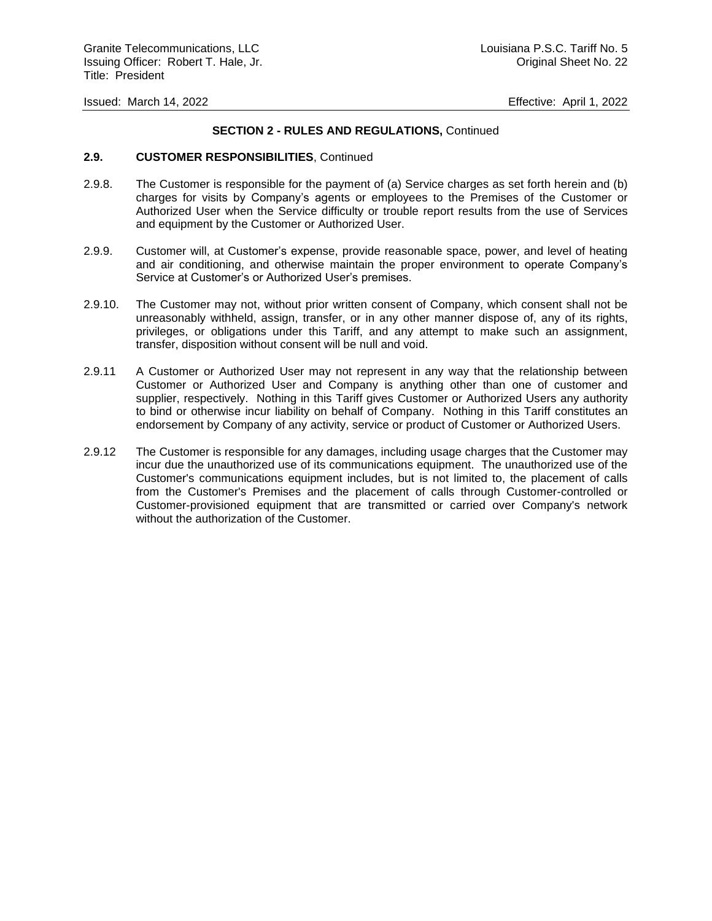## **SECTION 2 - RULES AND REGULATIONS,** Continued

#### **2.9. CUSTOMER RESPONSIBILITIES**, Continued

- 2.9.8. The Customer is responsible for the payment of (a) Service charges as set forth herein and (b) charges for visits by Company's agents or employees to the Premises of the Customer or Authorized User when the Service difficulty or trouble report results from the use of Services and equipment by the Customer or Authorized User.
- 2.9.9. Customer will, at Customer's expense, provide reasonable space, power, and level of heating and air conditioning, and otherwise maintain the proper environment to operate Company's Service at Customer's or Authorized User's premises.
- 2.9.10. The Customer may not, without prior written consent of Company, which consent shall not be unreasonably withheld, assign, transfer, or in any other manner dispose of, any of its rights, privileges, or obligations under this Tariff, and any attempt to make such an assignment, transfer, disposition without consent will be null and void.
- 2.9.11 A Customer or Authorized User may not represent in any way that the relationship between Customer or Authorized User and Company is anything other than one of customer and supplier, respectively. Nothing in this Tariff gives Customer or Authorized Users any authority to bind or otherwise incur liability on behalf of Company. Nothing in this Tariff constitutes an endorsement by Company of any activity, service or product of Customer or Authorized Users.
- 2.9.12 The Customer is responsible for any damages, including usage charges that the Customer may incur due the unauthorized use of its communications equipment. The unauthorized use of the Customer's communications equipment includes, but is not limited to, the placement of calls from the Customer's Premises and the placement of calls through Customer-controlled or Customer-provisioned equipment that are transmitted or carried over Company's network without the authorization of the Customer.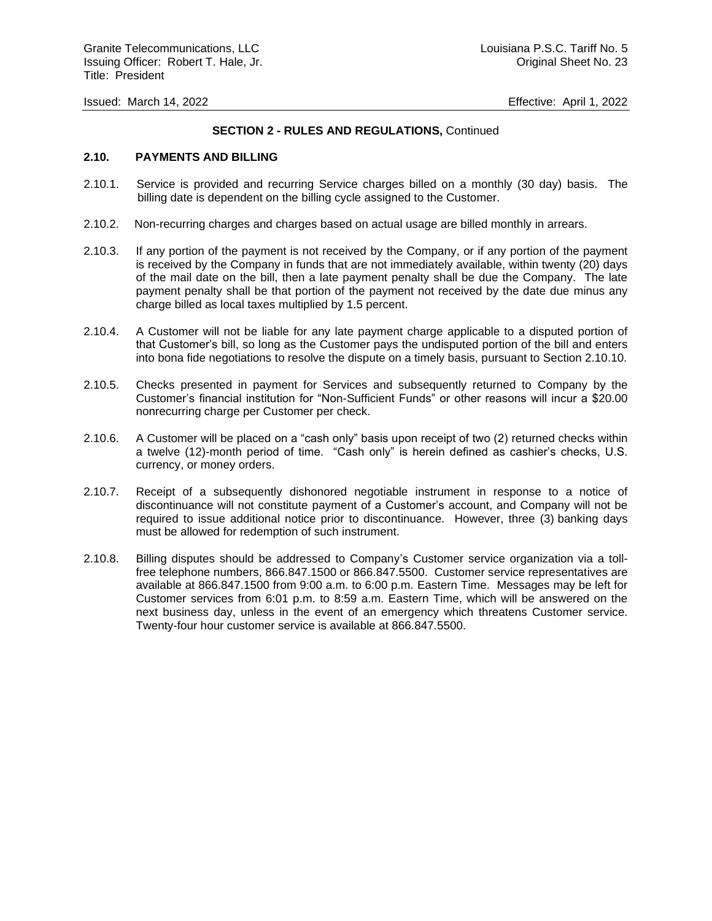## **SECTION 2 - RULES AND REGULATIONS,** Continued

#### **2.10. PAYMENTS AND BILLING**

- 2.10.1. Service is provided and recurring Service charges billed on a monthly (30 day) basis. The billing date is dependent on the billing cycle assigned to the Customer.
- 2.10.2. Non-recurring charges and charges based on actual usage are billed monthly in arrears.
- 2.10.3. If any portion of the payment is not received by the Company, or if any portion of the payment is received by the Company in funds that are not immediately available, within twenty (20) days of the mail date on the bill, then a late payment penalty shall be due the Company. The late payment penalty shall be that portion of the payment not received by the date due minus any charge billed as local taxes multiplied by 1.5 percent.
- 2.10.4. A Customer will not be liable for any late payment charge applicable to a disputed portion of that Customer's bill, so long as the Customer pays the undisputed portion of the bill and enters into bona fide negotiations to resolve the dispute on a timely basis, pursuant to Section 2.10.10.
- 2.10.5. Checks presented in payment for Services and subsequently returned to Company by the Customer's financial institution for "Non-Sufficient Funds" or other reasons will incur a \$20.00 nonrecurring charge per Customer per check.
- 2.10.6. A Customer will be placed on a "cash only" basis upon receipt of two (2) returned checks within a twelve (12)-month period of time. "Cash only" is herein defined as cashier's checks, U.S. currency, or money orders.
- 2.10.7. Receipt of a subsequently dishonored negotiable instrument in response to a notice of discontinuance will not constitute payment of a Customer's account, and Company will not be required to issue additional notice prior to discontinuance. However, three (3) banking days must be allowed for redemption of such instrument.
- 2.10.8. Billing disputes should be addressed to Company's Customer service organization via a tollfree telephone numbers, 866.847.1500 or 866.847.5500.Customer service representatives are available at 866.847.1500 from 9:00 a.m. to 6:00 p.m. Eastern Time. Messages may be left for Customer services from 6:01 p.m. to 8:59 a.m. Eastern Time, which will be answered on the next business day, unless in the event of an emergency which threatens Customer service. Twenty-four hour customer service is available at 866.847.5500.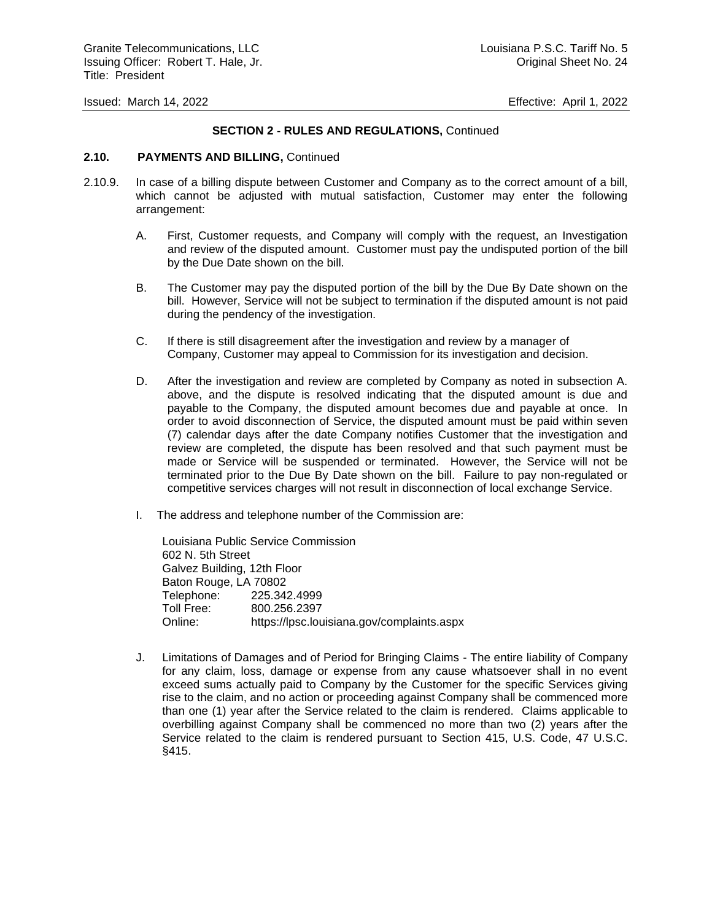## **SECTION 2 - RULES AND REGULATIONS,** Continued

#### **2.10. PAYMENTS AND BILLING,** Continued

- 2.10.9. In case of a billing dispute between Customer and Company as to the correct amount of a bill, which cannot be adjusted with mutual satisfaction, Customer may enter the following arrangement:
	- A. First, Customer requests, and Company will comply with the request, an Investigation and review of the disputed amount. Customer must pay the undisputed portion of the bill by the Due Date shown on the bill.
	- B. The Customer may pay the disputed portion of the bill by the Due By Date shown on the bill. However, Service will not be subject to termination if the disputed amount is not paid during the pendency of the investigation.
	- C. If there is still disagreement after the investigation and review by a manager of Company, Customer may appeal to Commission for its investigation and decision.
	- D. After the investigation and review are completed by Company as noted in subsection A. above, and the dispute is resolved indicating that the disputed amount is due and payable to the Company, the disputed amount becomes due and payable at once. In order to avoid disconnection of Service, the disputed amount must be paid within seven (7) calendar days after the date Company notifies Customer that the investigation and review are completed, the dispute has been resolved and that such payment must be made or Service will be suspended or terminated. However, the Service will not be terminated prior to the Due By Date shown on the bill. Failure to pay non-regulated or competitive services charges will not result in disconnection of local exchange Service.
	- I. The address and telephone number of the Commission are:

Louisiana Public Service Commission 602 N. 5th Street Galvez Building, 12th Floor Baton Rouge, LA 70802 Telephone: 225.342.4999 Toll Free: 800.256.2397 Online: https://lpsc.louisiana.gov/complaints.aspx

J. Limitations of Damages and of Period for Bringing Claims - The entire liability of Company for any claim, loss, damage or expense from any cause whatsoever shall in no event exceed sums actually paid to Company by the Customer for the specific Services giving rise to the claim, and no action or proceeding against Company shall be commenced more than one (1) year after the Service related to the claim is rendered. Claims applicable to overbilling against Company shall be commenced no more than two (2) years after the Service related to the claim is rendered pursuant to Section 415, U.S. Code, 47 U.S.C. §415.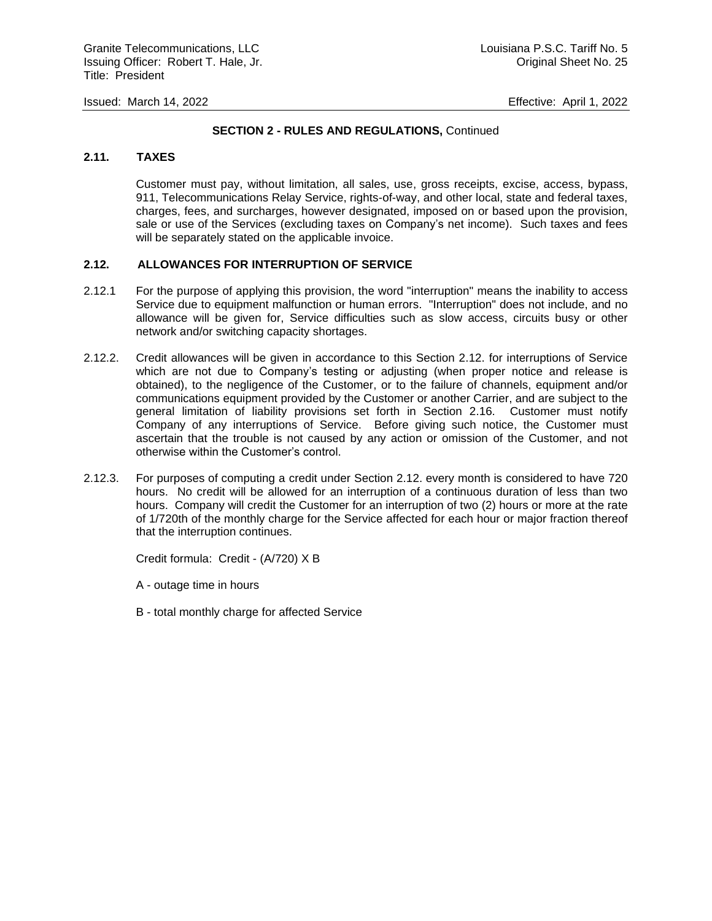## **SECTION 2 - RULES AND REGULATIONS,** Continued

## **2.11. TAXES**

Customer must pay, without limitation, all sales, use, gross receipts, excise, access, bypass, 911, Telecommunications Relay Service, rights-of-way, and other local, state and federal taxes, charges, fees, and surcharges, however designated, imposed on or based upon the provision, sale or use of the Services (excluding taxes on Company's net income). Such taxes and fees will be separately stated on the applicable invoice.

## **2.12. ALLOWANCES FOR INTERRUPTION OF SERVICE**

- 2.12.1 For the purpose of applying this provision, the word "interruption" means the inability to access Service due to equipment malfunction or human errors. "Interruption" does not include, and no allowance will be given for, Service difficulties such as slow access, circuits busy or other network and/or switching capacity shortages.
- 2.12.2. Credit allowances will be given in accordance to this Section 2.12. for interruptions of Service which are not due to Company's testing or adjusting (when proper notice and release is obtained), to the negligence of the Customer, or to the failure of channels, equipment and/or communications equipment provided by the Customer or another Carrier, and are subject to the general limitation of liability provisions set forth in Section 2.16. Customer must notify Company of any interruptions of Service. Before giving such notice, the Customer must ascertain that the trouble is not caused by any action or omission of the Customer, and not otherwise within the Customer's control.
- 2.12.3. For purposes of computing a credit under Section 2.12. every month is considered to have 720 hours. No credit will be allowed for an interruption of a continuous duration of less than two hours. Company will credit the Customer for an interruption of two (2) hours or more at the rate of 1/720th of the monthly charge for the Service affected for each hour or major fraction thereof that the interruption continues.

Credit formula: Credit - (A/720) X B

A - outage time in hours

B - total monthly charge for affected Service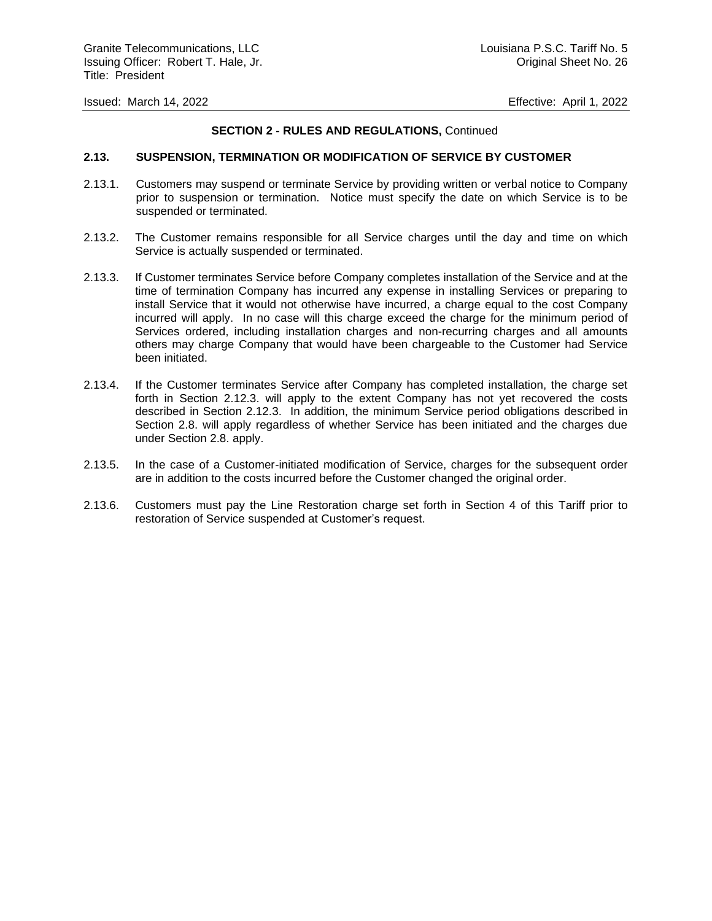## **SECTION 2 - RULES AND REGULATIONS,** Continued

#### **2.13. SUSPENSION, TERMINATION OR MODIFICATION OF SERVICE BY CUSTOMER**

- 2.13.1. Customers may suspend or terminate Service by providing written or verbal notice to Company prior to suspension or termination. Notice must specify the date on which Service is to be suspended or terminated.
- 2.13.2. The Customer remains responsible for all Service charges until the day and time on which Service is actually suspended or terminated.
- 2.13.3. If Customer terminates Service before Company completes installation of the Service and at the time of termination Company has incurred any expense in installing Services or preparing to install Service that it would not otherwise have incurred, a charge equal to the cost Company incurred will apply. In no case will this charge exceed the charge for the minimum period of Services ordered, including installation charges and non-recurring charges and all amounts others may charge Company that would have been chargeable to the Customer had Service been initiated.
- 2.13.4. If the Customer terminates Service after Company has completed installation, the charge set forth in Section 2.12.3. will apply to the extent Company has not yet recovered the costs described in Section 2.12.3. In addition, the minimum Service period obligations described in Section 2.8. will apply regardless of whether Service has been initiated and the charges due under Section 2.8. apply.
- 2.13.5. In the case of a Customer-initiated modification of Service, charges for the subsequent order are in addition to the costs incurred before the Customer changed the original order.
- 2.13.6. Customers must pay the Line Restoration charge set forth in Section 4 of this Tariff prior to restoration of Service suspended at Customer's request.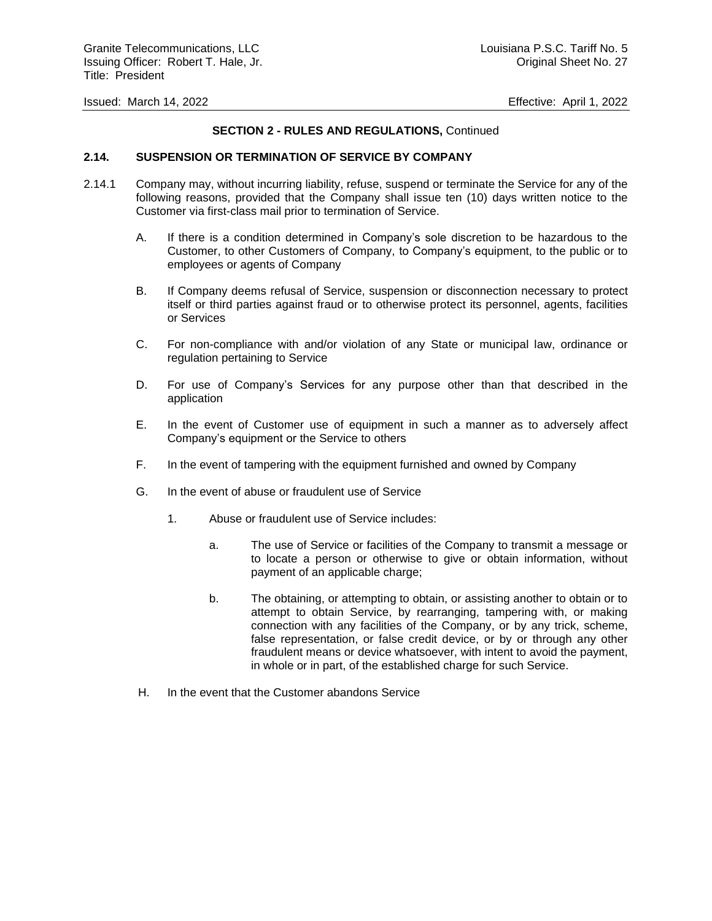## **SECTION 2 - RULES AND REGULATIONS,** Continued

## **2.14. SUSPENSION OR TERMINATION OF SERVICE BY COMPANY**

- 2.14.1 Company may, without incurring liability, refuse, suspend or terminate the Service for any of the following reasons, provided that the Company shall issue ten (10) days written notice to the Customer via first-class mail prior to termination of Service.
	- A. If there is a condition determined in Company's sole discretion to be hazardous to the Customer, to other Customers of Company, to Company's equipment, to the public or to employees or agents of Company
	- B. If Company deems refusal of Service, suspension or disconnection necessary to protect itself or third parties against fraud or to otherwise protect its personnel, agents, facilities or Services
	- C. For non-compliance with and/or violation of any State or municipal law, ordinance or regulation pertaining to Service
	- D. For use of Company's Services for any purpose other than that described in the application
	- E. In the event of Customer use of equipment in such a manner as to adversely affect Company's equipment or the Service to others
	- F. In the event of tampering with the equipment furnished and owned by Company
	- G. In the event of abuse or fraudulent use of Service
		- 1. Abuse or fraudulent use of Service includes:
			- a. The use of Service or facilities of the Company to transmit a message or to locate a person or otherwise to give or obtain information, without payment of an applicable charge;
			- b. The obtaining, or attempting to obtain, or assisting another to obtain or to attempt to obtain Service, by rearranging, tampering with, or making connection with any facilities of the Company, or by any trick, scheme, false representation, or false credit device, or by or through any other fraudulent means or device whatsoever, with intent to avoid the payment, in whole or in part, of the established charge for such Service.
	- H. In the event that the Customer abandons Service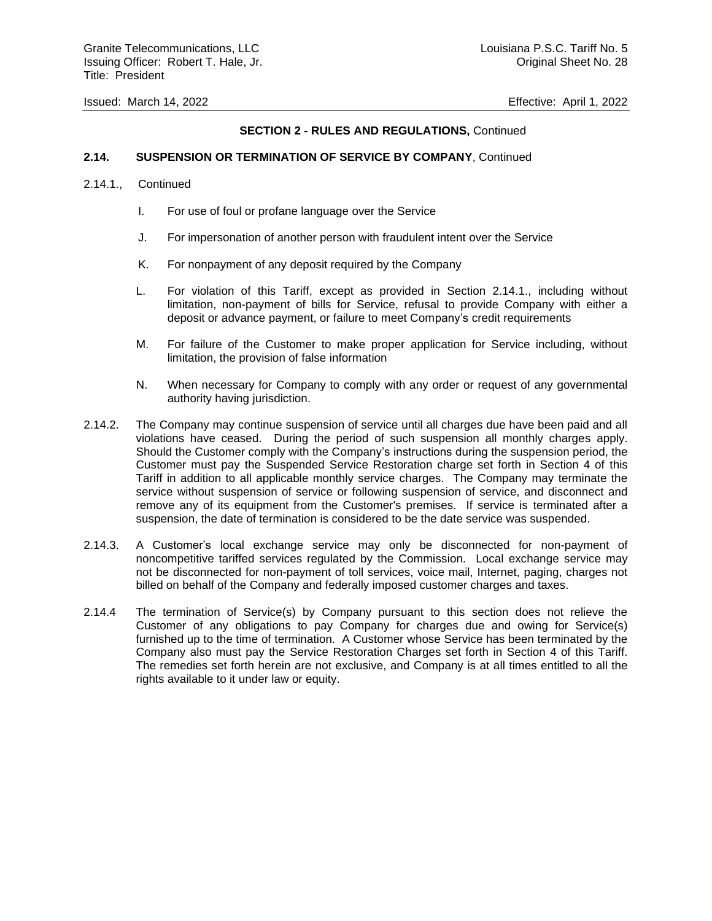## **SECTION 2 - RULES AND REGULATIONS,** Continued

## **2.14. SUSPENSION OR TERMINATION OF SERVICE BY COMPANY**, Continued

#### 2.14.1., Continued

- I. For use of foul or profane language over the Service
- J. For impersonation of another person with fraudulent intent over the Service
- K. For nonpayment of any deposit required by the Company
- L. For violation of this Tariff, except as provided in Section 2.14.1., including without limitation, non-payment of bills for Service, refusal to provide Company with either a deposit or advance payment, or failure to meet Company's credit requirements
- M. For failure of the Customer to make proper application for Service including, without limitation, the provision of false information
- N. When necessary for Company to comply with any order or request of any governmental authority having jurisdiction.
- 2.14.2. The Company may continue suspension of service until all charges due have been paid and all violations have ceased. During the period of such suspension all monthly charges apply. Should the Customer comply with the Company's instructions during the suspension period, the Customer must pay the Suspended Service Restoration charge set forth in Section 4 of this Tariff in addition to all applicable monthly service charges. The Company may terminate the service without suspension of service or following suspension of service, and disconnect and remove any of its equipment from the Customer's premises. If service is terminated after a suspension, the date of termination is considered to be the date service was suspended.
- 2.14.3. A Customer's local exchange service may only be disconnected for non-payment of noncompetitive tariffed services regulated by the Commission. Local exchange service may not be disconnected for non-payment of toll services, voice mail, Internet, paging, charges not billed on behalf of the Company and federally imposed customer charges and taxes.
- 2.14.4 The termination of Service(s) by Company pursuant to this section does not relieve the Customer of any obligations to pay Company for charges due and owing for Service(s) furnished up to the time of termination. A Customer whose Service has been terminated by the Company also must pay the Service Restoration Charges set forth in Section 4 of this Tariff. The remedies set forth herein are not exclusive, and Company is at all times entitled to all the rights available to it under law or equity.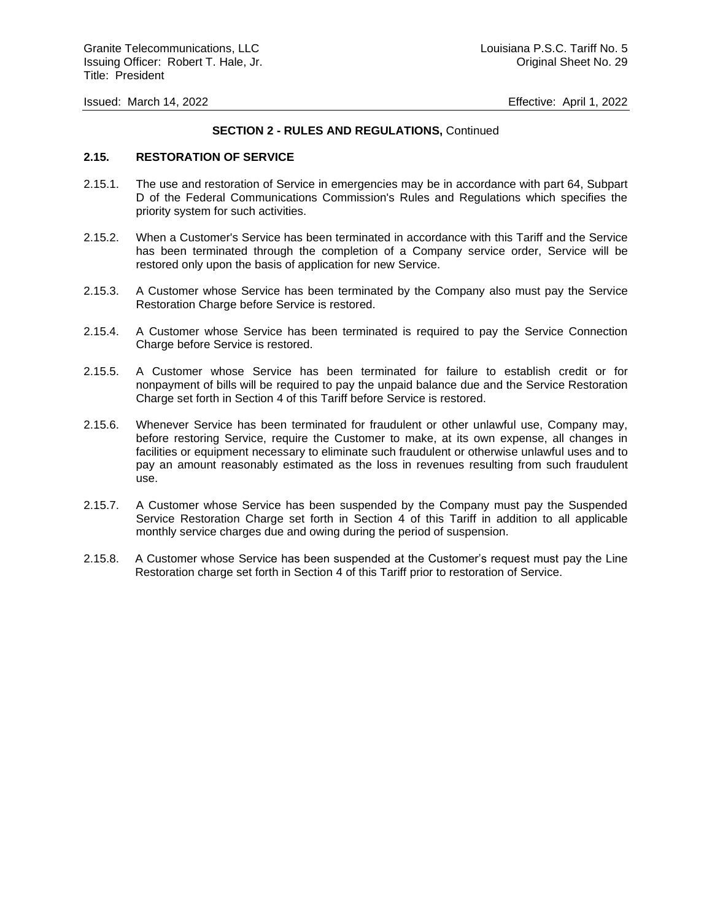## **SECTION 2 - RULES AND REGULATIONS,** Continued

#### **2.15. RESTORATION OF SERVICE**

- 2.15.1. The use and restoration of Service in emergencies may be in accordance with part 64, Subpart D of the Federal Communications Commission's Rules and Regulations which specifies the priority system for such activities.
- 2.15.2. When a Customer's Service has been terminated in accordance with this Tariff and the Service has been terminated through the completion of a Company service order, Service will be restored only upon the basis of application for new Service.
- 2.15.3. A Customer whose Service has been terminated by the Company also must pay the Service Restoration Charge before Service is restored.
- 2.15.4. A Customer whose Service has been terminated is required to pay the Service Connection Charge before Service is restored.
- 2.15.5. A Customer whose Service has been terminated for failure to establish credit or for nonpayment of bills will be required to pay the unpaid balance due and the Service Restoration Charge set forth in Section 4 of this Tariff before Service is restored.
- 2.15.6. Whenever Service has been terminated for fraudulent or other unlawful use, Company may, before restoring Service, require the Customer to make, at its own expense, all changes in facilities or equipment necessary to eliminate such fraudulent or otherwise unlawful uses and to pay an amount reasonably estimated as the loss in revenues resulting from such fraudulent use.
- 2.15.7. A Customer whose Service has been suspended by the Company must pay the Suspended Service Restoration Charge set forth in Section 4 of this Tariff in addition to all applicable monthly service charges due and owing during the period of suspension.
- 2.15.8. A Customer whose Service has been suspended at the Customer's request must pay the Line Restoration charge set forth in Section 4 of this Tariff prior to restoration of Service.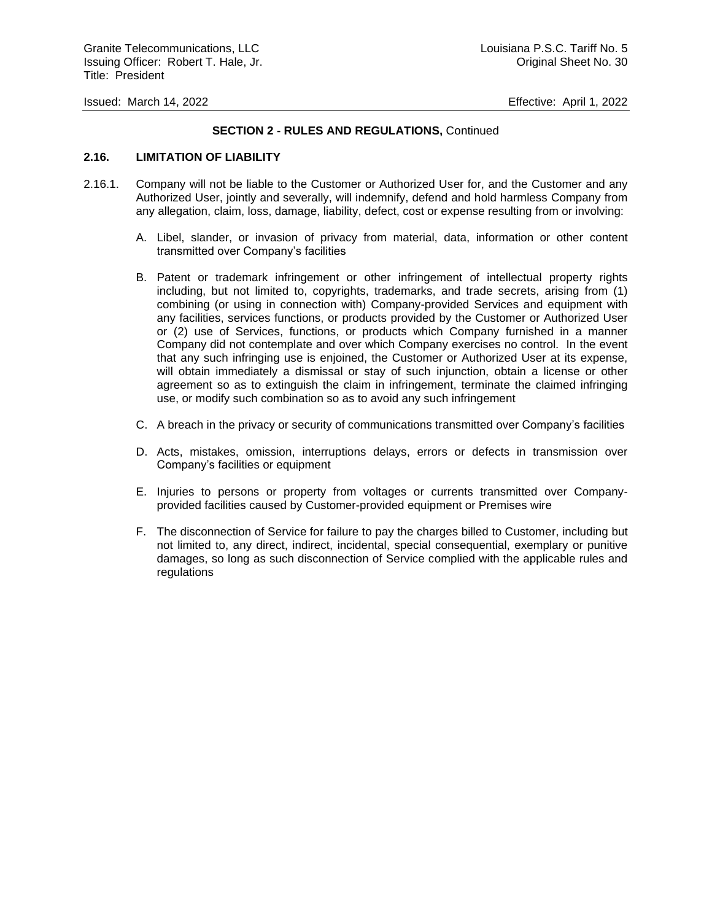## **SECTION 2 - RULES AND REGULATIONS,** Continued

## **2.16. LIMITATION OF LIABILITY**

- 2.16.1. Company will not be liable to the Customer or Authorized User for, and the Customer and any Authorized User, jointly and severally, will indemnify, defend and hold harmless Company from any allegation, claim, loss, damage, liability, defect, cost or expense resulting from or involving:
	- A. Libel, slander, or invasion of privacy from material, data, information or other content transmitted over Company's facilities
	- B. Patent or trademark infringement or other infringement of intellectual property rights including, but not limited to, copyrights, trademarks, and trade secrets, arising from (1) combining (or using in connection with) Company-provided Services and equipment with any facilities, services functions, or products provided by the Customer or Authorized User or (2) use of Services, functions, or products which Company furnished in a manner Company did not contemplate and over which Company exercises no control. In the event that any such infringing use is enjoined, the Customer or Authorized User at its expense, will obtain immediately a dismissal or stay of such injunction, obtain a license or other agreement so as to extinguish the claim in infringement, terminate the claimed infringing use, or modify such combination so as to avoid any such infringement
	- C. A breach in the privacy or security of communications transmitted over Company's facilities
	- D. Acts, mistakes, omission, interruptions delays, errors or defects in transmission over Company's facilities or equipment
	- E. Injuries to persons or property from voltages or currents transmitted over Companyprovided facilities caused by Customer-provided equipment or Premises wire
	- F. The disconnection of Service for failure to pay the charges billed to Customer, including but not limited to, any direct, indirect, incidental, special consequential, exemplary or punitive damages, so long as such disconnection of Service complied with the applicable rules and regulations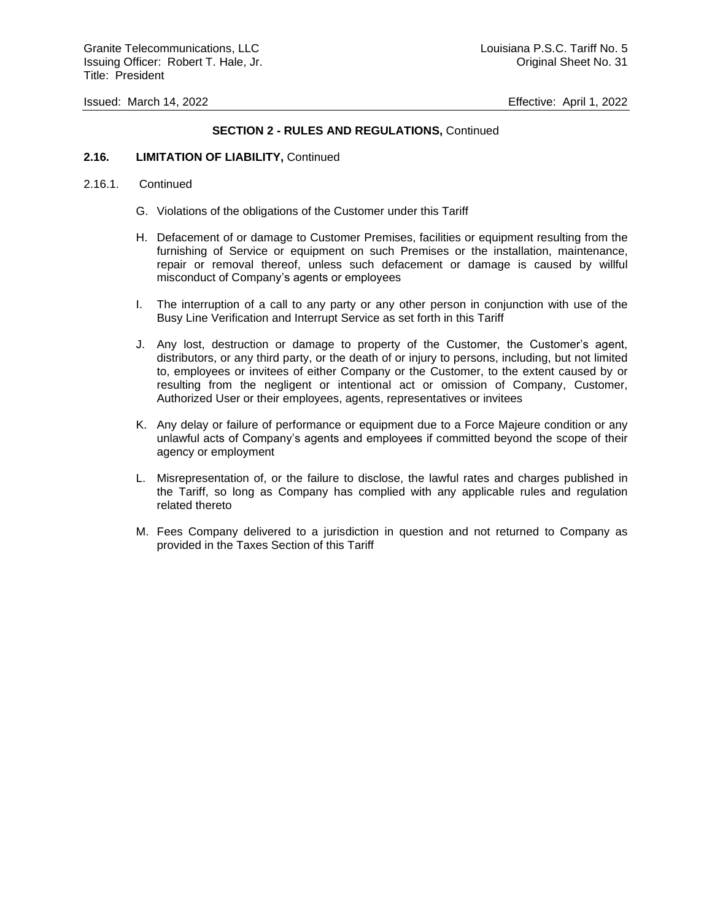Granite Telecommunications, LLC and the control of the control of the Louisiana P.S.C. Tariff No. 5 Issuing Officer: Robert T. Hale, Jr. Channel Channel Sheet No. 31 Title: President

Issued: March 14, 2022 Effective: April 1, 2022

## **SECTION 2 - RULES AND REGULATIONS,** Continued

#### **2.16. LIMITATION OF LIABILITY,** Continued

#### 2.16.1. Continued

- G. Violations of the obligations of the Customer under this Tariff
- H. Defacement of or damage to Customer Premises, facilities or equipment resulting from the furnishing of Service or equipment on such Premises or the installation, maintenance, repair or removal thereof, unless such defacement or damage is caused by willful misconduct of Company's agents or employees
- I. The interruption of a call to any party or any other person in conjunction with use of the Busy Line Verification and Interrupt Service as set forth in this Tariff
- J. Any lost, destruction or damage to property of the Customer, the Customer's agent, distributors, or any third party, or the death of or injury to persons, including, but not limited to, employees or invitees of either Company or the Customer, to the extent caused by or resulting from the negligent or intentional act or omission of Company, Customer, Authorized User or their employees, agents, representatives or invitees
- K. Any delay or failure of performance or equipment due to a Force Majeure condition or any unlawful acts of Company's agents and employees if committed beyond the scope of their agency or employment
- L. Misrepresentation of, or the failure to disclose, the lawful rates and charges published in the Tariff, so long as Company has complied with any applicable rules and regulation related thereto
- M. Fees Company delivered to a jurisdiction in question and not returned to Company as provided in the Taxes Section of this Tariff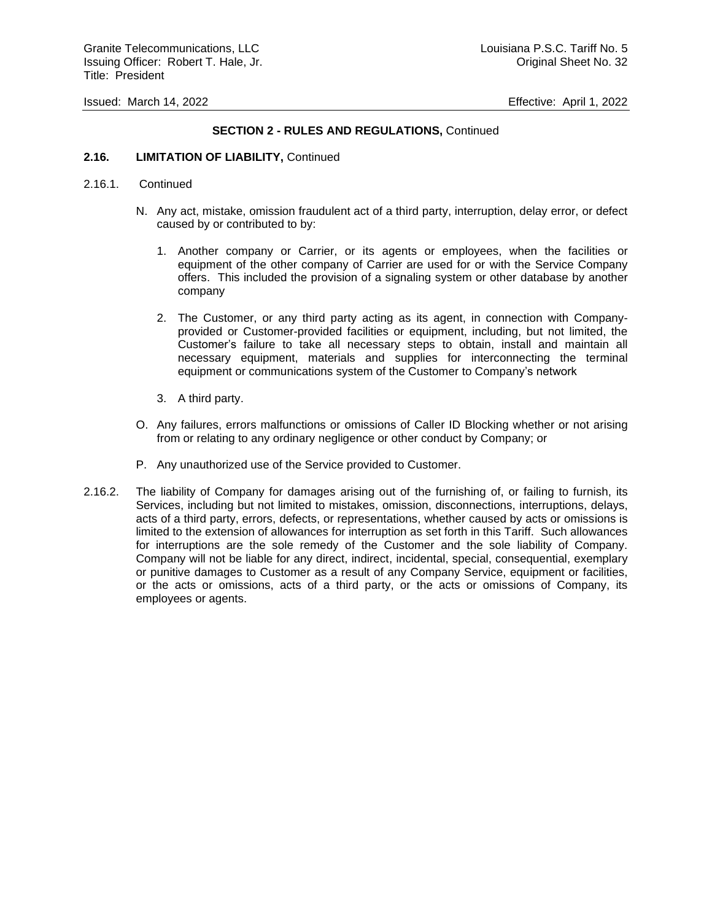## **SECTION 2 - RULES AND REGULATIONS,** Continued

## **2.16. LIMITATION OF LIABILITY,** Continued

## 2.16.1. Continued

- N. Any act, mistake, omission fraudulent act of a third party, interruption, delay error, or defect caused by or contributed to by:
	- 1. Another company or Carrier, or its agents or employees, when the facilities or equipment of the other company of Carrier are used for or with the Service Company offers. This included the provision of a signaling system or other database by another company
	- 2. The Customer, or any third party acting as its agent, in connection with Companyprovided or Customer-provided facilities or equipment, including, but not limited, the Customer's failure to take all necessary steps to obtain, install and maintain all necessary equipment, materials and supplies for interconnecting the terminal equipment or communications system of the Customer to Company's network
	- 3. A third party.
- O. Any failures, errors malfunctions or omissions of Caller ID Blocking whether or not arising from or relating to any ordinary negligence or other conduct by Company; or
- P. Any unauthorized use of the Service provided to Customer.
- 2.16.2. The liability of Company for damages arising out of the furnishing of, or failing to furnish, its Services, including but not limited to mistakes, omission, disconnections, interruptions, delays, acts of a third party, errors, defects, or representations, whether caused by acts or omissions is limited to the extension of allowances for interruption as set forth in this Tariff. Such allowances for interruptions are the sole remedy of the Customer and the sole liability of Company. Company will not be liable for any direct, indirect, incidental, special, consequential, exemplary or punitive damages to Customer as a result of any Company Service, equipment or facilities, or the acts or omissions, acts of a third party, or the acts or omissions of Company, its employees or agents.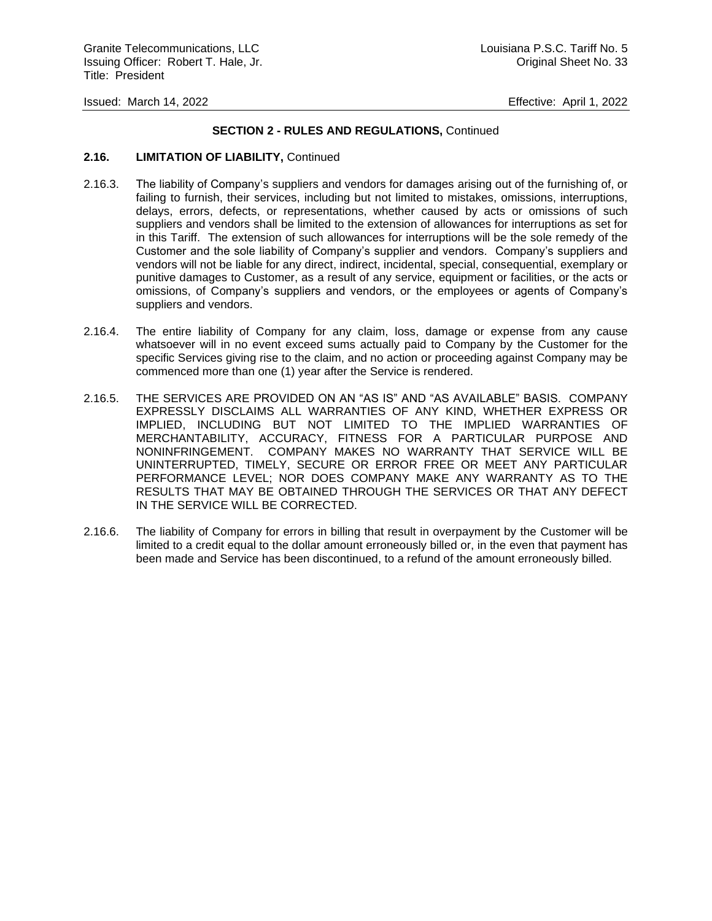## **SECTION 2 - RULES AND REGULATIONS,** Continued

## **2.16. LIMITATION OF LIABILITY,** Continued

- 2.16.3. The liability of Company's suppliers and vendors for damages arising out of the furnishing of, or failing to furnish, their services, including but not limited to mistakes, omissions, interruptions, delays, errors, defects, or representations, whether caused by acts or omissions of such suppliers and vendors shall be limited to the extension of allowances for interruptions as set for in this Tariff. The extension of such allowances for interruptions will be the sole remedy of the Customer and the sole liability of Company's supplier and vendors. Company's suppliers and vendors will not be liable for any direct, indirect, incidental, special, consequential, exemplary or punitive damages to Customer, as a result of any service, equipment or facilities, or the acts or omissions, of Company's suppliers and vendors, or the employees or agents of Company's suppliers and vendors.
- 2.16.4. The entire liability of Company for any claim, loss, damage or expense from any cause whatsoever will in no event exceed sums actually paid to Company by the Customer for the specific Services giving rise to the claim, and no action or proceeding against Company may be commenced more than one (1) year after the Service is rendered.
- 2.16.5. THE SERVICES ARE PROVIDED ON AN "AS IS" AND "AS AVAILABLE" BASIS. COMPANY EXPRESSLY DISCLAIMS ALL WARRANTIES OF ANY KIND, WHETHER EXPRESS OR IMPLIED, INCLUDING BUT NOT LIMITED TO THE IMPLIED WARRANTIES OF MERCHANTABILITY, ACCURACY, FITNESS FOR A PARTICULAR PURPOSE AND NONINFRINGEMENT. COMPANY MAKES NO WARRANTY THAT SERVICE WILL BE UNINTERRUPTED, TIMELY, SECURE OR ERROR FREE OR MEET ANY PARTICULAR PERFORMANCE LEVEL; NOR DOES COMPANY MAKE ANY WARRANTY AS TO THE RESULTS THAT MAY BE OBTAINED THROUGH THE SERVICES OR THAT ANY DEFECT IN THE SERVICE WILL BE CORRECTED.
- 2.16.6. The liability of Company for errors in billing that result in overpayment by the Customer will be limited to a credit equal to the dollar amount erroneously billed or, in the even that payment has been made and Service has been discontinued, to a refund of the amount erroneously billed.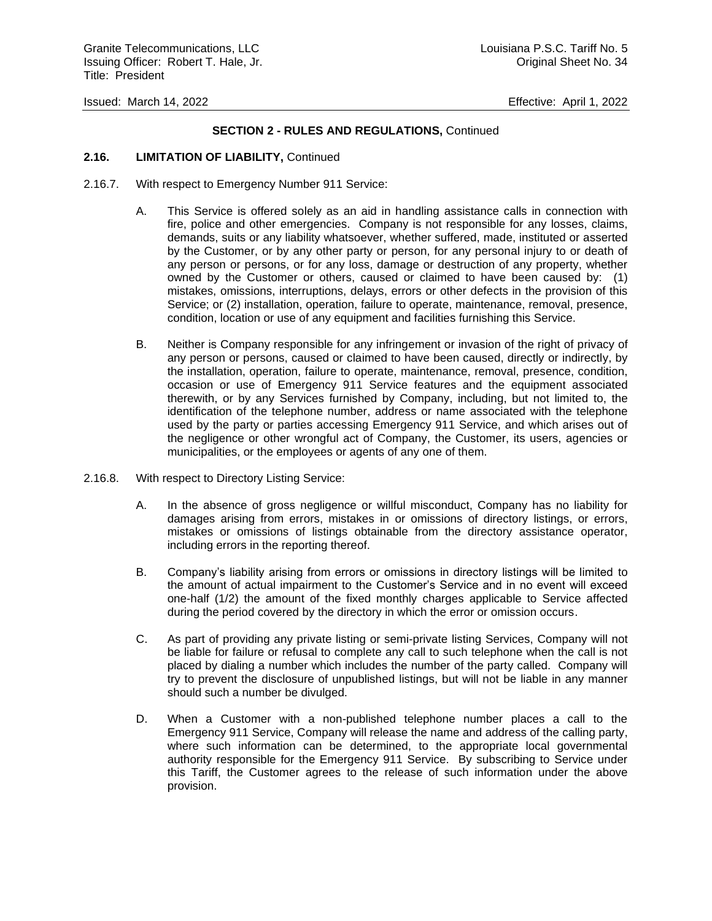## **SECTION 2 - RULES AND REGULATIONS,** Continued

## **2.16. LIMITATION OF LIABILITY,** Continued

- 2.16.7. With respect to Emergency Number 911 Service:
	- A. This Service is offered solely as an aid in handling assistance calls in connection with fire, police and other emergencies. Company is not responsible for any losses, claims, demands, suits or any liability whatsoever, whether suffered, made, instituted or asserted by the Customer, or by any other party or person, for any personal injury to or death of any person or persons, or for any loss, damage or destruction of any property, whether owned by the Customer or others, caused or claimed to have been caused by: (1) mistakes, omissions, interruptions, delays, errors or other defects in the provision of this Service; or (2) installation, operation, failure to operate, maintenance, removal, presence, condition, location or use of any equipment and facilities furnishing this Service.
	- B. Neither is Company responsible for any infringement or invasion of the right of privacy of any person or persons, caused or claimed to have been caused, directly or indirectly, by the installation, operation, failure to operate, maintenance, removal, presence, condition, occasion or use of Emergency 911 Service features and the equipment associated therewith, or by any Services furnished by Company, including, but not limited to, the identification of the telephone number, address or name associated with the telephone used by the party or parties accessing Emergency 911 Service, and which arises out of the negligence or other wrongful act of Company, the Customer, its users, agencies or municipalities, or the employees or agents of any one of them.
- 2.16.8. With respect to Directory Listing Service:
	- A. In the absence of gross negligence or willful misconduct, Company has no liability for damages arising from errors, mistakes in or omissions of directory listings, or errors, mistakes or omissions of listings obtainable from the directory assistance operator, including errors in the reporting thereof.
	- B. Company's liability arising from errors or omissions in directory listings will be limited to the amount of actual impairment to the Customer's Service and in no event will exceed one-half (1/2) the amount of the fixed monthly charges applicable to Service affected during the period covered by the directory in which the error or omission occurs.
	- C. As part of providing any private listing or semi-private listing Services, Company will not be liable for failure or refusal to complete any call to such telephone when the call is not placed by dialing a number which includes the number of the party called. Company will try to prevent the disclosure of unpublished listings, but will not be liable in any manner should such a number be divulged.
	- D. When a Customer with a non-published telephone number places a call to the Emergency 911 Service, Company will release the name and address of the calling party, where such information can be determined, to the appropriate local governmental authority responsible for the Emergency 911 Service. By subscribing to Service under this Tariff, the Customer agrees to the release of such information under the above provision.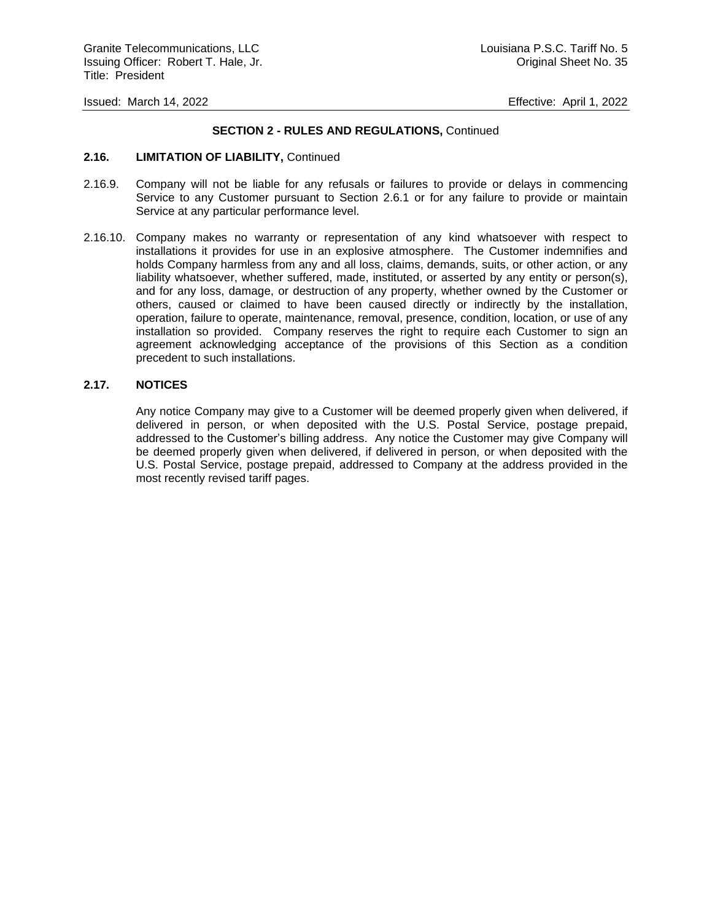## **SECTION 2 - RULES AND REGULATIONS,** Continued

#### **2.16. LIMITATION OF LIABILITY,** Continued

- 2.16.9. Company will not be liable for any refusals or failures to provide or delays in commencing Service to any Customer pursuant to Section 2.6.1 or for any failure to provide or maintain Service at any particular performance level.
- 2.16.10. Company makes no warranty or representation of any kind whatsoever with respect to installations it provides for use in an explosive atmosphere. The Customer indemnifies and holds Company harmless from any and all loss, claims, demands, suits, or other action, or any liability whatsoever, whether suffered, made, instituted, or asserted by any entity or person(s), and for any loss, damage, or destruction of any property, whether owned by the Customer or others, caused or claimed to have been caused directly or indirectly by the installation, operation, failure to operate, maintenance, removal, presence, condition, location, or use of any installation so provided. Company reserves the right to require each Customer to sign an agreement acknowledging acceptance of the provisions of this Section as a condition precedent to such installations.

## **2.17. NOTICES**

Any notice Company may give to a Customer will be deemed properly given when delivered, if delivered in person, or when deposited with the U.S. Postal Service, postage prepaid, addressed to the Customer's billing address. Any notice the Customer may give Company will be deemed properly given when delivered, if delivered in person, or when deposited with the U.S. Postal Service, postage prepaid, addressed to Company at the address provided in the most recently revised tariff pages.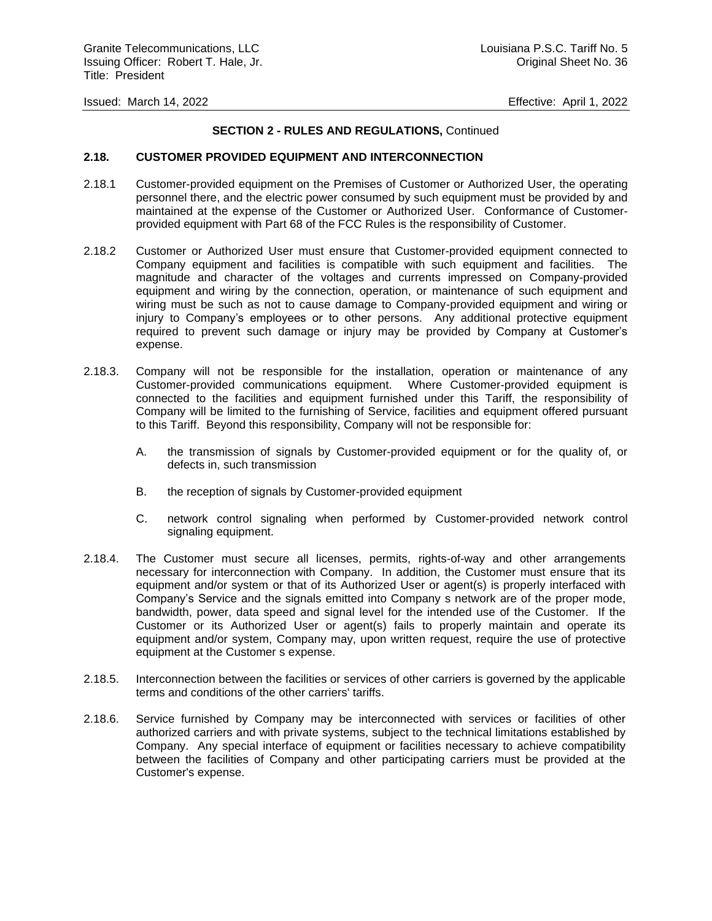### **SECTION 2 - RULES AND REGULATIONS,** Continued

#### **2.18. CUSTOMER PROVIDED EQUIPMENT AND INTERCONNECTION**

- 2.18.1 Customer-provided equipment on the Premises of Customer or Authorized User, the operating personnel there, and the electric power consumed by such equipment must be provided by and maintained at the expense of the Customer or Authorized User. Conformance of Customerprovided equipment with Part 68 of the FCC Rules is the responsibility of Customer.
- 2.18.2 Customer or Authorized User must ensure that Customer-provided equipment connected to Company equipment and facilities is compatible with such equipment and facilities. The magnitude and character of the voltages and currents impressed on Company-provided equipment and wiring by the connection, operation, or maintenance of such equipment and wiring must be such as not to cause damage to Company-provided equipment and wiring or injury to Company's employees or to other persons. Any additional protective equipment required to prevent such damage or injury may be provided by Company at Customer's expense.
- 2.18.3. Company will not be responsible for the installation, operation or maintenance of any Customer-provided communications equipment. Where Customer-provided equipment is connected to the facilities and equipment furnished under this Tariff, the responsibility of Company will be limited to the furnishing of Service, facilities and equipment offered pursuant to this Tariff. Beyond this responsibility, Company will not be responsible for:
	- A. the transmission of signals by Customer-provided equipment or for the quality of, or defects in, such transmission
	- B. the reception of signals by Customer-provided equipment
	- C. network control signaling when performed by Customer-provided network control signaling equipment.
- 2.18.4. The Customer must secure all licenses, permits, rights-of-way and other arrangements necessary for interconnection with Company. In addition, the Customer must ensure that its equipment and/or system or that of its Authorized User or agent(s) is properly interfaced with Company's Service and the signals emitted into Company s network are of the proper mode, bandwidth, power, data speed and signal level for the intended use of the Customer. If the Customer or its Authorized User or agent(s) fails to properly maintain and operate its equipment and/or system, Company may, upon written request, require the use of protective equipment at the Customer s expense.
- 2.18.5. Interconnection between the facilities or services of other carriers is governed by the applicable terms and conditions of the other carriers' tariffs.
- 2.18.6. Service furnished by Company may be interconnected with services or facilities of other authorized carriers and with private systems, subject to the technical limitations established by Company. Any special interface of equipment or facilities necessary to achieve compatibility between the facilities of Company and other participating carriers must be provided at the Customer's expense.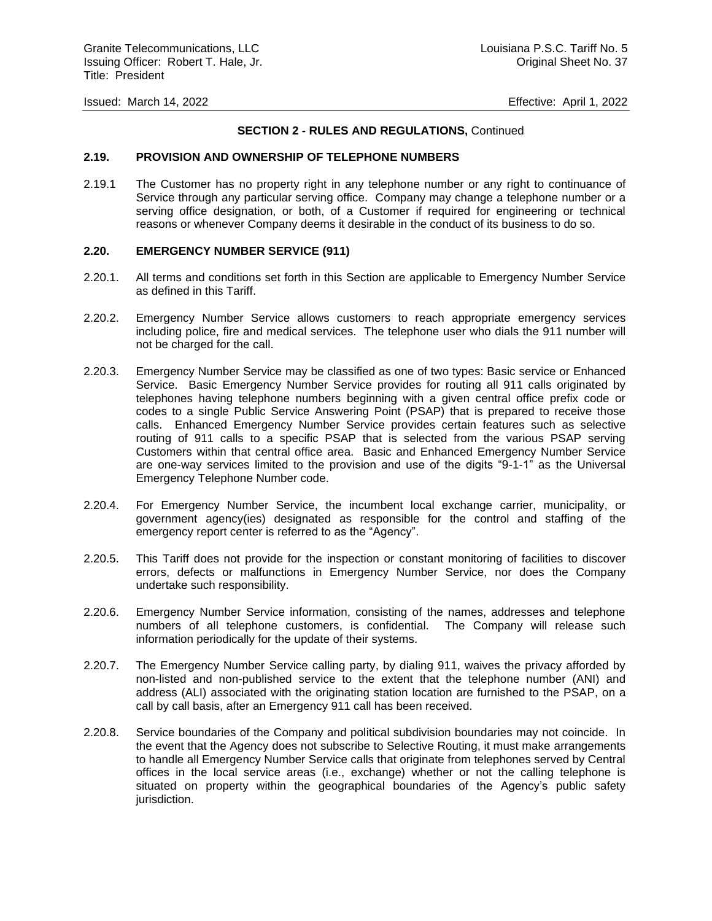### **SECTION 2 - RULES AND REGULATIONS,** Continued

#### **2.19. PROVISION AND OWNERSHIP OF TELEPHONE NUMBERS**

2.19.1 The Customer has no property right in any telephone number or any right to continuance of Service through any particular serving office. Company may change a telephone number or a serving office designation, or both, of a Customer if required for engineering or technical reasons or whenever Company deems it desirable in the conduct of its business to do so.

#### **2.20. EMERGENCY NUMBER SERVICE (911)**

- 2.20.1. All terms and conditions set forth in this Section are applicable to Emergency Number Service as defined in this Tariff.
- 2.20.2. Emergency Number Service allows customers to reach appropriate emergency services including police, fire and medical services. The telephone user who dials the 911 number will not be charged for the call.
- 2.20.3. Emergency Number Service may be classified as one of two types: Basic service or Enhanced Service. Basic Emergency Number Service provides for routing all 911 calls originated by telephones having telephone numbers beginning with a given central office prefix code or codes to a single Public Service Answering Point (PSAP) that is prepared to receive those calls. Enhanced Emergency Number Service provides certain features such as selective routing of 911 calls to a specific PSAP that is selected from the various PSAP serving Customers within that central office area. Basic and Enhanced Emergency Number Service are one-way services limited to the provision and use of the digits "9-1-1" as the Universal Emergency Telephone Number code.
- 2.20.4. For Emergency Number Service, the incumbent local exchange carrier, municipality, or government agency(ies) designated as responsible for the control and staffing of the emergency report center is referred to as the "Agency".
- 2.20.5. This Tariff does not provide for the inspection or constant monitoring of facilities to discover errors, defects or malfunctions in Emergency Number Service, nor does the Company undertake such responsibility.
- 2.20.6. Emergency Number Service information, consisting of the names, addresses and telephone numbers of all telephone customers, is confidential. The Company will release such information periodically for the update of their systems.
- 2.20.7. The Emergency Number Service calling party, by dialing 911, waives the privacy afforded by non-listed and non-published service to the extent that the telephone number (ANI) and address (ALI) associated with the originating station location are furnished to the PSAP, on a call by call basis, after an Emergency 911 call has been received.
- 2.20.8. Service boundaries of the Company and political subdivision boundaries may not coincide. In the event that the Agency does not subscribe to Selective Routing, it must make arrangements to handle all Emergency Number Service calls that originate from telephones served by Central offices in the local service areas (i.e., exchange) whether or not the calling telephone is situated on property within the geographical boundaries of the Agency's public safety jurisdiction.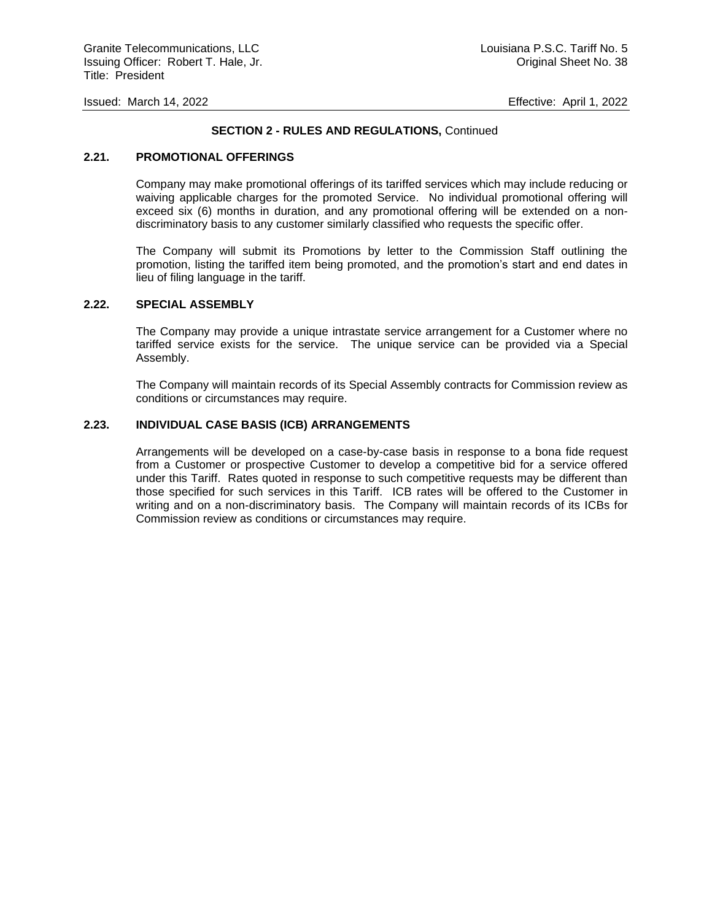### **SECTION 2 - RULES AND REGULATIONS,** Continued

#### **2.21. PROMOTIONAL OFFERINGS**

Company may make promotional offerings of its tariffed services which may include reducing or waiving applicable charges for the promoted Service. No individual promotional offering will exceed six (6) months in duration, and any promotional offering will be extended on a nondiscriminatory basis to any customer similarly classified who requests the specific offer.

The Company will submit its Promotions by letter to the Commission Staff outlining the promotion, listing the tariffed item being promoted, and the promotion's start and end dates in lieu of filing language in the tariff.

#### **2.22. SPECIAL ASSEMBLY**

The Company may provide a unique intrastate service arrangement for a Customer where no tariffed service exists for the service. The unique service can be provided via a Special Assembly.

The Company will maintain records of its Special Assembly contracts for Commission review as conditions or circumstances may require.

#### **2.23. INDIVIDUAL CASE BASIS (ICB) ARRANGEMENTS**

Arrangements will be developed on a case-by-case basis in response to a bona fide request from a Customer or prospective Customer to develop a competitive bid for a service offered under this Tariff. Rates quoted in response to such competitive requests may be different than those specified for such services in this Tariff. ICB rates will be offered to the Customer in writing and on a non-discriminatory basis. The Company will maintain records of its ICBs for Commission review as conditions or circumstances may require.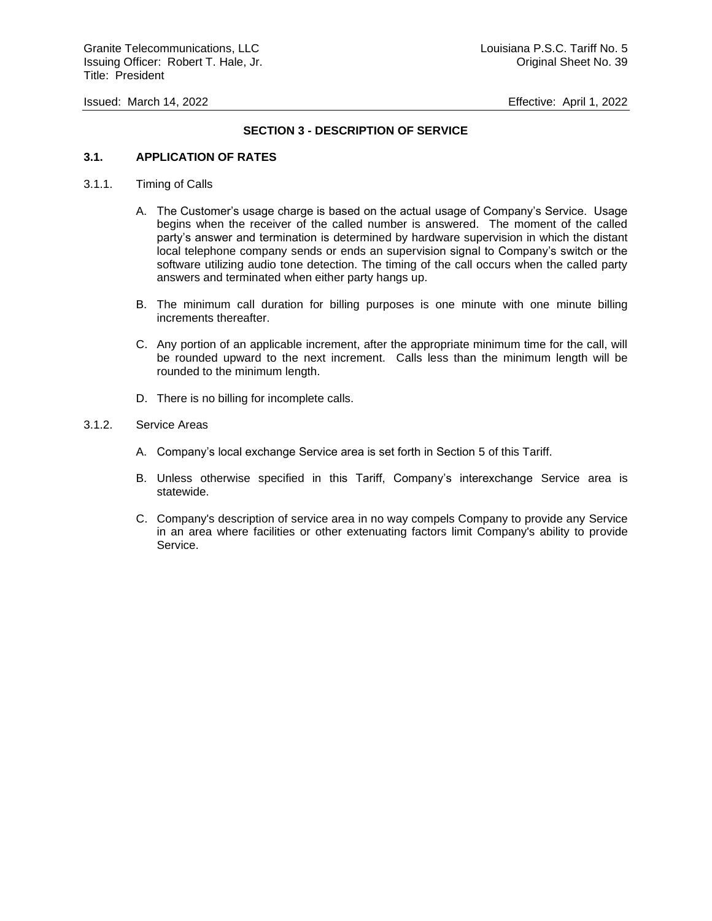### **SECTION 3 - DESCRIPTION OF SERVICE**

### **3.1. APPLICATION OF RATES**

- 3.1.1. Timing of Calls
	- A. The Customer's usage charge is based on the actual usage of Company's Service. Usage begins when the receiver of the called number is answered. The moment of the called party's answer and termination is determined by hardware supervision in which the distant local telephone company sends or ends an supervision signal to Company's switch or the software utilizing audio tone detection. The timing of the call occurs when the called party answers and terminated when either party hangs up.
	- B. The minimum call duration for billing purposes is one minute with one minute billing increments thereafter.
	- C. Any portion of an applicable increment, after the appropriate minimum time for the call, will be rounded upward to the next increment. Calls less than the minimum length will be rounded to the minimum length.
	- D. There is no billing for incomplete calls.

#### 3.1.2. Service Areas

- A. Company's local exchange Service area is set forth in Section 5 of this Tariff.
- B. Unless otherwise specified in this Tariff, Company's interexchange Service area is statewide.
- C. Company's description of service area in no way compels Company to provide any Service in an area where facilities or other extenuating factors limit Company's ability to provide Service.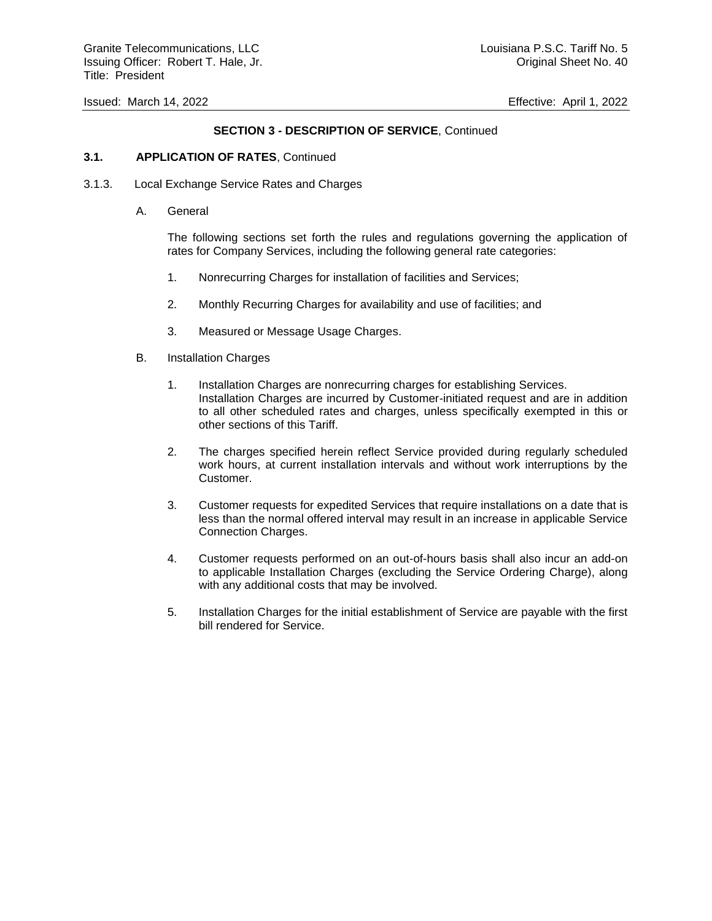# **SECTION 3 - DESCRIPTION OF SERVICE**, Continued

#### **3.1. APPLICATION OF RATES**, Continued

- 3.1.3. Local Exchange Service Rates and Charges
	- A. General

The following sections set forth the rules and regulations governing the application of rates for Company Services, including the following general rate categories:

- 1. Nonrecurring Charges for installation of facilities and Services;
- 2. Monthly Recurring Charges for availability and use of facilities; and
- 3. Measured or Message Usage Charges.
- B. Installation Charges
	- 1. Installation Charges are nonrecurring charges for establishing Services. Installation Charges are incurred by Customer-initiated request and are in addition to all other scheduled rates and charges, unless specifically exempted in this or other sections of this Tariff.
	- 2. The charges specified herein reflect Service provided during regularly scheduled work hours, at current installation intervals and without work interruptions by the Customer.
	- 3. Customer requests for expedited Services that require installations on a date that is less than the normal offered interval may result in an increase in applicable Service Connection Charges.
	- 4. Customer requests performed on an out-of-hours basis shall also incur an add-on to applicable Installation Charges (excluding the Service Ordering Charge), along with any additional costs that may be involved.
	- 5. Installation Charges for the initial establishment of Service are payable with the first bill rendered for Service.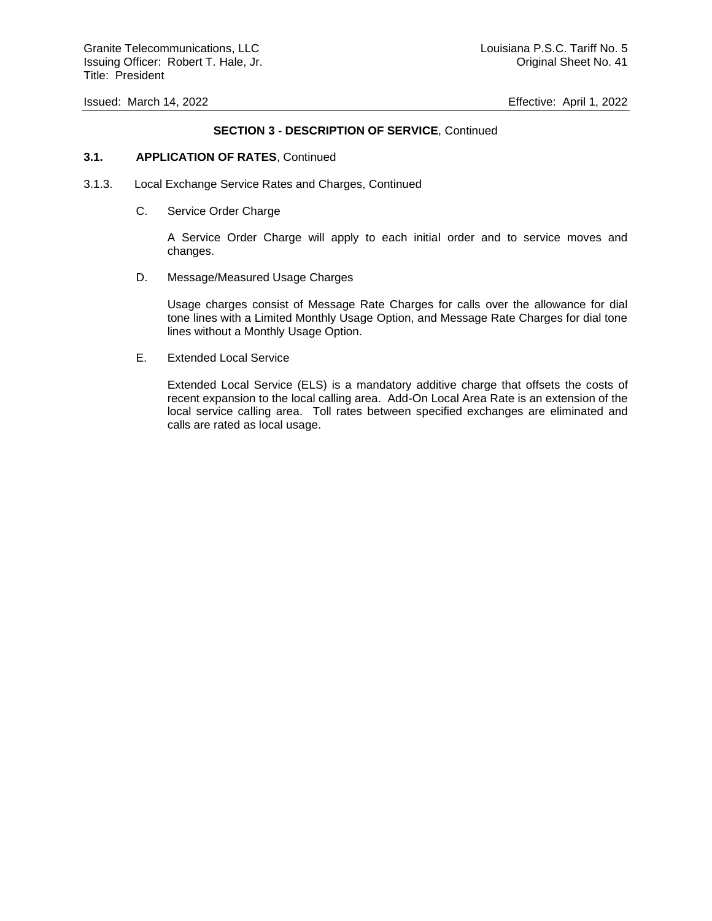### **SECTION 3 - DESCRIPTION OF SERVICE**, Continued

#### **3.1. APPLICATION OF RATES**, Continued

- 3.1.3. Local Exchange Service Rates and Charges, Continued
	- C. Service Order Charge

A Service Order Charge will apply to each initial order and to service moves and changes.

D. Message/Measured Usage Charges

Usage charges consist of Message Rate Charges for calls over the allowance for dial tone lines with a Limited Monthly Usage Option, and Message Rate Charges for dial tone lines without a Monthly Usage Option.

E. Extended Local Service

Extended Local Service (ELS) is a mandatory additive charge that offsets the costs of recent expansion to the local calling area. Add-On Local Area Rate is an extension of the local service calling area. Toll rates between specified exchanges are eliminated and calls are rated as local usage.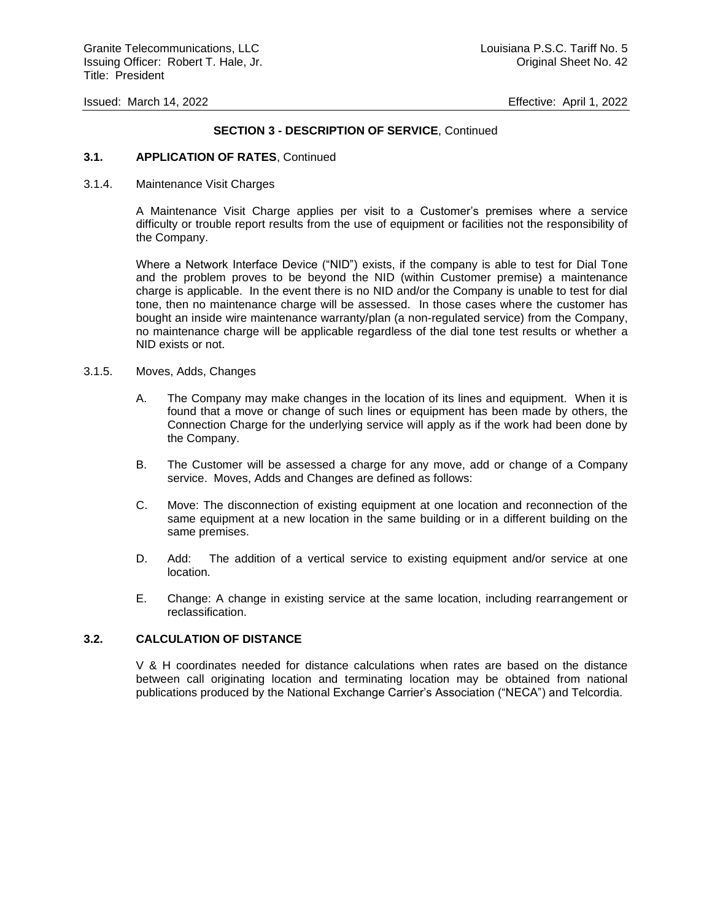#### **SECTION 3 - DESCRIPTION OF SERVICE**, Continued

#### **3.1. APPLICATION OF RATES**, Continued

3.1.4. Maintenance Visit Charges

A Maintenance Visit Charge applies per visit to a Customer's premises where a service difficulty or trouble report results from the use of equipment or facilities not the responsibility of the Company.

Where a Network Interface Device ("NID") exists, if the company is able to test for Dial Tone and the problem proves to be beyond the NID (within Customer premise) a maintenance charge is applicable. In the event there is no NID and/or the Company is unable to test for dial tone, then no maintenance charge will be assessed. In those cases where the customer has bought an inside wire maintenance warranty/plan (a non-regulated service) from the Company, no maintenance charge will be applicable regardless of the dial tone test results or whether a NID exists or not.

- 3.1.5. Moves, Adds, Changes
	- A. The Company may make changes in the location of its lines and equipment. When it is found that a move or change of such lines or equipment has been made by others, the Connection Charge for the underlying service will apply as if the work had been done by the Company.
	- B. The Customer will be assessed a charge for any move, add or change of a Company service. Moves, Adds and Changes are defined as follows:
	- C. Move: The disconnection of existing equipment at one location and reconnection of the same equipment at a new location in the same building or in a different building on the same premises.
	- D. Add: The addition of a vertical service to existing equipment and/or service at one location.
	- E. Change: A change in existing service at the same location, including rearrangement or reclassification.

#### **3.2. CALCULATION OF DISTANCE**

V & H coordinates needed for distance calculations when rates are based on the distance between call originating location and terminating location may be obtained from national publications produced by the National Exchange Carrier's Association ("NECA") and Telcordia.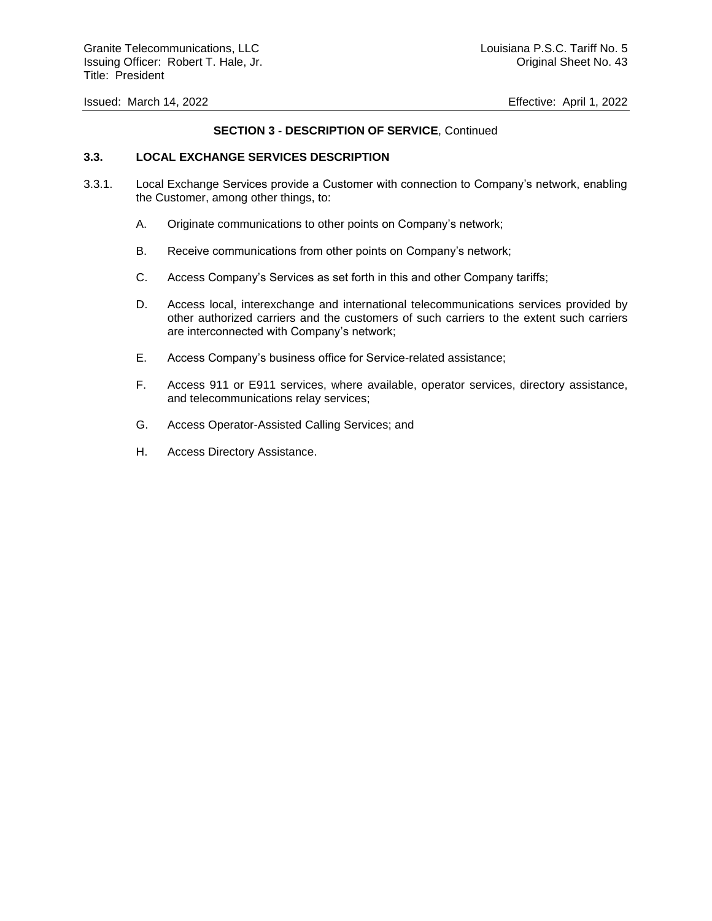# **SECTION 3 - DESCRIPTION OF SERVICE**, Continued

### **3.3. LOCAL EXCHANGE SERVICES DESCRIPTION**

- 3.3.1. Local Exchange Services provide a Customer with connection to Company's network, enabling the Customer, among other things, to:
	- A. Originate communications to other points on Company's network;
	- B. Receive communications from other points on Company's network;
	- C. Access Company's Services as set forth in this and other Company tariffs;
	- D. Access local, interexchange and international telecommunications services provided by other authorized carriers and the customers of such carriers to the extent such carriers are interconnected with Company's network;
	- E. Access Company's business office for Service-related assistance;
	- F. Access 911 or E911 services, where available, operator services, directory assistance, and telecommunications relay services;
	- G. Access Operator-Assisted Calling Services; and
	- H. Access Directory Assistance.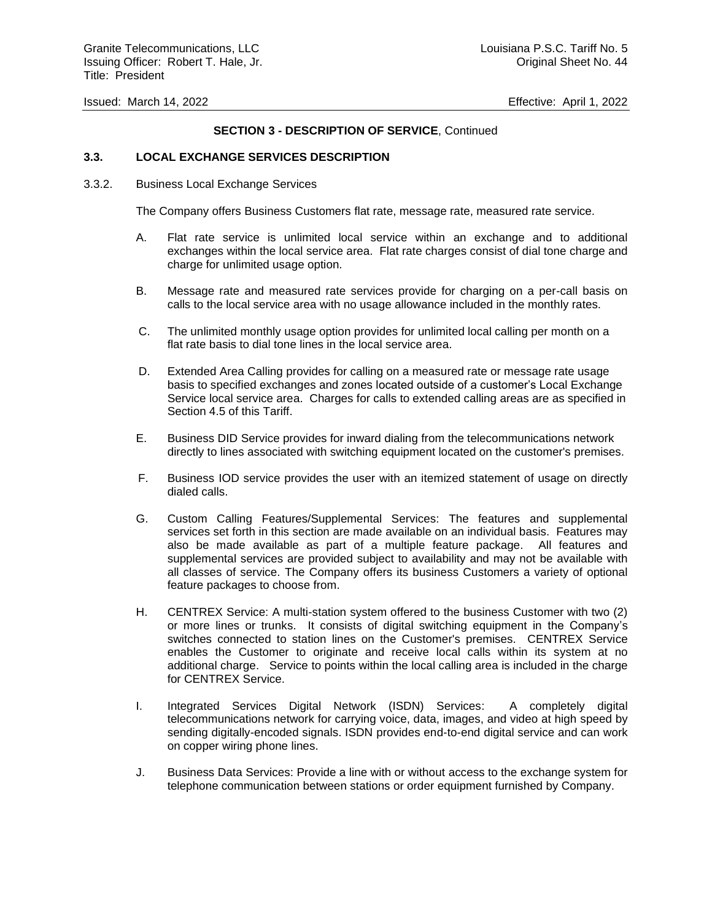### **SECTION 3 - DESCRIPTION OF SERVICE**, Continued

### **3.3. LOCAL EXCHANGE SERVICES DESCRIPTION**

#### 3.3.2. Business Local Exchange Services

The Company offers Business Customers flat rate, message rate, measured rate service.

- A. Flat rate service is unlimited local service within an exchange and to additional exchanges within the local service area. Flat rate charges consist of dial tone charge and charge for unlimited usage option.
- B. Message rate and measured rate services provide for charging on a per-call basis on calls to the local service area with no usage allowance included in the monthly rates.
- C. The unlimited monthly usage option provides for unlimited local calling per month on a flat rate basis to dial tone lines in the local service area.
- D. Extended Area Calling provides for calling on a measured rate or message rate usage basis to specified exchanges and zones located outside of a customer's Local Exchange Service local service area. Charges for calls to extended calling areas are as specified in Section 4.5 of this Tariff.
- E. Business DID Service provides for inward dialing from the telecommunications network directly to lines associated with switching equipment located on the customer's premises.
- F. Business IOD service provides the user with an itemized statement of usage on directly dialed calls.
- G. Custom Calling Features/Supplemental Services: The features and supplemental services set forth in this section are made available on an individual basis. Features may also be made available as part of a multiple feature package. All features and supplemental services are provided subject to availability and may not be available with all classes of service. The Company offers its business Customers a variety of optional feature packages to choose from.
- H. CENTREX Service: A multi-station system offered to the business Customer with two (2) or more lines or trunks. It consists of digital switching equipment in the Company's switches connected to station lines on the Customer's premises. CENTREX Service enables the Customer to originate and receive local calls within its system at no additional charge. Service to points within the local calling area is included in the charge for CENTREX Service.
- I. Integrated Services Digital Network (ISDN) Services: A completely digital telecommunications network for carrying voice, data, images, and video at high speed by sending digitally-encoded signals. ISDN provides end-to-end digital service and can work on copper wiring phone lines.
- J. Business Data Services: Provide a line with or without access to the exchange system for telephone communication between stations or order equipment furnished by Company.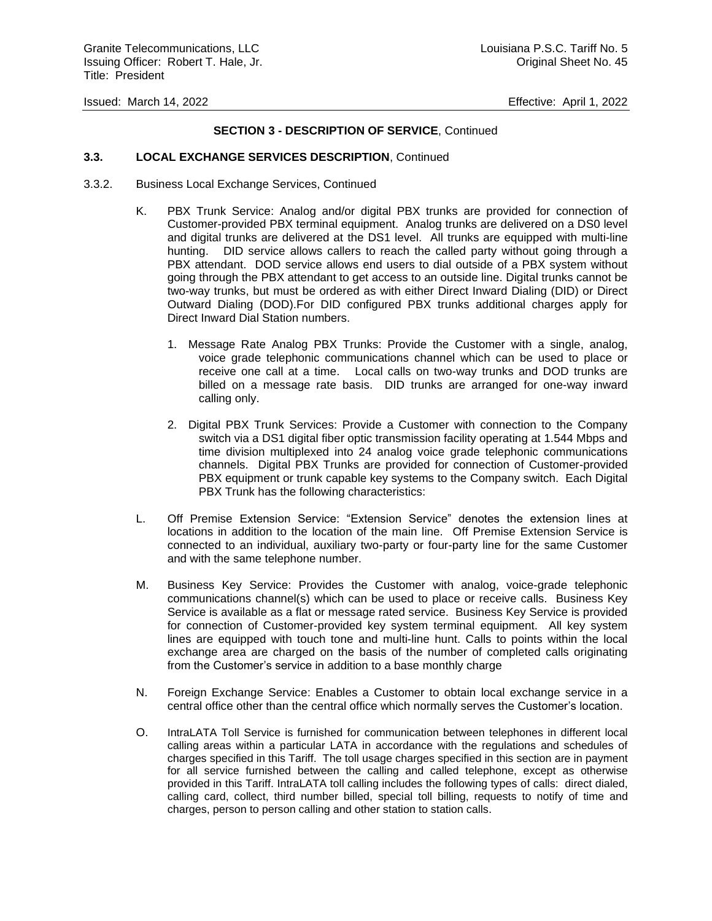### **SECTION 3 - DESCRIPTION OF SERVICE**, Continued

#### **3.3. LOCAL EXCHANGE SERVICES DESCRIPTION**, Continued

- 3.3.2. Business Local Exchange Services, Continued
	- K. PBX Trunk Service: Analog and/or digital PBX trunks are provided for connection of Customer-provided PBX terminal equipment. Analog trunks are delivered on a DS0 level and digital trunks are delivered at the DS1 level. All trunks are equipped with multi-line hunting. DID service allows callers to reach the called party without going through a PBX attendant. DOD service allows end users to dial outside of a PBX system without going through the PBX attendant to get access to an outside line. Digital trunks cannot be two-way trunks, but must be ordered as with either Direct Inward Dialing (DID) or Direct Outward Dialing (DOD).For DID configured PBX trunks additional charges apply for Direct Inward Dial Station numbers.
		- 1. Message Rate Analog PBX Trunks: Provide the Customer with a single, analog, voice grade telephonic communications channel which can be used to place or receive one call at a time. Local calls on two-way trunks and DOD trunks are billed on a message rate basis. DID trunks are arranged for one-way inward calling only.
		- 2. Digital PBX Trunk Services: Provide a Customer with connection to the Company switch via a DS1 digital fiber optic transmission facility operating at 1.544 Mbps and time division multiplexed into 24 analog voice grade telephonic communications channels. Digital PBX Trunks are provided for connection of Customer-provided PBX equipment or trunk capable key systems to the Company switch. Each Digital PBX Trunk has the following characteristics:
	- L. Off Premise Extension Service: "Extension Service" denotes the extension lines at locations in addition to the location of the main line. Off Premise Extension Service is connected to an individual, auxiliary two-party or four-party line for the same Customer and with the same telephone number.
	- M. Business Key Service: Provides the Customer with analog, voice-grade telephonic communications channel(s) which can be used to place or receive calls. Business Key Service is available as a flat or message rated service. Business Key Service is provided for connection of Customer-provided key system terminal equipment. All key system lines are equipped with touch tone and multi-line hunt. Calls to points within the local exchange area are charged on the basis of the number of completed calls originating from the Customer's service in addition to a base monthly charge
	- N. Foreign Exchange Service: Enables a Customer to obtain local exchange service in a central office other than the central office which normally serves the Customer's location.
	- O. IntraLATA Toll Service is furnished for communication between telephones in different local calling areas within a particular LATA in accordance with the regulations and schedules of charges specified in this Tariff. The toll usage charges specified in this section are in payment for all service furnished between the calling and called telephone, except as otherwise provided in this Tariff. IntraLATA toll calling includes the following types of calls: direct dialed, calling card, collect, third number billed, special toll billing, requests to notify of time and charges, person to person calling and other station to station calls.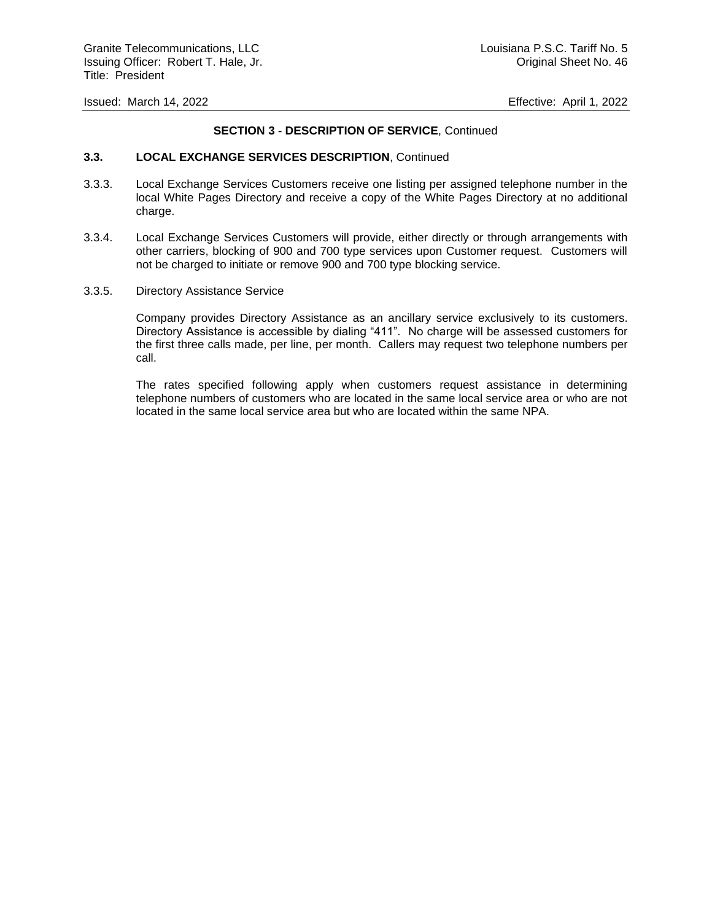### **SECTION 3 - DESCRIPTION OF SERVICE**, Continued

#### **3.3. LOCAL EXCHANGE SERVICES DESCRIPTION**, Continued

- 3.3.3. Local Exchange Services Customers receive one listing per assigned telephone number in the local White Pages Directory and receive a copy of the White Pages Directory at no additional charge.
- 3.3.4. Local Exchange Services Customers will provide, either directly or through arrangements with other carriers, blocking of 900 and 700 type services upon Customer request. Customers will not be charged to initiate or remove 900 and 700 type blocking service.
- 3.3.5. Directory Assistance Service

Company provides Directory Assistance as an ancillary service exclusively to its customers. Directory Assistance is accessible by dialing "411". No charge will be assessed customers for the first three calls made, per line, per month. Callers may request two telephone numbers per call.

The rates specified following apply when customers request assistance in determining telephone numbers of customers who are located in the same local service area or who are not located in the same local service area but who are located within the same NPA.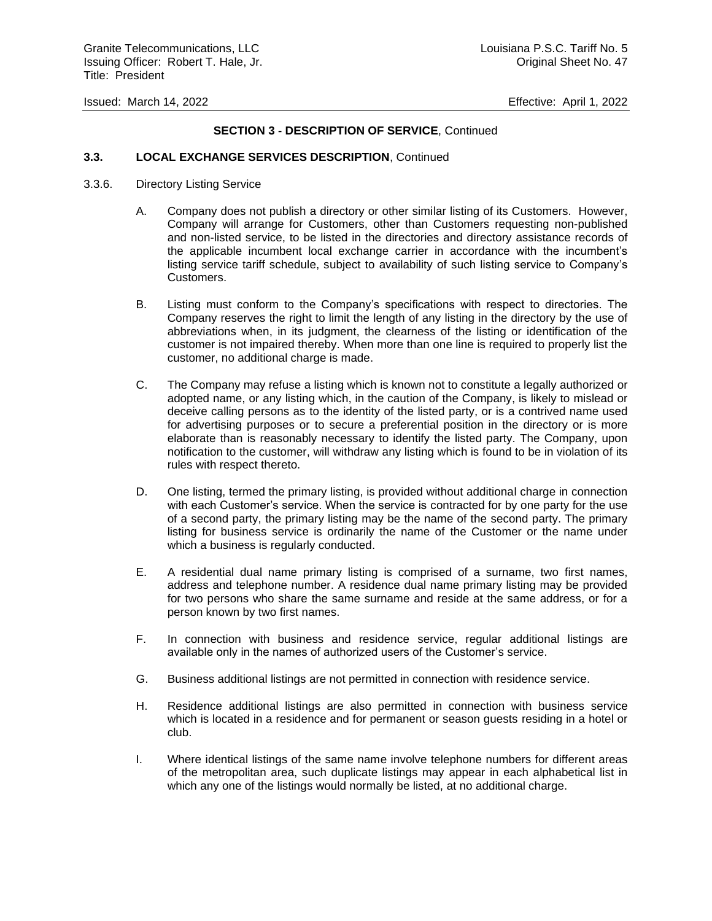### **SECTION 3 - DESCRIPTION OF SERVICE**, Continued

### **3.3. LOCAL EXCHANGE SERVICES DESCRIPTION**, Continued

- 3.3.6. Directory Listing Service
	- A. Company does not publish a directory or other similar listing of its Customers. However, Company will arrange for Customers, other than Customers requesting non-published and non-listed service, to be listed in the directories and directory assistance records of the applicable incumbent local exchange carrier in accordance with the incumbent's listing service tariff schedule, subject to availability of such listing service to Company's Customers.
	- B. Listing must conform to the Company's specifications with respect to directories. The Company reserves the right to limit the length of any listing in the directory by the use of abbreviations when, in its judgment, the clearness of the listing or identification of the customer is not impaired thereby. When more than one line is required to properly list the customer, no additional charge is made.
	- C. The Company may refuse a listing which is known not to constitute a legally authorized or adopted name, or any listing which, in the caution of the Company, is likely to mislead or deceive calling persons as to the identity of the listed party, or is a contrived name used for advertising purposes or to secure a preferential position in the directory or is more elaborate than is reasonably necessary to identify the listed party. The Company, upon notification to the customer, will withdraw any listing which is found to be in violation of its rules with respect thereto.
	- D. One listing, termed the primary listing, is provided without additional charge in connection with each Customer's service. When the service is contracted for by one party for the use of a second party, the primary listing may be the name of the second party. The primary listing for business service is ordinarily the name of the Customer or the name under which a business is regularly conducted.
	- E. A residential dual name primary listing is comprised of a surname, two first names, address and telephone number. A residence dual name primary listing may be provided for two persons who share the same surname and reside at the same address, or for a person known by two first names.
	- F. In connection with business and residence service, regular additional listings are available only in the names of authorized users of the Customer's service.
	- G. Business additional listings are not permitted in connection with residence service.
	- H. Residence additional listings are also permitted in connection with business service which is located in a residence and for permanent or season guests residing in a hotel or club.
	- I. Where identical listings of the same name involve telephone numbers for different areas of the metropolitan area, such duplicate listings may appear in each alphabetical list in which any one of the listings would normally be listed, at no additional charge.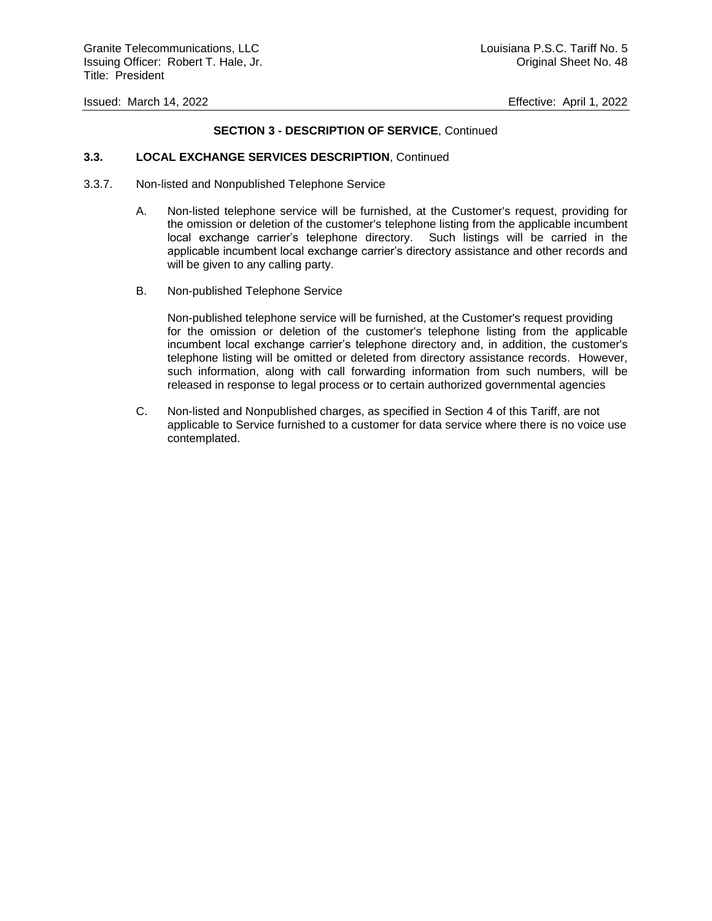### **SECTION 3 - DESCRIPTION OF SERVICE**, Continued

#### **3.3. LOCAL EXCHANGE SERVICES DESCRIPTION**, Continued

- 3.3.7. Non-listed and Nonpublished Telephone Service
	- A. Non-listed telephone service will be furnished, at the Customer's request, providing for the omission or deletion of the customer's telephone listing from the applicable incumbent local exchange carrier's telephone directory. Such listings will be carried in the applicable incumbent local exchange carrier's directory assistance and other records and will be given to any calling party.
	- B. Non-published Telephone Service

Non-published telephone service will be furnished, at the Customer's request providing for the omission or deletion of the customer's telephone listing from the applicable incumbent local exchange carrier's telephone directory and, in addition, the customer's telephone listing will be omitted or deleted from directory assistance records. However, such information, along with call forwarding information from such numbers, will be released in response to legal process or to certain authorized governmental agencies

C. Non-listed and Nonpublished charges, as specified in Section 4 of this Tariff, are not applicable to Service furnished to a customer for data service where there is no voice use contemplated.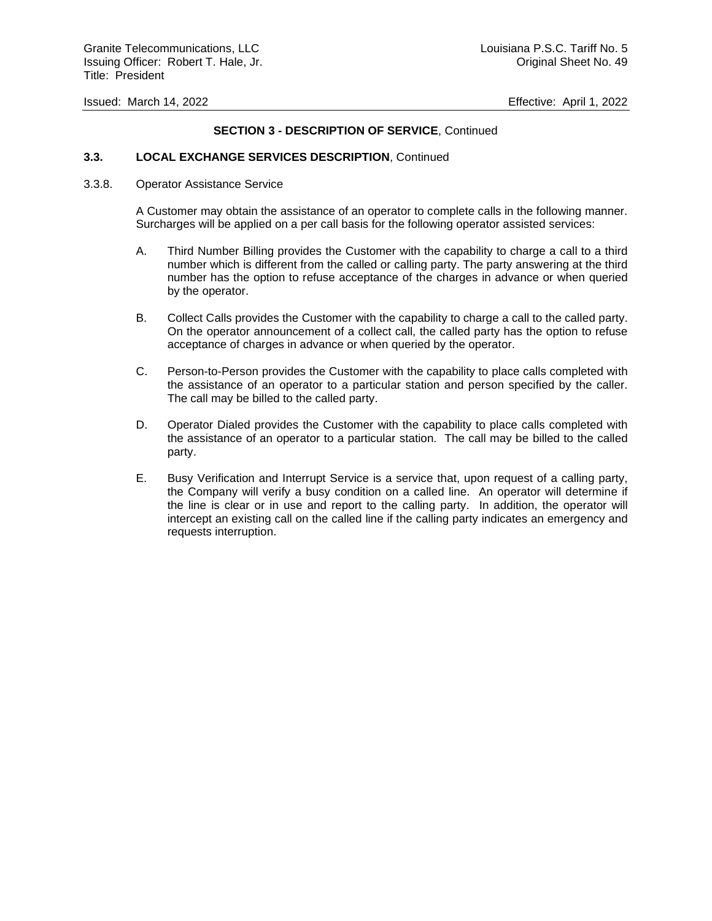### **SECTION 3 - DESCRIPTION OF SERVICE**, Continued

#### **3.3. LOCAL EXCHANGE SERVICES DESCRIPTION**, Continued

#### 3.3.8. Operator Assistance Service

A Customer may obtain the assistance of an operator to complete calls in the following manner. Surcharges will be applied on a per call basis for the following operator assisted services:

- A. Third Number Billing provides the Customer with the capability to charge a call to a third number which is different from the called or calling party. The party answering at the third number has the option to refuse acceptance of the charges in advance or when queried by the operator.
- B. Collect Calls provides the Customer with the capability to charge a call to the called party. On the operator announcement of a collect call, the called party has the option to refuse acceptance of charges in advance or when queried by the operator.
- C. Person-to-Person provides the Customer with the capability to place calls completed with the assistance of an operator to a particular station and person specified by the caller. The call may be billed to the called party.
- D. Operator Dialed provides the Customer with the capability to place calls completed with the assistance of an operator to a particular station. The call may be billed to the called party.
- E. Busy Verification and Interrupt Service is a service that, upon request of a calling party, the Company will verify a busy condition on a called line. An operator will determine if the line is clear or in use and report to the calling party. In addition, the operator will intercept an existing call on the called line if the calling party indicates an emergency and requests interruption.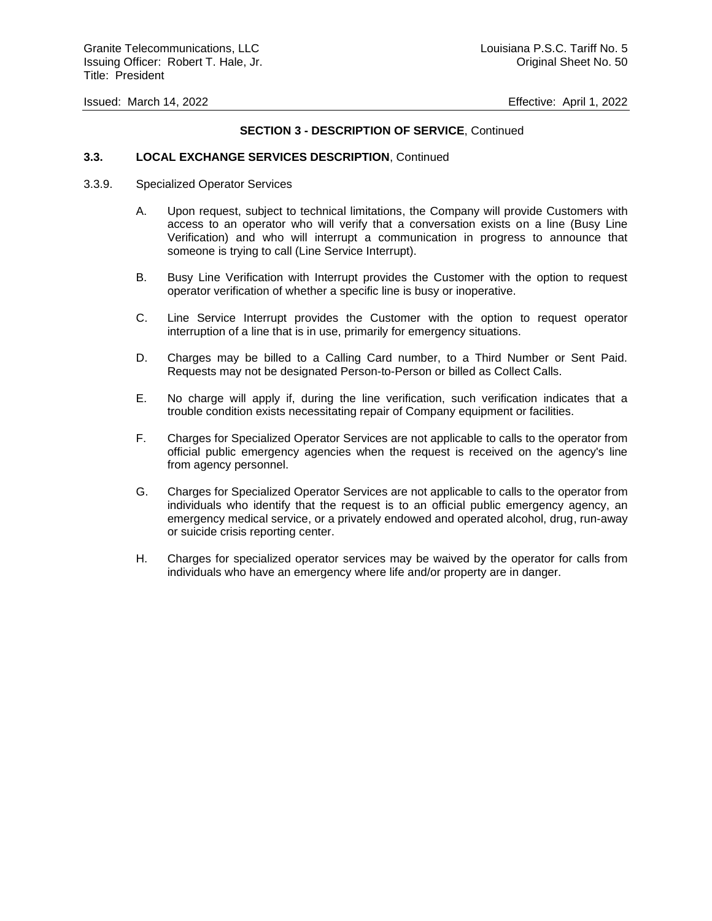#### **SECTION 3 - DESCRIPTION OF SERVICE**, Continued

#### **3.3. LOCAL EXCHANGE SERVICES DESCRIPTION**, Continued

- 3.3.9. Specialized Operator Services
	- A. Upon request, subject to technical limitations, the Company will provide Customers with access to an operator who will verify that a conversation exists on a line (Busy Line Verification) and who will interrupt a communication in progress to announce that someone is trying to call (Line Service Interrupt).
	- B. Busy Line Verification with Interrupt provides the Customer with the option to request operator verification of whether a specific line is busy or inoperative.
	- C. Line Service Interrupt provides the Customer with the option to request operator interruption of a line that is in use, primarily for emergency situations.
	- D. Charges may be billed to a Calling Card number, to a Third Number or Sent Paid. Requests may not be designated Person-to-Person or billed as Collect Calls.
	- E. No charge will apply if, during the line verification, such verification indicates that a trouble condition exists necessitating repair of Company equipment or facilities.
	- F. Charges for Specialized Operator Services are not applicable to calls to the operator from official public emergency agencies when the request is received on the agency's line from agency personnel.
	- G. Charges for Specialized Operator Services are not applicable to calls to the operator from individuals who identify that the request is to an official public emergency agency, an emergency medical service, or a privately endowed and operated alcohol, drug, run-away or suicide crisis reporting center.
	- H. Charges for specialized operator services may be waived by the operator for calls from individuals who have an emergency where life and/or property are in danger.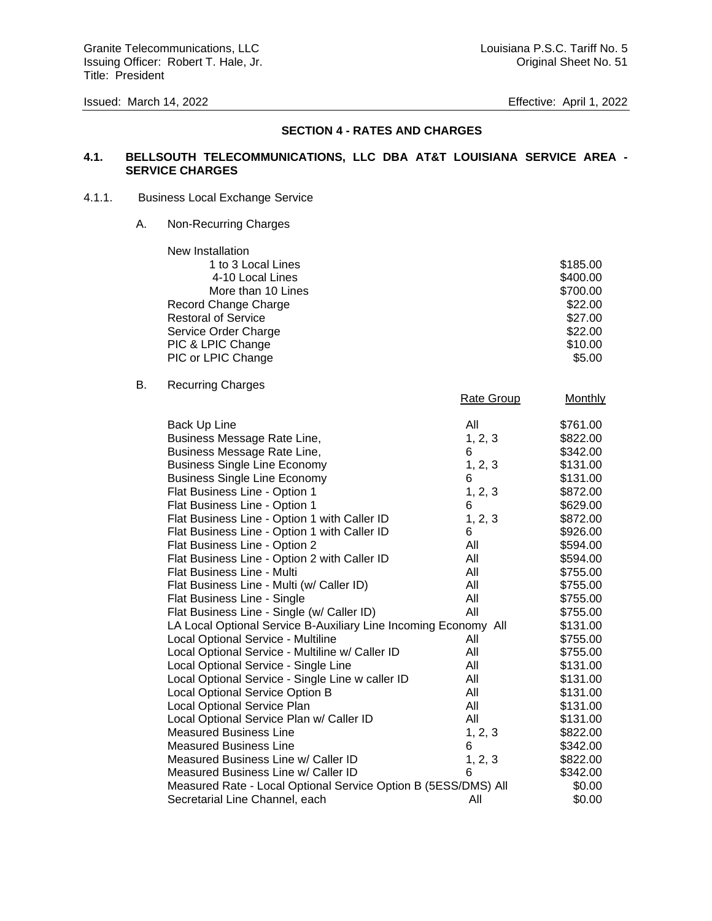# **SECTION 4 - RATES AND CHARGES**

### **4.1. BELLSOUTH TELECOMMUNICATIONS, LLC DBA AT&T LOUISIANA SERVICE AREA - SERVICE CHARGES**

### 4.1.1. Business Local Exchange Service

A. Non-Recurring Charges

| New Installation           |          |
|----------------------------|----------|
| 1 to 3 Local Lines         | \$185.00 |
| 4-10 Local Lines           | \$400.00 |
| More than 10 Lines         | \$700.00 |
| Record Change Charge       | \$22.00  |
| <b>Restoral of Service</b> | \$27.00  |
| Service Order Charge       | \$22.00  |
| PIC & LPIC Change          | \$10.00  |
| PIC or LPIC Change         | \$5.00   |

### B. Recurring Charges

|                                                                 | <b>Rate Group</b> | <b>Monthly</b> |
|-----------------------------------------------------------------|-------------------|----------------|
| Back Up Line                                                    | All               | \$761.00       |
| Business Message Rate Line,                                     | 1, 2, 3           | \$822.00       |
| Business Message Rate Line,                                     | 6                 | \$342.00       |
| <b>Business Single Line Economy</b>                             | 1, 2, 3           | \$131.00       |
| <b>Business Single Line Economy</b>                             | 6                 | \$131.00       |
| Flat Business Line - Option 1                                   | 1, 2, 3           | \$872.00       |
| Flat Business Line - Option 1                                   | 6                 | \$629.00       |
| Flat Business Line - Option 1 with Caller ID                    | 1, 2, 3           | \$872.00       |
| Flat Business Line - Option 1 with Caller ID                    | 6                 | \$926.00       |
| Flat Business Line - Option 2                                   | All               | \$594.00       |
| Flat Business Line - Option 2 with Caller ID                    | All               | \$594.00       |
| Flat Business Line - Multi                                      | All               | \$755.00       |
| Flat Business Line - Multi (w/ Caller ID)                       | All               | \$755.00       |
| Flat Business Line - Single                                     | All               | \$755.00       |
| Flat Business Line - Single (w/ Caller ID)                      | All               | \$755.00       |
| LA Local Optional Service B-Auxiliary Line Incoming Economy All |                   | \$131.00       |
| Local Optional Service - Multiline                              | All               | \$755.00       |
| Local Optional Service - Multiline w/ Caller ID                 | All               | \$755.00       |
| Local Optional Service - Single Line                            | All               | \$131.00       |
| Local Optional Service - Single Line w caller ID                | All               | \$131.00       |
| Local Optional Service Option B                                 | All               | \$131.00       |
| Local Optional Service Plan                                     | All               | \$131.00       |
| Local Optional Service Plan w/ Caller ID                        | All               | \$131.00       |
| <b>Measured Business Line</b>                                   | 1, 2, 3           | \$822.00       |
| <b>Measured Business Line</b>                                   | 6                 | \$342.00       |
| Measured Business Line w/ Caller ID                             | 1, 2, 3           | \$822.00       |
| Measured Business Line w/ Caller ID                             | 6                 | \$342.00       |
| Measured Rate - Local Optional Service Option B (5ESS/DMS) All  |                   | \$0.00         |
| Secretarial Line Channel, each                                  | All               | \$0.00         |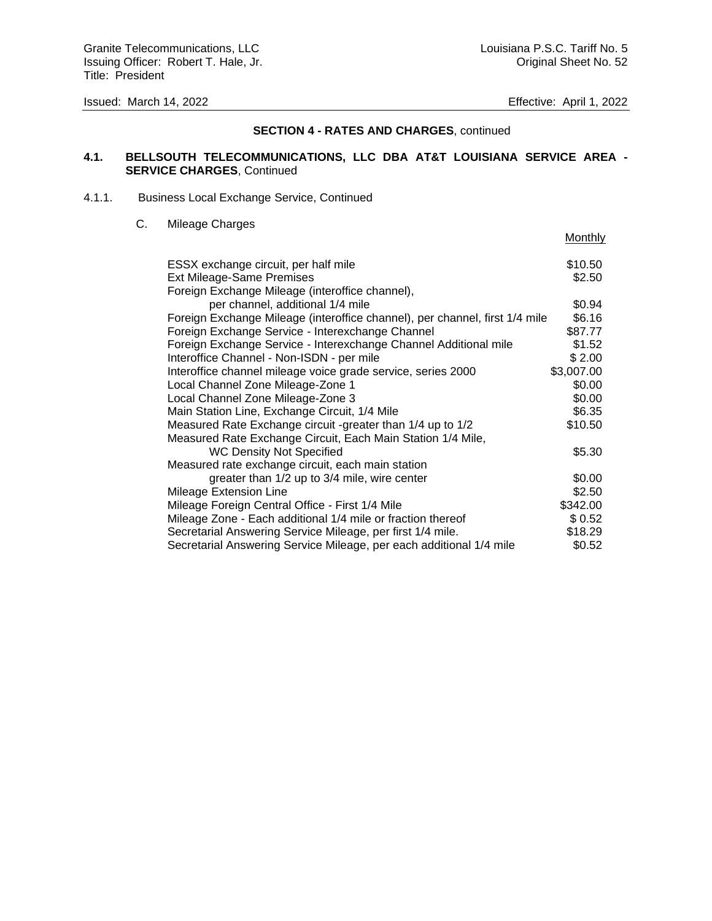**Monthly** 

### **SECTION 4 - RATES AND CHARGES**, continued

### **4.1. BELLSOUTH TELECOMMUNICATIONS, LLC DBA AT&T LOUISIANA SERVICE AREA - SERVICE CHARGES**, Continued

#### 4.1.1. Business Local Exchange Service, Continued

### C. Mileage Charges

| ESSX exchange circuit, per half mile                                        | \$10.50    |
|-----------------------------------------------------------------------------|------------|
| <b>Ext Mileage-Same Premises</b>                                            | \$2.50     |
| Foreign Exchange Mileage (interoffice channel),                             |            |
| per channel, additional 1/4 mile                                            | \$0.94     |
| Foreign Exchange Mileage (interoffice channel), per channel, first 1/4 mile | \$6.16     |
| Foreign Exchange Service - Interexchange Channel                            | \$87.77    |
| Foreign Exchange Service - Interexchange Channel Additional mile            | \$1.52     |
| Interoffice Channel - Non-ISDN - per mile                                   | \$2.00     |
| Interoffice channel mileage voice grade service, series 2000                | \$3,007.00 |
| Local Channel Zone Mileage-Zone 1                                           | \$0.00     |
| Local Channel Zone Mileage-Zone 3                                           | \$0.00     |
| Main Station Line, Exchange Circuit, 1/4 Mile                               | \$6.35     |
| Measured Rate Exchange circuit -greater than 1/4 up to 1/2                  | \$10.50    |
| Measured Rate Exchange Circuit, Each Main Station 1/4 Mile,                 |            |
| <b>WC Density Not Specified</b>                                             | \$5.30     |
| Measured rate exchange circuit, each main station                           |            |
| greater than 1/2 up to 3/4 mile, wire center                                | \$0.00     |
| Mileage Extension Line                                                      | \$2.50     |
| Mileage Foreign Central Office - First 1/4 Mile                             | \$342.00   |
| Mileage Zone - Each additional 1/4 mile or fraction thereof                 | \$0.52     |
| Secretarial Answering Service Mileage, per first 1/4 mile.                  | \$18.29    |
| Secretarial Answering Service Mileage, per each additional 1/4 mile         | \$0.52     |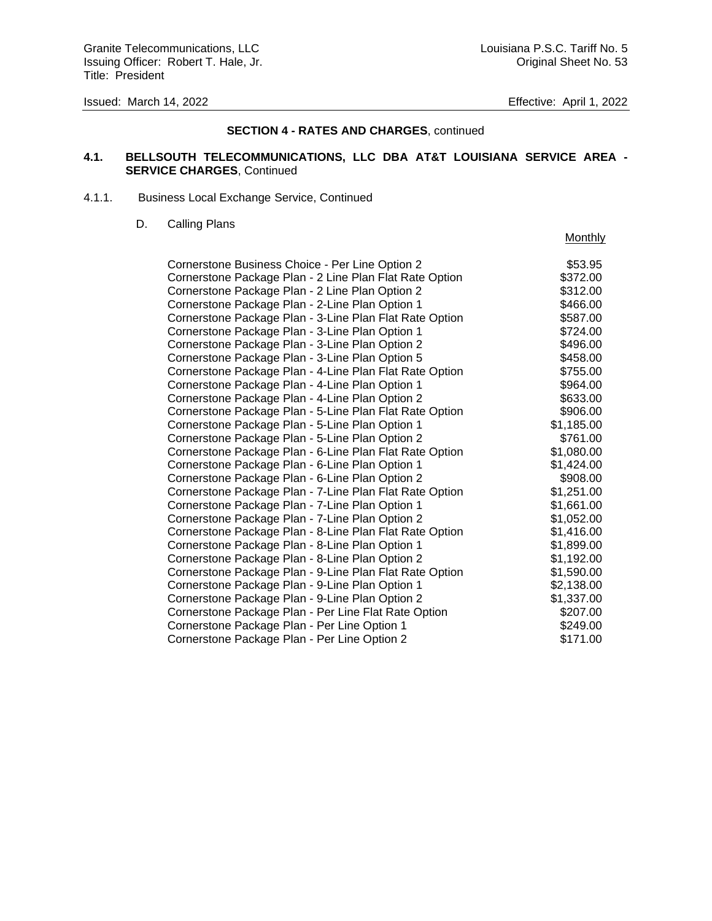### **SECTION 4 - RATES AND CHARGES**, continued

### **4.1. BELLSOUTH TELECOMMUNICATIONS, LLC DBA AT&T LOUISIANA SERVICE AREA - SERVICE CHARGES**, Continued

#### 4.1.1. Business Local Exchange Service, Continued

#### D. Calling Plans

### **Monthly**

| Cornerstone Business Choice - Per Line Option 2         | \$53.95    |
|---------------------------------------------------------|------------|
| Cornerstone Package Plan - 2 Line Plan Flat Rate Option | \$372.00   |
| Cornerstone Package Plan - 2 Line Plan Option 2         | \$312.00   |
| Cornerstone Package Plan - 2-Line Plan Option 1         | \$466.00   |
| Cornerstone Package Plan - 3-Line Plan Flat Rate Option | \$587.00   |
| Cornerstone Package Plan - 3-Line Plan Option 1         | \$724.00   |
| Cornerstone Package Plan - 3-Line Plan Option 2         | \$496.00   |
| Cornerstone Package Plan - 3-Line Plan Option 5         | \$458.00   |
| Cornerstone Package Plan - 4-Line Plan Flat Rate Option | \$755.00   |
| Cornerstone Package Plan - 4-Line Plan Option 1         | \$964.00   |
| Cornerstone Package Plan - 4-Line Plan Option 2         | \$633.00   |
| Cornerstone Package Plan - 5-Line Plan Flat Rate Option | \$906.00   |
| Cornerstone Package Plan - 5-Line Plan Option 1         | \$1,185.00 |
| Cornerstone Package Plan - 5-Line Plan Option 2         | \$761.00   |
| Cornerstone Package Plan - 6-Line Plan Flat Rate Option | \$1,080.00 |
| Cornerstone Package Plan - 6-Line Plan Option 1         | \$1,424.00 |
| Cornerstone Package Plan - 6-Line Plan Option 2         | \$908.00   |
| Cornerstone Package Plan - 7-Line Plan Flat Rate Option | \$1,251.00 |
| Cornerstone Package Plan - 7-Line Plan Option 1         | \$1,661.00 |
| Cornerstone Package Plan - 7-Line Plan Option 2         | \$1,052.00 |
| Cornerstone Package Plan - 8-Line Plan Flat Rate Option | \$1,416.00 |
| Cornerstone Package Plan - 8-Line Plan Option 1         | \$1,899.00 |
| Cornerstone Package Plan - 8-Line Plan Option 2         | \$1,192.00 |
| Cornerstone Package Plan - 9-Line Plan Flat Rate Option | \$1,590.00 |
| Cornerstone Package Plan - 9-Line Plan Option 1         | \$2,138.00 |
| Cornerstone Package Plan - 9-Line Plan Option 2         | \$1,337.00 |
| Cornerstone Package Plan - Per Line Flat Rate Option    | \$207.00   |
| Cornerstone Package Plan - Per Line Option 1            | \$249.00   |
| Cornerstone Package Plan - Per Line Option 2            | \$171.00   |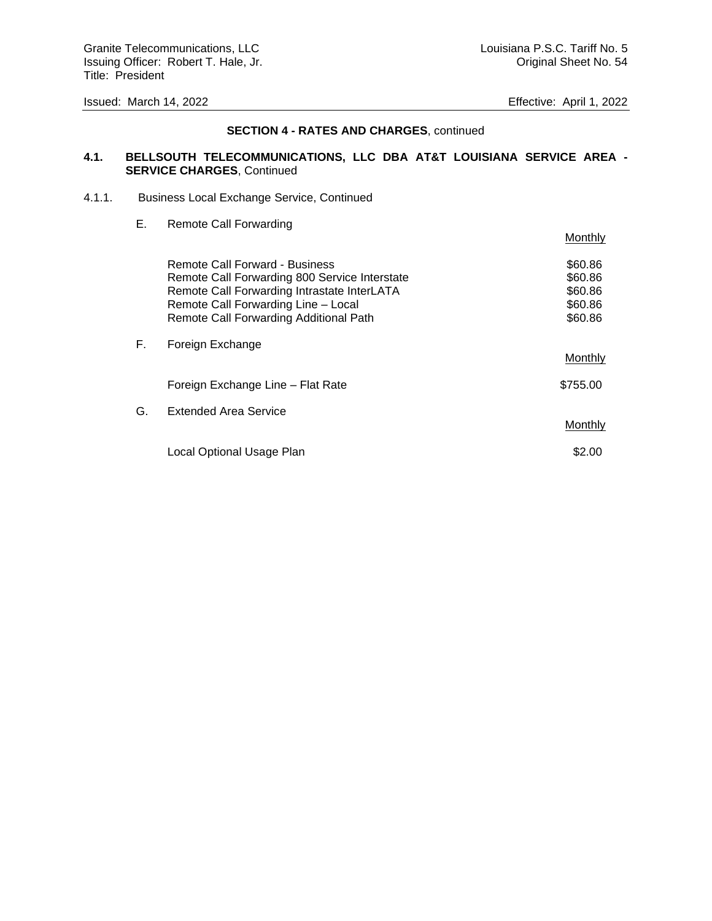### **SECTION 4 - RATES AND CHARGES**, continued

### **4.1. BELLSOUTH TELECOMMUNICATIONS, LLC DBA AT&T LOUISIANA SERVICE AREA - SERVICE CHARGES**, Continued

#### 4.1.1. Business Local Exchange Service, Continued

| Е. | <b>Remote Call Forwarding</b>                                                                                                                                                                                   | <b>Monthly</b>                                      |
|----|-----------------------------------------------------------------------------------------------------------------------------------------------------------------------------------------------------------------|-----------------------------------------------------|
|    | Remote Call Forward - Business<br>Remote Call Forwarding 800 Service Interstate<br>Remote Call Forwarding Intrastate InterLATA<br>Remote Call Forwarding Line - Local<br>Remote Call Forwarding Additional Path | \$60.86<br>\$60.86<br>\$60.86<br>\$60.86<br>\$60.86 |
| F. | Foreign Exchange                                                                                                                                                                                                | Monthly                                             |
|    | Foreign Exchange Line - Flat Rate                                                                                                                                                                               | \$755.00                                            |
| G. | <b>Extended Area Service</b>                                                                                                                                                                                    | Monthly                                             |
|    | Local Optional Usage Plan                                                                                                                                                                                       | \$2.00                                              |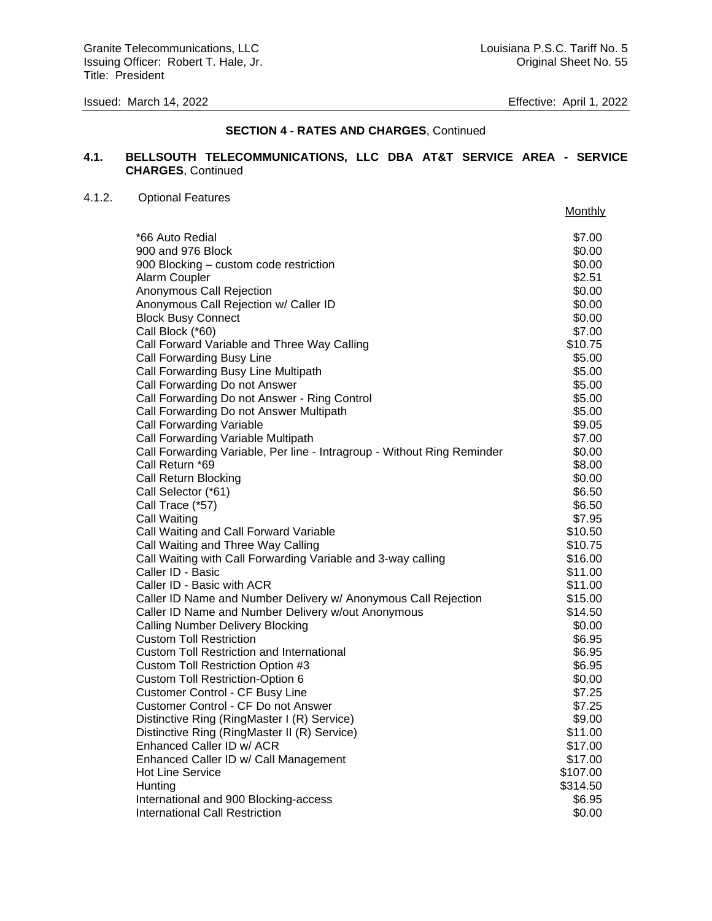### **SECTION 4 - RATES AND CHARGES**, Continued

### **4.1. BELLSOUTH TELECOMMUNICATIONS, LLC DBA AT&T SERVICE AREA - SERVICE CHARGES**, Continued

#### 4.1.2. Optional Features

|                                                                         | Monthly  |
|-------------------------------------------------------------------------|----------|
| *66 Auto Redial                                                         | \$7.00   |
| 900 and 976 Block                                                       | \$0.00   |
| 900 Blocking - custom code restriction                                  | \$0.00   |
| Alarm Coupler                                                           | \$2.51   |
| Anonymous Call Rejection                                                | \$0.00   |
| Anonymous Call Rejection w/ Caller ID                                   | \$0.00   |
| <b>Block Busy Connect</b>                                               | \$0.00   |
| Call Block (*60)                                                        | \$7.00   |
| Call Forward Variable and Three Way Calling                             | \$10.75  |
| Call Forwarding Busy Line                                               | \$5.00   |
| Call Forwarding Busy Line Multipath                                     | \$5.00   |
| Call Forwarding Do not Answer                                           | \$5.00   |
| Call Forwarding Do not Answer - Ring Control                            | \$5.00   |
| Call Forwarding Do not Answer Multipath                                 | \$5.00   |
| Call Forwarding Variable                                                | \$9.05   |
| Call Forwarding Variable Multipath                                      | \$7.00   |
| Call Forwarding Variable, Per line - Intragroup - Without Ring Reminder | \$0.00   |
| Call Return *69                                                         | \$8.00   |
| Call Return Blocking                                                    | \$0.00   |
| Call Selector (*61)                                                     | \$6.50   |
| Call Trace (*57)                                                        | \$6.50   |
| Call Waiting                                                            | \$7.95   |
| Call Waiting and Call Forward Variable                                  | \$10.50  |
| Call Waiting and Three Way Calling                                      | \$10.75  |
| Call Waiting with Call Forwarding Variable and 3-way calling            | \$16.00  |
| Caller ID - Basic                                                       | \$11.00  |
| Caller ID - Basic with ACR                                              | \$11.00  |
| Caller ID Name and Number Delivery w/ Anonymous Call Rejection          | \$15.00  |
| Caller ID Name and Number Delivery w/out Anonymous                      | \$14.50  |
| <b>Calling Number Delivery Blocking</b>                                 | \$0.00   |
| <b>Custom Toll Restriction</b>                                          | \$6.95   |
| <b>Custom Toll Restriction and International</b>                        | \$6.95   |
| Custom Toll Restriction Option #3                                       | \$6.95   |
| <b>Custom Toll Restriction-Option 6</b>                                 | \$0.00   |
| Customer Control - CF Busy Line                                         | \$7.25   |
| Customer Control - CF Do not Answer                                     | \$7.25   |
| Distinctive Ring (RingMaster I (R) Service)                             | \$9.00   |
| Distinctive Ring (RingMaster II (R) Service)                            | \$11.00  |
| Enhanced Caller ID w/ ACR                                               | \$17.00  |
| Enhanced Caller ID w/ Call Management                                   | \$17.00  |
| <b>Hot Line Service</b>                                                 | \$107.00 |
| Hunting                                                                 | \$314.50 |
| International and 900 Blocking-access                                   | \$6.95   |
| International Call Restriction                                          | \$0.00   |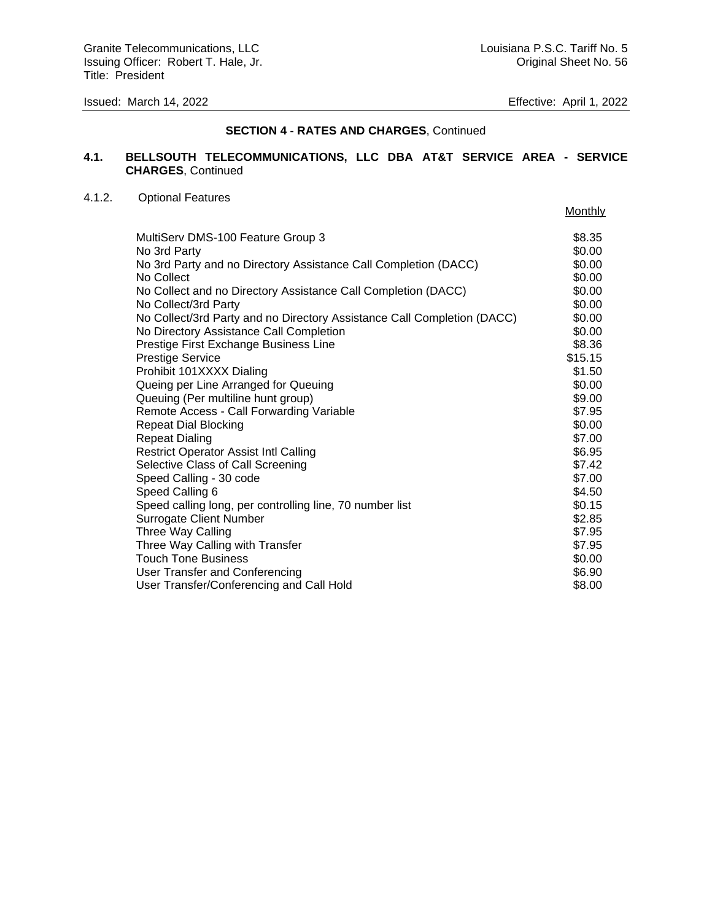### **SECTION 4 - RATES AND CHARGES**, Continued

# **4.1. BELLSOUTH TELECOMMUNICATIONS, LLC DBA AT&T SERVICE AREA - SERVICE CHARGES**, Continued

### 4.1.2. Optional Features

|                                                                         | Monthly |
|-------------------------------------------------------------------------|---------|
| MultiServ DMS-100 Feature Group 3                                       | \$8.35  |
| No 3rd Party                                                            | \$0.00  |
| No 3rd Party and no Directory Assistance Call Completion (DACC)         | \$0.00  |
| No Collect                                                              | \$0.00  |
| No Collect and no Directory Assistance Call Completion (DACC)           | \$0.00  |
| No Collect/3rd Party                                                    | \$0.00  |
| No Collect/3rd Party and no Directory Assistance Call Completion (DACC) | \$0.00  |
| No Directory Assistance Call Completion                                 | \$0.00  |
| Prestige First Exchange Business Line                                   | \$8.36  |
| <b>Prestige Service</b>                                                 | \$15.15 |
| Prohibit 101XXXX Dialing                                                | \$1.50  |
| Queing per Line Arranged for Queuing                                    | \$0.00  |
| Queuing (Per multiline hunt group)                                      | \$9.00  |
| Remote Access - Call Forwarding Variable                                | \$7.95  |
| <b>Repeat Dial Blocking</b>                                             | \$0.00  |
| <b>Repeat Dialing</b>                                                   | \$7.00  |
| <b>Restrict Operator Assist Intl Calling</b>                            | \$6.95  |
| Selective Class of Call Screening                                       | \$7.42  |
| Speed Calling - 30 code                                                 | \$7.00  |
| Speed Calling 6                                                         | \$4.50  |
| Speed calling long, per controlling line, 70 number list                | \$0.15  |
| <b>Surrogate Client Number</b>                                          | \$2.85  |
| Three Way Calling                                                       | \$7.95  |
| Three Way Calling with Transfer                                         | \$7.95  |
| <b>Touch Tone Business</b>                                              | \$0.00  |
| User Transfer and Conferencing                                          | \$6.90  |
| User Transfer/Conferencing and Call Hold                                | \$8.00  |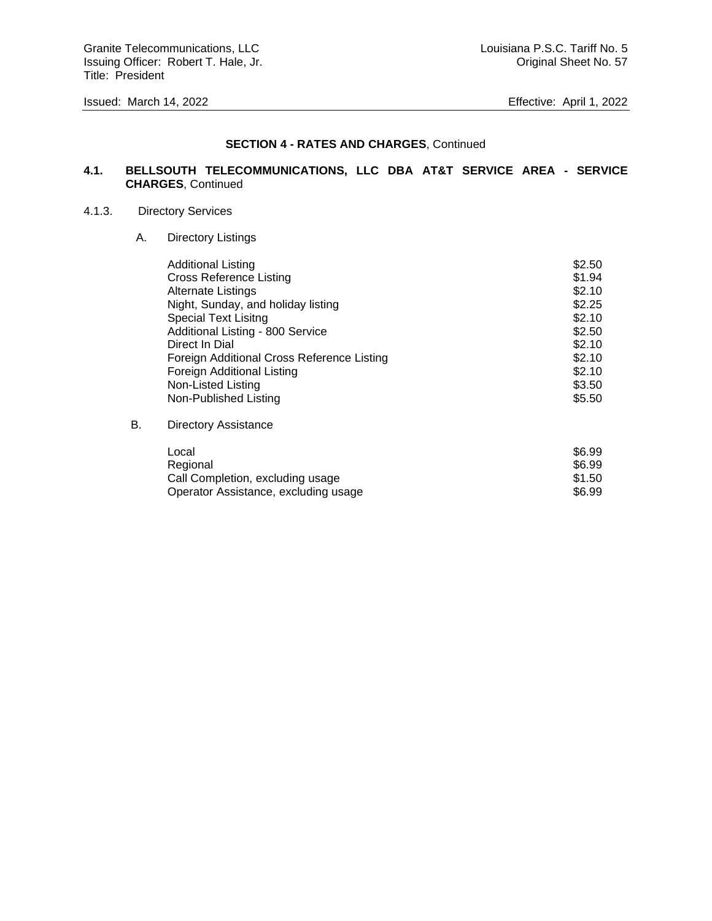Granite Telecommunications, LLC Communications, LLC Louisiana P.S.C. Tariff No. 5 Issuing Officer: Robert T. Hale, Jr. Cases and American control of the United Sheet No. 57 Title: President

#### **SECTION 4 - RATES AND CHARGES**, Continued

### **4.1. BELLSOUTH TELECOMMUNICATIONS, LLC DBA AT&T SERVICE AREA - SERVICE CHARGES**, Continued

### 4.1.3. Directory Services

A. Directory Listings

| <b>Additional Listing</b>                  | \$2.50 |
|--------------------------------------------|--------|
| <b>Cross Reference Listing</b>             | \$1.94 |
| <b>Alternate Listings</b>                  | \$2.10 |
| Night, Sunday, and holiday listing         | \$2.25 |
| <b>Special Text Lisitng</b>                | \$2.10 |
| Additional Listing - 800 Service           | \$2.50 |
| Direct In Dial                             | \$2.10 |
| Foreign Additional Cross Reference Listing | \$2.10 |
| Foreign Additional Listing                 | \$2.10 |
| Non-Listed Listing                         | \$3.50 |
| Non-Published Listing                      | \$5.50 |
|                                            |        |

# B. Directory Assistance

| Local                                | \$6.99 |
|--------------------------------------|--------|
| Regional                             | \$6.99 |
| Call Completion, excluding usage     | \$1.50 |
| Operator Assistance, excluding usage | \$6.99 |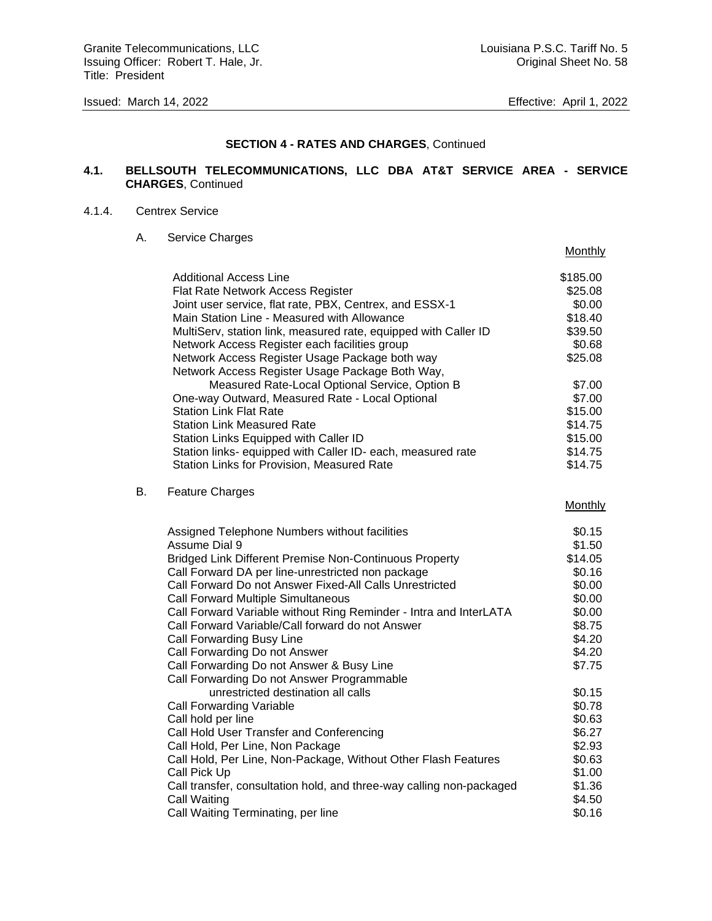Granite Telecommunications, LLC Communications, LLC Louisiana P.S.C. Tariff No. 5 Issuing Officer: Robert T. Hale, Jr. Cases and American Communication of Criginal Sheet No. 58 Title: President

**Monthly** 

### **SECTION 4 - RATES AND CHARGES**, Continued

### **4.1. BELLSOUTH TELECOMMUNICATIONS, LLC DBA AT&T SERVICE AREA - SERVICE CHARGES**, Continued

#### 4.1.4. Centrex Service

 $B.$ 

A. Service Charges

| Additional Access Line                                               | \$185.00 |
|----------------------------------------------------------------------|----------|
| Flat Rate Network Access Register                                    | \$25.08  |
| Joint user service, flat rate, PBX, Centrex, and ESSX-1              | \$0.00   |
| Main Station Line - Measured with Allowance                          | \$18.40  |
| MultiServ, station link, measured rate, equipped with Caller ID      | \$39.50  |
| Network Access Register each facilities group                        | \$0.68   |
| Network Access Register Usage Package both way                       | \$25.08  |
| Network Access Register Usage Package Both Way,                      |          |
| Measured Rate-Local Optional Service, Option B                       | \$7.00   |
| One-way Outward, Measured Rate - Local Optional                      | \$7.00   |
| <b>Station Link Flat Rate</b>                                        | \$15.00  |
| Station Link Measured Rate                                           | \$14.75  |
| Station Links Equipped with Caller ID                                | \$15.00  |
| Station links- equipped with Caller ID- each, measured rate          | \$14.75  |
| Station Links for Provision, Measured Rate                           | \$14.75  |
|                                                                      |          |
| <b>Feature Charges</b>                                               |          |
|                                                                      | Monthly  |
| Assigned Telephone Numbers without facilities                        | \$0.15   |
| Assume Dial 9                                                        | \$1.50   |
| <b>Bridged Link Different Premise Non-Continuous Property</b>        | \$14.05  |
| Call Forward DA per line-unrestricted non package                    | \$0.16   |
| Call Forward Do not Answer Fixed-All Calls Unrestricted              | \$0.00   |
| Call Forward Multiple Simultaneous                                   | \$0.00   |
| Call Forward Variable without Ring Reminder - Intra and InterLATA    | \$0.00   |
| Call Forward Variable/Call forward do not Answer                     | \$8.75   |
| Call Forwarding Busy Line                                            | \$4.20   |
| Call Forwarding Do not Answer                                        | \$4.20   |
| Call Forwarding Do not Answer & Busy Line                            | \$7.75   |
| Call Forwarding Do not Answer Programmable                           |          |
| unrestricted destination all calls                                   | \$0.15   |
| Call Forwarding Variable                                             | \$0.78   |
| Call hold per line                                                   | \$0.63   |
| Call Hold User Transfer and Conferencing                             | \$6.27   |
| Call Hold, Per Line, Non Package                                     | \$2.93   |
| Call Hold, Per Line, Non-Package, Without Other Flash Features       | \$0.63   |
| Call Pick Up                                                         | \$1.00   |
| Call transfer, consultation hold, and three-way calling non-packaged | \$1.36   |
| Call Waiting                                                         | \$4.50   |
| Call Waiting Terminating, per line                                   | \$0.16   |
|                                                                      |          |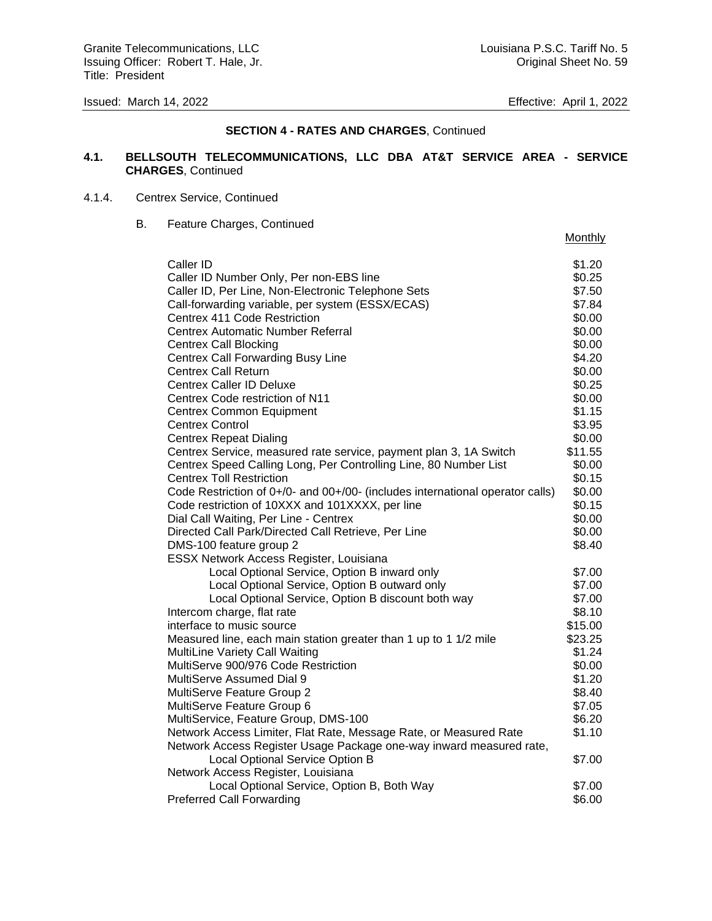### **SECTION 4 - RATES AND CHARGES**, Continued

### **4.1. BELLSOUTH TELECOMMUNICATIONS, LLC DBA AT&T SERVICE AREA - SERVICE CHARGES**, Continued

### 4.1.4. Centrex Service, Continued

B. Feature Charges, Continued

| Monthly |  |
|---------|--|
|         |  |

| Caller ID                                                                      | \$1.20           |
|--------------------------------------------------------------------------------|------------------|
| Caller ID Number Only, Per non-EBS line                                        | \$0.25           |
| Caller ID, Per Line, Non-Electronic Telephone Sets                             | \$7.50           |
| Call-forwarding variable, per system (ESSX/ECAS)                               | \$7.84           |
| Centrex 411 Code Restriction                                                   | \$0.00           |
| <b>Centrex Automatic Number Referral</b>                                       | \$0.00           |
| <b>Centrex Call Blocking</b>                                                   | \$0.00           |
| <b>Centrex Call Forwarding Busy Line</b>                                       | \$4.20           |
| <b>Centrex Call Return</b>                                                     | \$0.00           |
| <b>Centrex Caller ID Deluxe</b>                                                | \$0.25           |
| Centrex Code restriction of N11                                                | \$0.00           |
| <b>Centrex Common Equipment</b>                                                | \$1.15           |
| <b>Centrex Control</b>                                                         | \$3.95           |
| <b>Centrex Repeat Dialing</b>                                                  | \$0.00           |
| Centrex Service, measured rate service, payment plan 3, 1A Switch              | \$11.55          |
| Centrex Speed Calling Long, Per Controlling Line, 80 Number List               | \$0.00           |
| <b>Centrex Toll Restriction</b>                                                | \$0.15           |
| Code Restriction of 0+/0- and 00+/00- (includes international operator calls)  | \$0.00           |
| Code restriction of 10XXX and 101XXXX, per line                                | \$0.15           |
| Dial Call Waiting, Per Line - Centrex                                          | \$0.00           |
| Directed Call Park/Directed Call Retrieve, Per Line                            | \$0.00           |
| DMS-100 feature group 2                                                        | \$8.40           |
| ESSX Network Access Register, Louisiana                                        |                  |
| Local Optional Service, Option B inward only                                   | \$7.00           |
| Local Optional Service, Option B outward only                                  | \$7.00           |
| Local Optional Service, Option B discount both way                             | \$7.00           |
| Intercom charge, flat rate                                                     | \$8.10           |
| interface to music source                                                      | \$15.00          |
| Measured line, each main station greater than 1 up to 1 1/2 mile               | \$23.25          |
| <b>MultiLine Variety Call Waiting</b>                                          | \$1.24           |
| MultiServe 900/976 Code Restriction                                            | \$0.00           |
| <b>MultiServe Assumed Dial 9</b>                                               | \$1.20           |
| MultiServe Feature Group 2                                                     | \$8.40           |
| MultiServe Feature Group 6                                                     | \$7.05           |
| MultiService, Feature Group, DMS-100                                           | \$6.20           |
| Network Access Limiter, Flat Rate, Message Rate, or Measured Rate              | \$1.10           |
| Network Access Register Usage Package one-way inward measured rate,            |                  |
| Local Optional Service Option B                                                | \$7.00           |
| Network Access Register, Louisiana                                             |                  |
|                                                                                |                  |
| Local Optional Service, Option B, Both Way<br><b>Preferred Call Forwarding</b> | \$7.00<br>\$6.00 |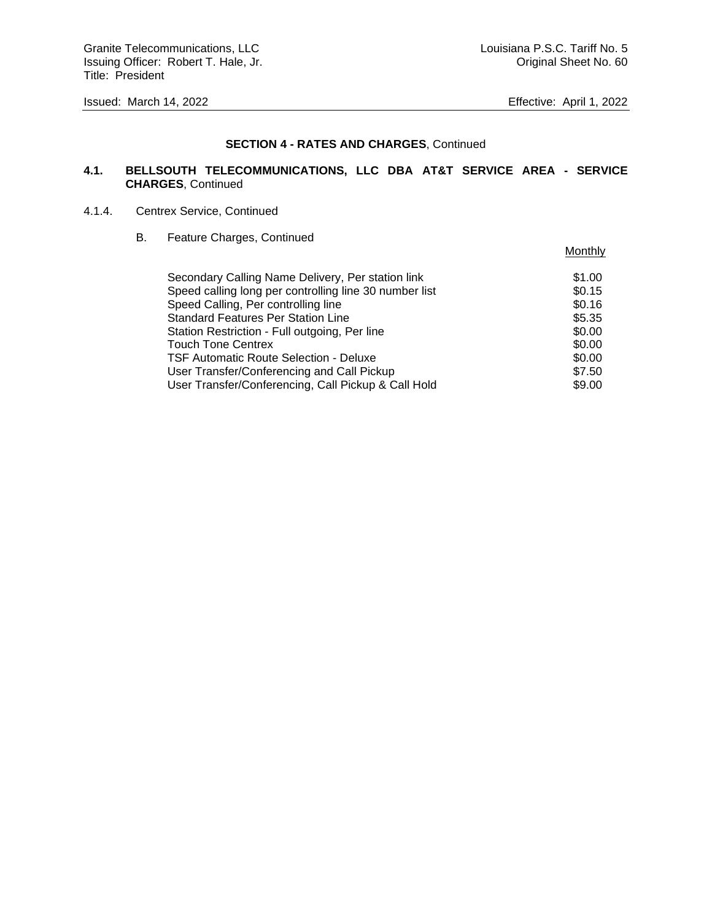**Monthly** 

#### **SECTION 4 - RATES AND CHARGES**, Continued

### **4.1. BELLSOUTH TELECOMMUNICATIONS, LLC DBA AT&T SERVICE AREA - SERVICE CHARGES**, Continued

### 4.1.4. Centrex Service, Continued

B. Feature Charges, Continued

| Secondary Calling Name Delivery, Per station link      | \$1.00 |
|--------------------------------------------------------|--------|
| Speed calling long per controlling line 30 number list | \$0.15 |
| Speed Calling, Per controlling line                    | \$0.16 |
| <b>Standard Features Per Station Line</b>              | \$5.35 |
| Station Restriction - Full outgoing, Per line          | \$0.00 |
| <b>Touch Tone Centrex</b>                              | \$0.00 |
| TSF Automatic Route Selection - Deluxe                 | \$0.00 |
| User Transfer/Conferencing and Call Pickup             | \$7.50 |
| User Transfer/Conferencing, Call Pickup & Call Hold    | \$9.00 |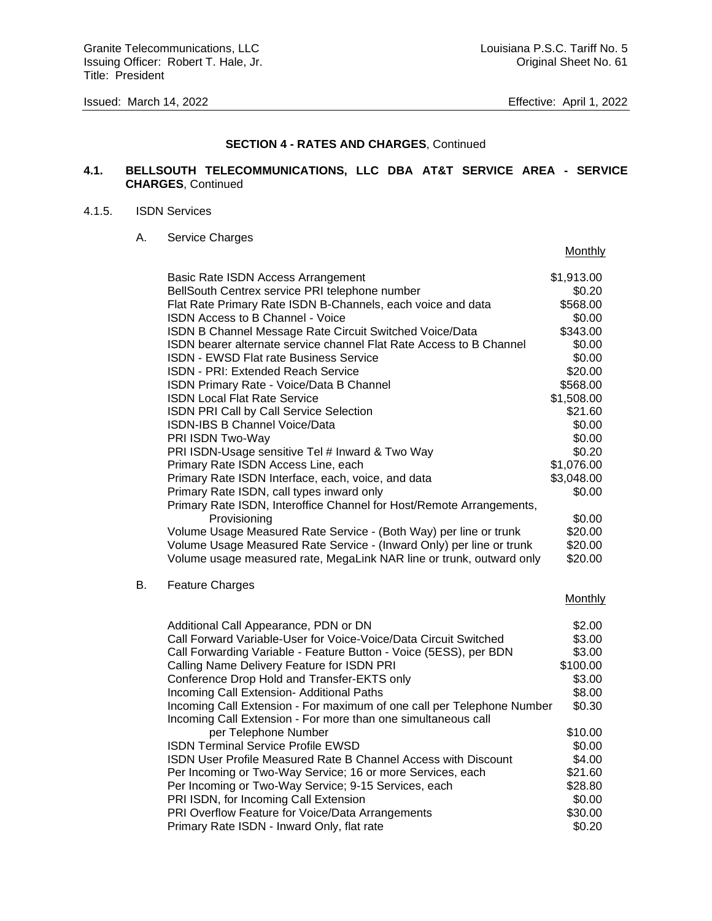**Monthly** 

#### **SECTION 4 - RATES AND CHARGES**, Continued

### **4.1. BELLSOUTH TELECOMMUNICATIONS, LLC DBA AT&T SERVICE AREA - SERVICE CHARGES**, Continued

#### 4.1.5. ISDN Services

A. Service Charges

|    | Basic Rate ISDN Access Arrangement                                     | \$1,913.00 |
|----|------------------------------------------------------------------------|------------|
|    | BellSouth Centrex service PRI telephone number                         | \$0.20     |
|    | Flat Rate Primary Rate ISDN B-Channels, each voice and data            | \$568.00   |
|    | ISDN Access to B Channel - Voice                                       | \$0.00     |
|    | ISDN B Channel Message Rate Circuit Switched Voice/Data                | \$343.00   |
|    | ISDN bearer alternate service channel Flat Rate Access to B Channel    | \$0.00     |
|    | <b>ISDN - EWSD Flat rate Business Service</b>                          | \$0.00     |
|    | ISDN - PRI: Extended Reach Service                                     | \$20.00    |
|    | ISDN Primary Rate - Voice/Data B Channel                               | \$568.00   |
|    | <b>ISDN Local Flat Rate Service</b>                                    | \$1,508.00 |
|    | ISDN PRI Call by Call Service Selection                                | \$21.60    |
|    | ISDN-IBS B Channel Voice/Data                                          | \$0.00     |
|    | PRI ISDN Two-Way                                                       | \$0.00     |
|    | PRI ISDN-Usage sensitive Tel # Inward & Two Way                        | \$0.20     |
|    | Primary Rate ISDN Access Line, each                                    | \$1,076.00 |
|    | Primary Rate ISDN Interface, each, voice, and data                     | \$3,048.00 |
|    | Primary Rate ISDN, call types inward only                              | \$0.00     |
|    | Primary Rate ISDN, Interoffice Channel for Host/Remote Arrangements,   |            |
|    | Provisioning                                                           | \$0.00     |
|    | Volume Usage Measured Rate Service - (Both Way) per line or trunk      | \$20.00    |
|    | Volume Usage Measured Rate Service - (Inward Only) per line or trunk   | \$20.00    |
|    | Volume usage measured rate, MegaLink NAR line or trunk, outward only   | \$20.00    |
| В. | <b>Feature Charges</b>                                                 |            |
|    |                                                                        | Monthly    |
|    | Additional Call Appearance, PDN or DN                                  | \$2.00     |
|    | Call Forward Variable-User for Voice-Voice/Data Circuit Switched       | \$3.00     |
|    | Call Forwarding Variable - Feature Button - Voice (5ESS), per BDN      | \$3.00     |
|    | Calling Name Delivery Feature for ISDN PRI                             | \$100.00   |
|    | Conference Drop Hold and Transfer-EKTS only                            | \$3.00     |
|    | Incoming Call Extension- Additional Paths                              | \$8.00     |
|    | Incoming Call Extension - For maximum of one call per Telephone Number | \$0.30     |
|    | Incoming Call Extension - For more than one simultaneous call          |            |
|    | per Telephone Number                                                   | \$10.00    |
|    | <b>ISDN Terminal Service Profile EWSD</b>                              | \$0.00     |
|    | ISDN User Profile Measured Rate B Channel Access with Discount         | \$4.00     |
|    | Per Incoming or Two-Way Service; 16 or more Services, each             | \$21.60    |
|    | Per Incoming or Two-Way Service; 9-15 Services, each                   | \$28.80    |
|    | PRI ISDN, for Incoming Call Extension                                  | \$0.00     |
|    | PRI Overflow Feature for Voice/Data Arrangements                       | \$30.00    |
|    | Primary Rate ISDN - Inward Only, flat rate                             | \$0.20     |
|    |                                                                        |            |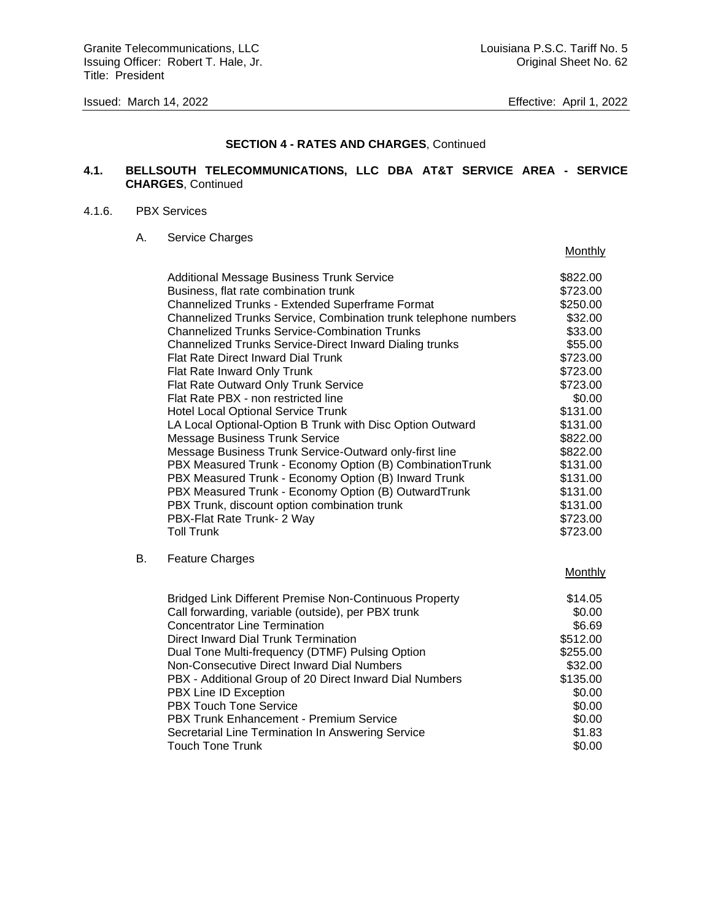Granite Telecommunications, LLC Communications, LLC Louisiana P.S.C. Tariff No. 5 Issuing Officer: Robert T. Hale, Jr. Cases and American Communication of Criginal Sheet No. 62 Title: President

**Monthly** 

### **SECTION 4 - RATES AND CHARGES**, Continued

### **4.1. BELLSOUTH TELECOMMUNICATIONS, LLC DBA AT&T SERVICE AREA - SERVICE CHARGES**, Continued

#### 4.1.6. PBX Services

A. Service Charges

|    | Additional Message Business Trunk Service                       | \$822.00       |
|----|-----------------------------------------------------------------|----------------|
|    | Business, flat rate combination trunk                           | \$723.00       |
|    | Channelized Trunks - Extended Superframe Format                 | \$250.00       |
|    | Channelized Trunks Service, Combination trunk telephone numbers | \$32.00        |
|    | <b>Channelized Trunks Service-Combination Trunks</b>            | \$33.00        |
|    | <b>Channelized Trunks Service-Direct Inward Dialing trunks</b>  | \$55.00        |
|    | Flat Rate Direct Inward Dial Trunk                              | \$723.00       |
|    | Flat Rate Inward Only Trunk                                     | \$723.00       |
|    | Flat Rate Outward Only Trunk Service                            | \$723.00       |
|    | Flat Rate PBX - non restricted line                             | \$0.00         |
|    | <b>Hotel Local Optional Service Trunk</b>                       | \$131.00       |
|    | LA Local Optional-Option B Trunk with Disc Option Outward       | \$131.00       |
|    | <b>Message Business Trunk Service</b>                           | \$822.00       |
|    | Message Business Trunk Service-Outward only-first line          | \$822.00       |
|    | PBX Measured Trunk - Economy Option (B) Combination Trunk       | \$131.00       |
|    | PBX Measured Trunk - Economy Option (B) Inward Trunk            | \$131.00       |
|    | PBX Measured Trunk - Economy Option (B) OutwardTrunk            | \$131.00       |
|    | PBX Trunk, discount option combination trunk                    | \$131.00       |
|    | PBX-Flat Rate Trunk- 2 Way                                      | \$723.00       |
|    | <b>Toll Trunk</b>                                               | \$723.00       |
| В. | <b>Feature Charges</b>                                          |                |
|    |                                                                 | <b>Monthly</b> |
|    | <b>Bridged Link Different Premise Non-Continuous Property</b>   | \$14.05        |
|    | Call forwarding, variable (outside), per PBX trunk              | \$0.00         |
|    | <b>Concentrator Line Termination</b>                            | \$6.69         |
|    | Direct Inward Dial Trunk Termination                            | \$512.00       |
|    | Dual Tone Multi-frequency (DTMF) Pulsing Option                 | \$255.00       |
|    | Non-Consecutive Direct Inward Dial Numbers                      | \$32.00        |
|    | PBX - Additional Group of 20 Direct Inward Dial Numbers         | \$135.00       |
|    | PBX Line ID Exception                                           | \$0.00         |
|    | <b>PBX Touch Tone Service</b>                                   | \$0.00         |
|    | PBX Trunk Enhancement - Premium Service                         | \$0.00         |
|    | Secretarial Line Termination In Answering Service               | \$1.83         |
|    | <b>Touch Tone Trunk</b>                                         | \$0.00         |
|    |                                                                 |                |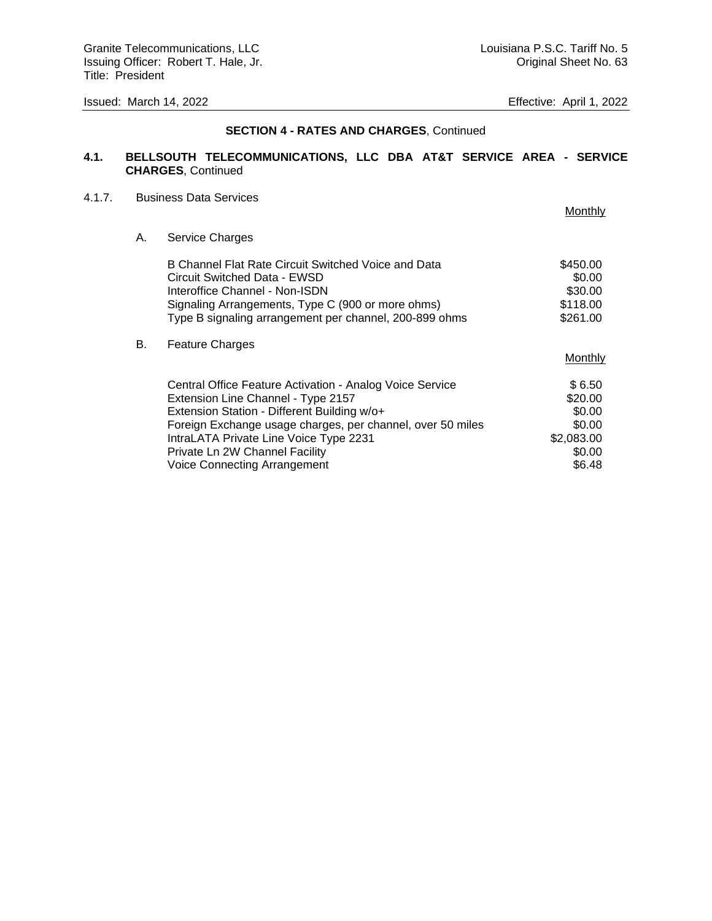#### **SECTION 4 - RATES AND CHARGES**, Continued

### **4.1. BELLSOUTH TELECOMMUNICATIONS, LLC DBA AT&T SERVICE AREA - SERVICE CHARGES**, Continued

#### 4.1.7. Business Data Services

Monthly A. Service Charges B Channel Flat Rate Circuit Switched Voice and Data \$450.00 Circuit Switched Data - EWSD \$0.00 Interoffice Channel - Non-ISDN \$30.00 Signaling Arrangements, Type C (900 or more ohms) \$118.00 Type B signaling arrangement per channel, 200-899 ohms \$261.00 B. Feature Charges **Monthly** Central Office Feature Activation - Analog Voice Service \$ 6.50 Extension Line Channel - Type 2157 Extension Station - Different Building w/o+  $$0.00$ Foreign Exchange usage charges, per channel, over 50 miles \$0.00 IntraLATA Private Line Voice Type 2231 \$2,083.00 Private Ln 2W Channel Facility  $$0.00$ Voice Connecting Arrangement \$6.48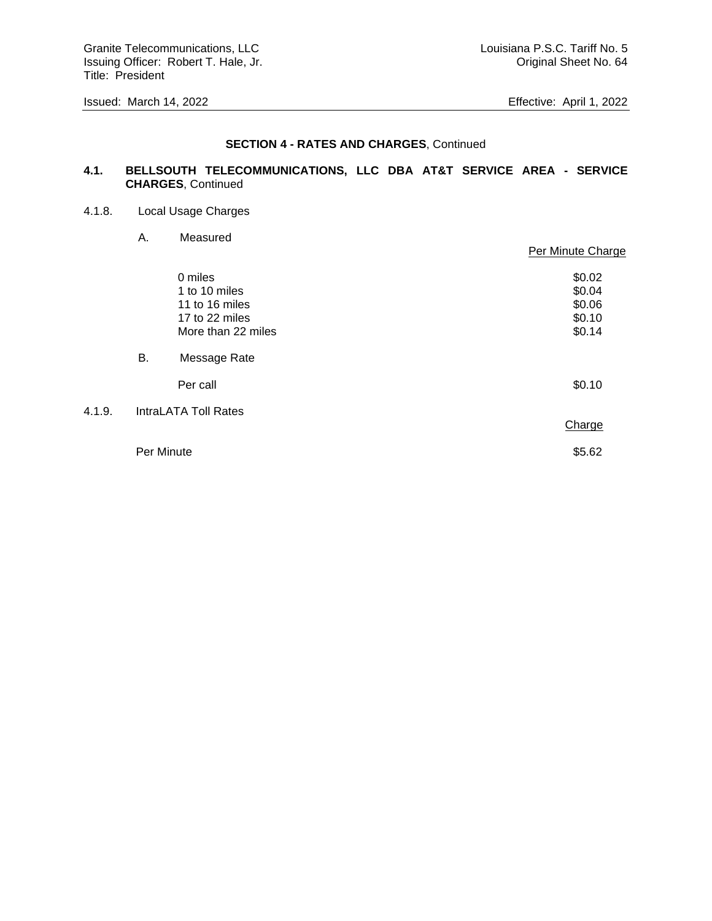Granite Telecommunications, LLC Communications, LLC Louisiana P.S.C. Tariff No. 5 Issuing Officer: Robert T. Hale, Jr. Cases and American Control of Criginal Sheet No. 64 Title: President

#### **SECTION 4 - RATES AND CHARGES**, Continued

### **4.1. BELLSOUTH TELECOMMUNICATIONS, LLC DBA AT&T SERVICE AREA - SERVICE CHARGES**, Continued

4.1.8. Local Usage Charges

 $4.1.9.$ 

A. Measured

|            |                                                                                    | Per Minute Charge                              |
|------------|------------------------------------------------------------------------------------|------------------------------------------------|
|            | 0 miles<br>1 to 10 miles<br>11 to 16 miles<br>17 to 22 miles<br>More than 22 miles | \$0.02<br>\$0.04<br>\$0.06<br>\$0.10<br>\$0.14 |
| В.         | Message Rate                                                                       |                                                |
|            | Per call                                                                           | \$0.10                                         |
|            | <b>IntraLATA Toll Rates</b>                                                        | Charge                                         |
| Per Minute |                                                                                    | \$5.62                                         |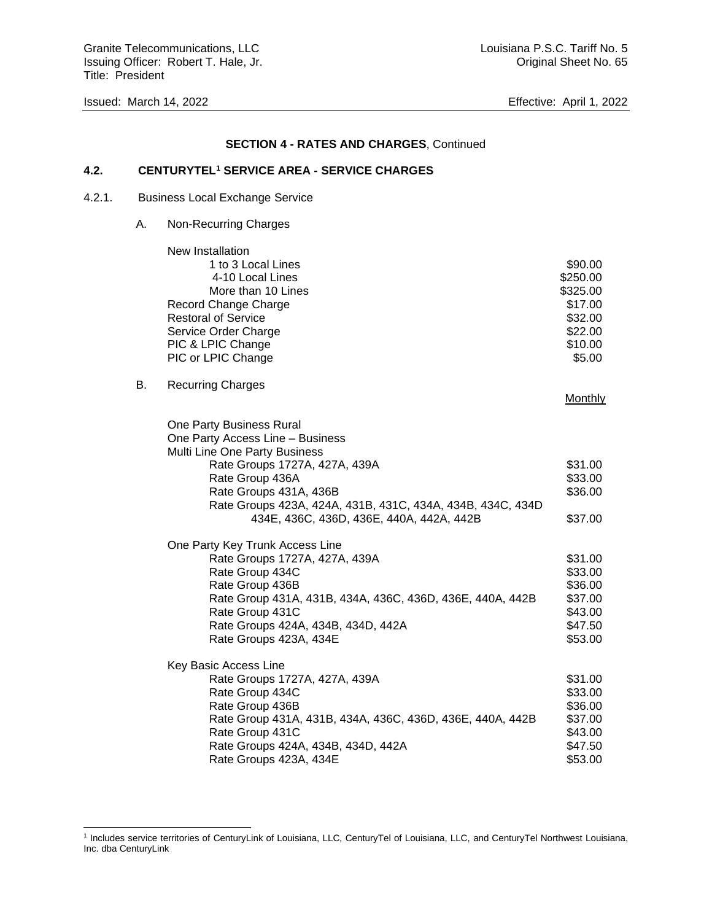Granite Telecommunications, LLC Communications, LLC Louisiana P.S.C. Tariff No. 5 Issuing Officer: Robert T. Hale, Jr. Cases and American control of the United Sheet No. 65 Title: President

#### **SECTION 4 - RATES AND CHARGES**, Continued

#### **4.2. CENTURYTEL<sup>1</sup> SERVICE AREA - SERVICE CHARGES**

- 4.2.1. Business Local Exchange Service
	- A. Non-Recurring Charges

|    | New Installation                                           |                |
|----|------------------------------------------------------------|----------------|
|    | 1 to 3 Local Lines                                         | \$90.00        |
|    | 4-10 Local Lines                                           | \$250.00       |
|    | More than 10 Lines                                         | \$325.00       |
|    | <b>Record Change Charge</b>                                | \$17.00        |
|    | <b>Restoral of Service</b>                                 | \$32.00        |
|    | Service Order Charge                                       | \$22.00        |
|    | PIC & LPIC Change                                          | \$10.00        |
|    | PIC or LPIC Change                                         | \$5.00         |
| В. | <b>Recurring Charges</b>                                   |                |
|    |                                                            | <b>Monthly</b> |
|    | One Party Business Rural                                   |                |
|    | One Party Access Line - Business                           |                |
|    | Multi Line One Party Business                              |                |
|    | Rate Groups 1727A, 427A, 439A                              | \$31.00        |
|    | Rate Group 436A                                            | \$33.00        |
|    | Rate Groups 431A, 436B                                     | \$36.00        |
|    | Rate Groups 423A, 424A, 431B, 431C, 434A, 434B, 434C, 434D |                |
|    | 434E, 436C, 436D, 436E, 440A, 442A, 442B                   | \$37.00        |
|    | One Party Key Trunk Access Line                            |                |
|    | Rate Groups 1727A, 427A, 439A                              | \$31.00        |
|    | Rate Group 434C                                            | \$33.00        |
|    | Rate Group 436B                                            | \$36.00        |
|    | Rate Group 431A, 431B, 434A, 436C, 436D, 436E, 440A, 442B  | \$37.00        |
|    | Rate Group 431C                                            | \$43.00        |
|    | Rate Groups 424A, 434B, 434D, 442A                         | \$47.50        |
|    | Rate Groups 423A, 434E                                     | \$53.00        |
|    | Key Basic Access Line                                      |                |
|    | Rate Groups 1727A, 427A, 439A                              | \$31.00        |
|    | Rate Group 434C                                            | \$33.00        |
|    | Rate Group 436B                                            | \$36.00        |
|    | Rate Group 431A, 431B, 434A, 436C, 436D, 436E, 440A, 442B  | \$37.00        |
|    | Rate Group 431C                                            | \$43.00        |
|    | Rate Groups 424A, 434B, 434D, 442A                         | \$47.50        |
|    | Rate Groups 423A, 434E                                     | \$53.00        |

<sup>1</sup> Includes service territories of CenturyLink of Louisiana, LLC, CenturyTel of Louisiana, LLC, and CenturyTel Northwest Louisiana, Inc. dba CenturyLink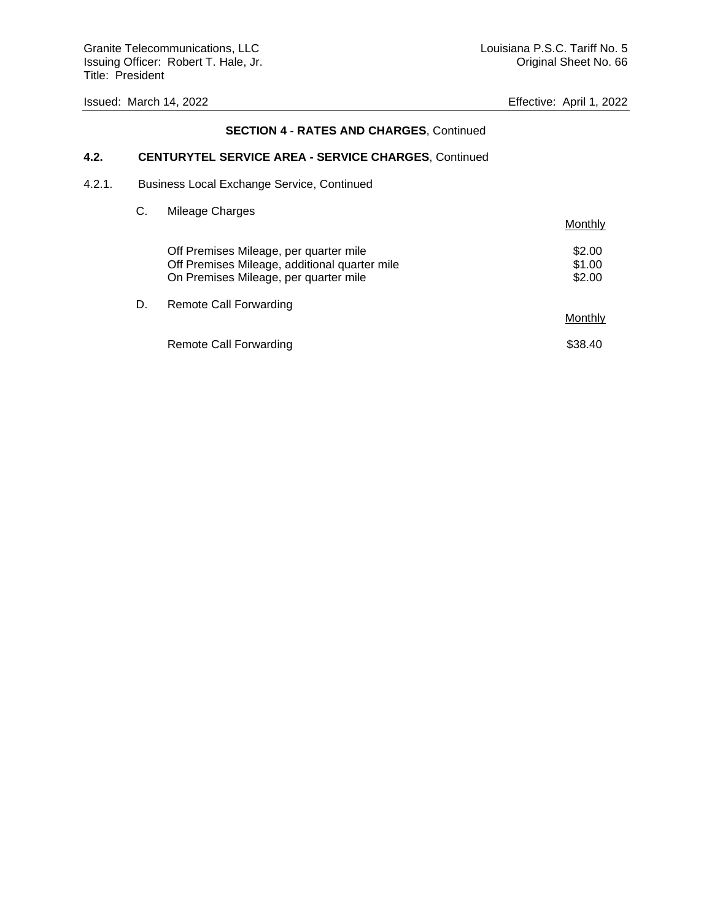# **SECTION 4 - RATES AND CHARGES**, Continued

# **4.2. CENTURYTEL SERVICE AREA - SERVICE CHARGES**, Continued

4.2.1. Business Local Exchange Service, Continued

### C. Mileage Charges

|    |                                                                                                                                  | Monthly                    |
|----|----------------------------------------------------------------------------------------------------------------------------------|----------------------------|
|    | Off Premises Mileage, per quarter mile<br>Off Premises Mileage, additional quarter mile<br>On Premises Mileage, per quarter mile | \$2.00<br>\$1.00<br>\$2.00 |
| D. | Remote Call Forwarding                                                                                                           | Monthly                    |
|    | Remote Call Forwarding                                                                                                           | \$38.40                    |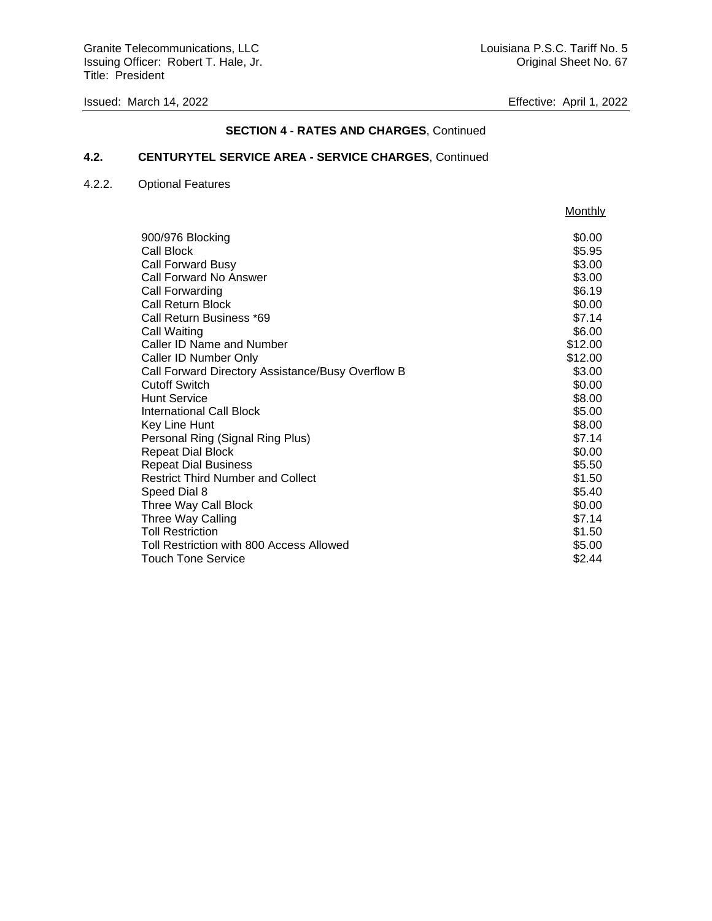# **SECTION 4 - RATES AND CHARGES**, Continued

### **4.2. CENTURYTEL SERVICE AREA - SERVICE CHARGES**, Continued

### 4.2.2. Optional Features

|                                                   | Monthly |
|---------------------------------------------------|---------|
|                                                   |         |
| 900/976 Blocking                                  | \$0.00  |
| Call Block                                        | \$5.95  |
| <b>Call Forward Busy</b>                          | \$3.00  |
| Call Forward No Answer                            | \$3.00  |
| Call Forwarding                                   | \$6.19  |
| Call Return Block                                 | \$0.00  |
| Call Return Business *69                          | \$7.14  |
| Call Waiting                                      | \$6.00  |
| Caller ID Name and Number                         | \$12.00 |
| Caller ID Number Only                             | \$12.00 |
| Call Forward Directory Assistance/Busy Overflow B | \$3.00  |
| <b>Cutoff Switch</b>                              | \$0.00  |
| Hunt Service                                      | \$8.00  |
| International Call Block                          | \$5.00  |
| Key Line Hunt                                     | \$8.00  |
| Personal Ring (Signal Ring Plus)                  | \$7.14  |
| <b>Repeat Dial Block</b>                          | \$0.00  |
| <b>Repeat Dial Business</b>                       | \$5.50  |
| <b>Restrict Third Number and Collect</b>          | \$1.50  |
| Speed Dial 8                                      | \$5.40  |
| Three Way Call Block                              | \$0.00  |
| Three Way Calling                                 | \$7.14  |
| <b>Toll Restriction</b>                           | \$1.50  |
| Toll Restriction with 800 Access Allowed          | \$5.00  |
| <b>Touch Tone Service</b>                         | \$2.44  |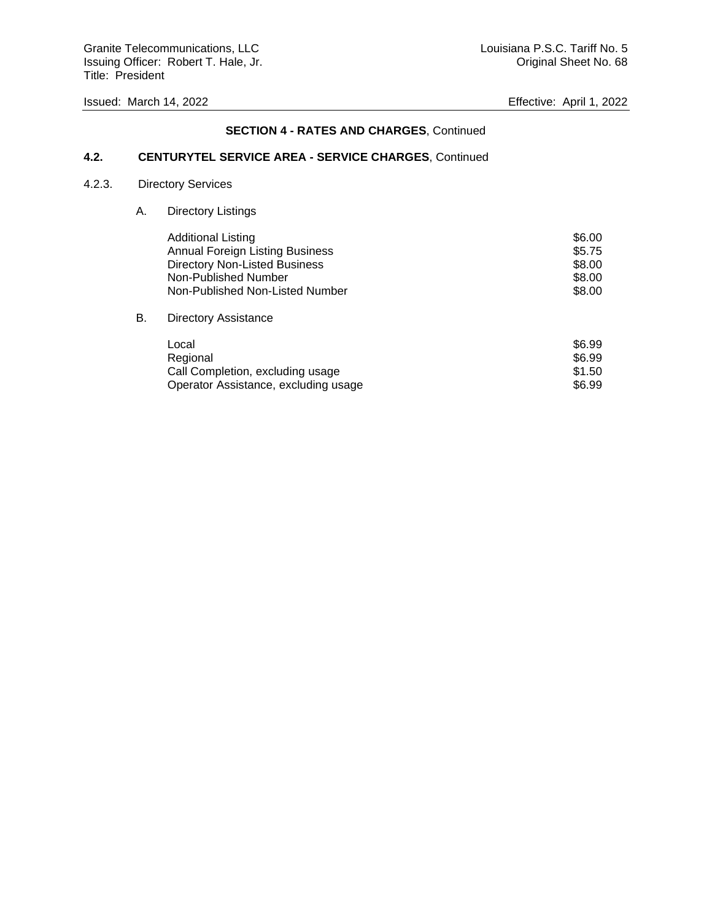Granite Telecommunications, LLC Communications, LLC Louisiana P.S.C. Tariff No. 5 Issuing Officer: Robert T. Hale, Jr. Cases and American Communication of Criginal Sheet No. 68 Title: President

### **SECTION 4 - RATES AND CHARGES**, Continued

### **4.2. CENTURYTEL SERVICE AREA - SERVICE CHARGES**, Continued

### 4.2.3. Directory Services

A. Directory Listings

|    | <b>Additional Listing</b>              | \$6.00 |
|----|----------------------------------------|--------|
|    | <b>Annual Foreign Listing Business</b> | \$5.75 |
|    | Directory Non-Listed Business          | \$8.00 |
|    | Non-Published Number                   | \$8.00 |
|    | Non-Published Non-Listed Number        | \$8.00 |
| В. | <b>Directory Assistance</b>            |        |

# Local \$6.99 Regional \$6.99

| <b>INGUIUTIAL</b>                    | ⊍ບ.ວວ  |
|--------------------------------------|--------|
| Call Completion, excluding usage     | \$1.50 |
| Operator Assistance, excluding usage | \$6.99 |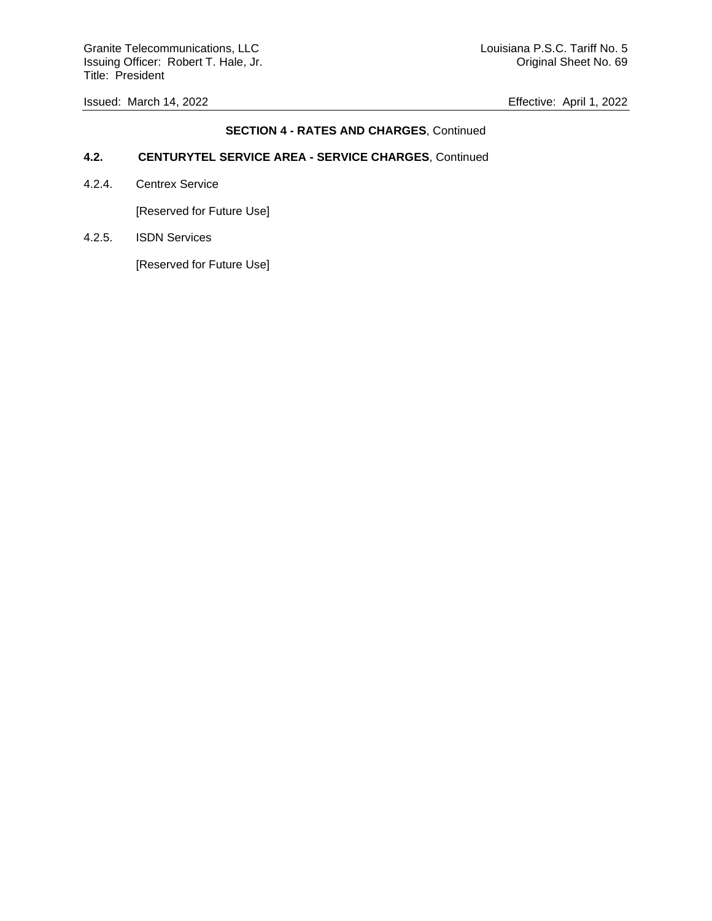Granite Telecommunications, LLC Communications, LLC Louisiana P.S.C. Tariff No. 5 Issuing Officer: Robert T. Hale, Jr. Cases and American Control of Criginal Sheet No. 69 Title: President

Issued: March 14, 2022 Effective: April 1, 2022

### **SECTION 4 - RATES AND CHARGES**, Continued

### **4.2. CENTURYTEL SERVICE AREA - SERVICE CHARGES**, Continued

4.2.4. Centrex Service

[Reserved for Future Use]

4.2.5. ISDN Services

[Reserved for Future Use]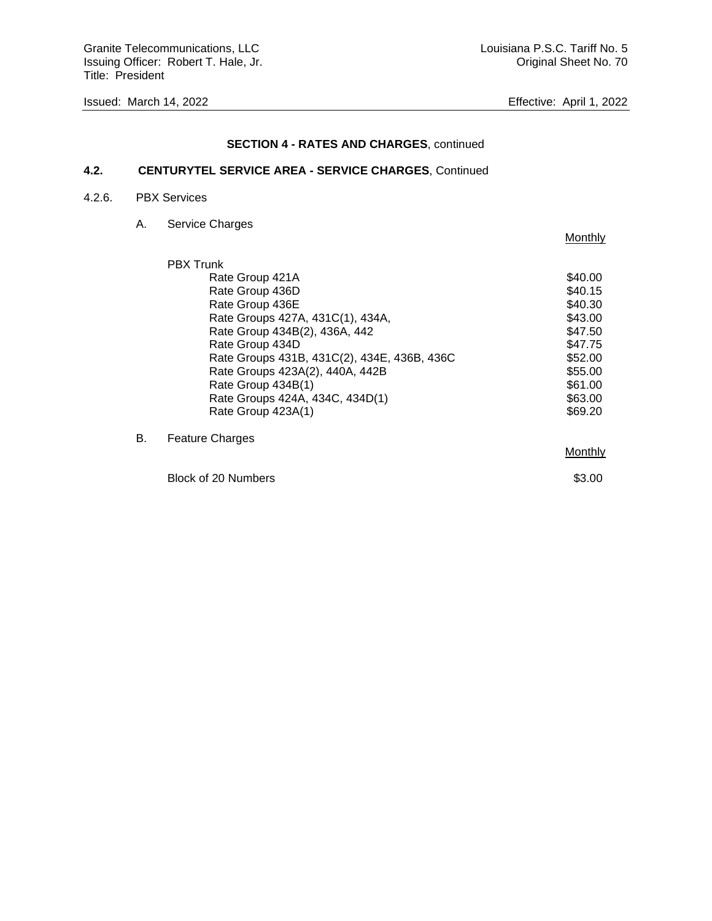Granite Telecommunications, LLC Communications, LLC Louisiana P.S.C. Tariff No. 5 Issuing Officer: Robert T. Hale, Jr. Cases and American control of the United Sheet No. 70 Title: President

**Monthly** 

# **SECTION 4 - RATES AND CHARGES**, continued

# **4.2. CENTURYTEL SERVICE AREA - SERVICE CHARGES**, Continued

### 4.2.6. PBX Services

A. Service Charges

|    | <b>PBX Trunk</b>                            |         |
|----|---------------------------------------------|---------|
|    | Rate Group 421A                             | \$40.00 |
|    | Rate Group 436D                             | \$40.15 |
|    | Rate Group 436E                             | \$40.30 |
|    | Rate Groups 427A, 431C(1), 434A,            | \$43.00 |
|    | Rate Group 434B(2), 436A, 442               | \$47.50 |
|    | Rate Group 434D                             | \$47.75 |
|    | Rate Groups 431B, 431C(2), 434E, 436B, 436C | \$52.00 |
|    | Rate Groups 423A(2), 440A, 442B             | \$55.00 |
|    | Rate Group 434B(1)                          | \$61.00 |
|    | Rate Groups 424A, 434C, 434D(1)             | \$63.00 |
|    | Rate Group 423A(1)                          | \$69.20 |
| В. | <b>Feature Charges</b>                      |         |
|    |                                             | Monthly |
|    |                                             |         |

Block of 20 Numbers \$3.00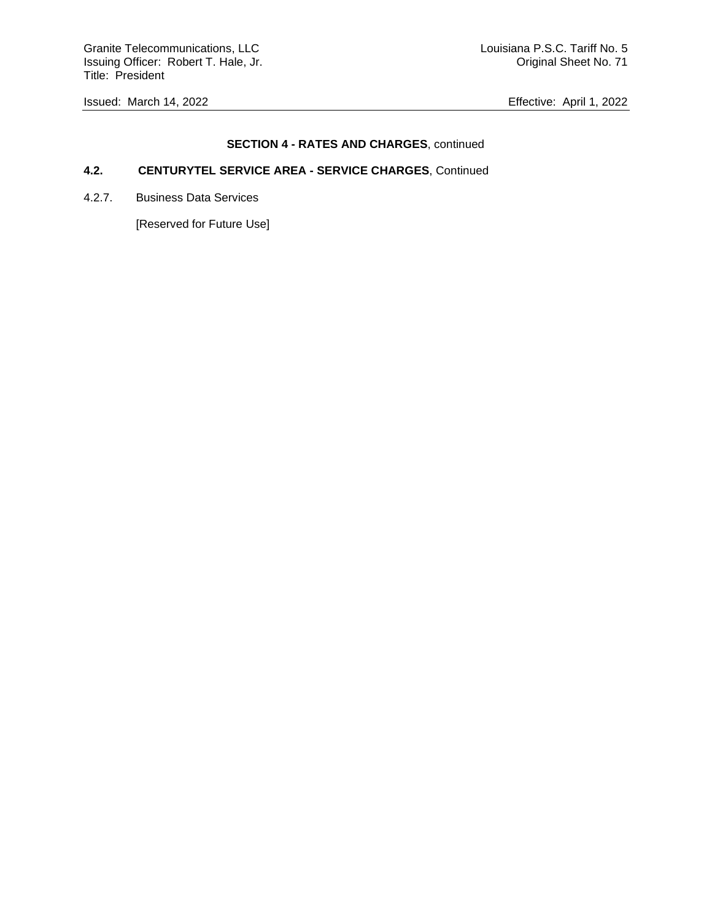Granite Telecommunications, LLC Communications, LLC Louisiana P.S.C. Tariff No. 5 Issuing Officer: Robert T. Hale, Jr. Cases and American control of the United Sheet No. 71 Title: President

Issued: March 14, 2022 Effective: April 1, 2022

# **SECTION 4 - RATES AND CHARGES**, continued

# **4.2. CENTURYTEL SERVICE AREA - SERVICE CHARGES**, Continued

4.2.7. Business Data Services

[Reserved for Future Use]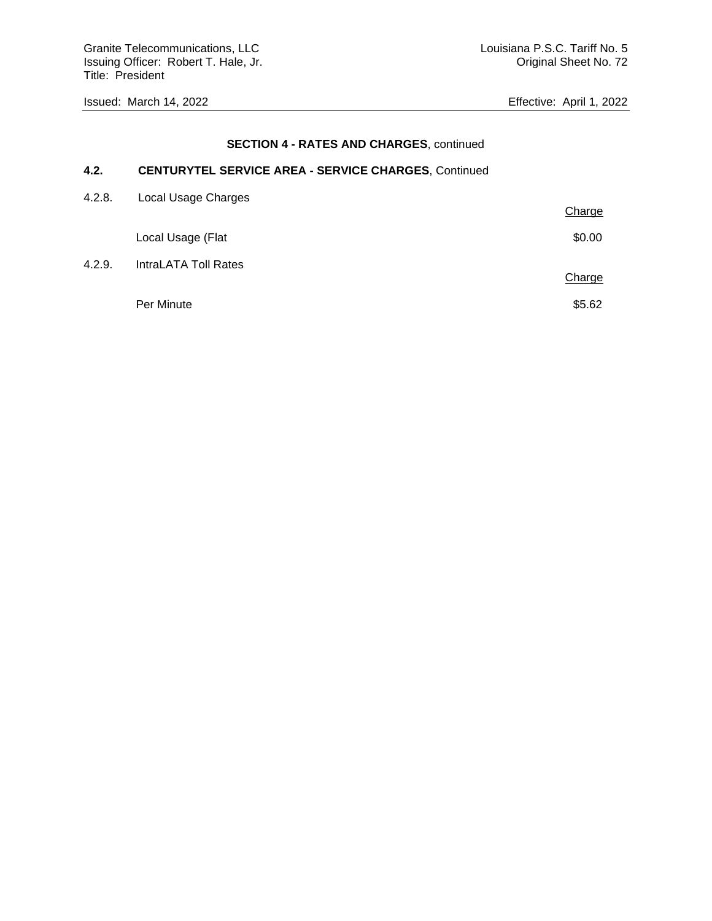## **SECTION 4 - RATES AND CHARGES**, continued

# **4.2. CENTURYTEL SERVICE AREA - SERVICE CHARGES**, Continued

| 4.2.8. | Local Usage Charges         |        |
|--------|-----------------------------|--------|
|        |                             | Charge |
|        | Local Usage (Flat           | \$0.00 |
| 4.2.9. | <b>IntraLATA Toll Rates</b> |        |
|        |                             | Charge |
|        | Per Minute                  | \$5.62 |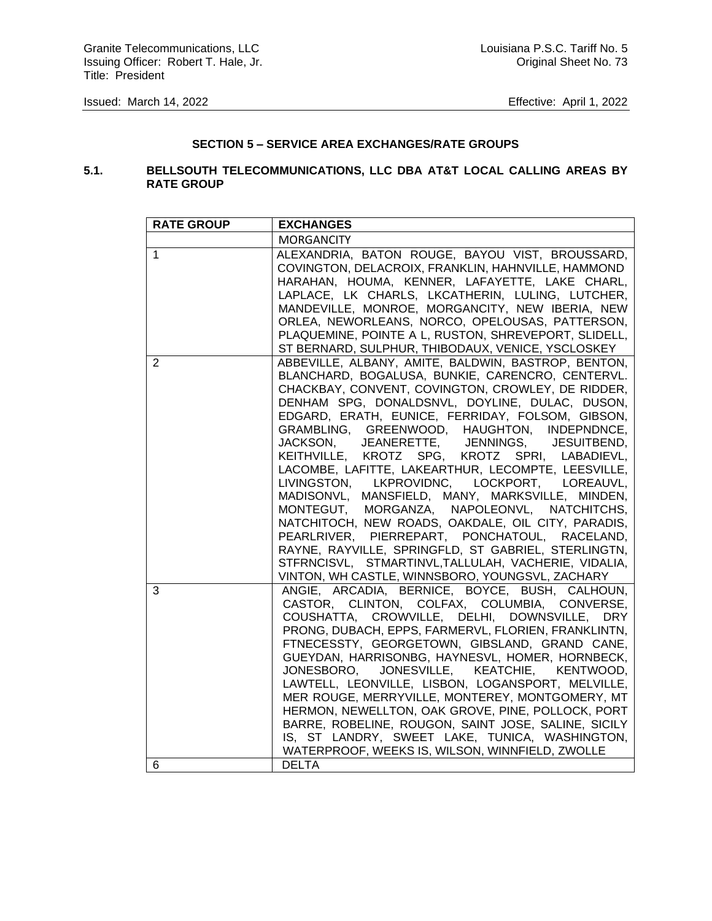## **SECTION 5 – SERVICE AREA EXCHANGES/RATE GROUPS**

## **5.1. BELLSOUTH TELECOMMUNICATIONS, LLC DBA AT&T LOCAL CALLING AREAS BY RATE GROUP**

| <b>RATE GROUP</b> | <b>EXCHANGES</b>                                                                                                                                                                                                                                                                                                                                                                                                                                                                                                                                                                                                                                                                                                                                                                                                                                                                                 |
|-------------------|--------------------------------------------------------------------------------------------------------------------------------------------------------------------------------------------------------------------------------------------------------------------------------------------------------------------------------------------------------------------------------------------------------------------------------------------------------------------------------------------------------------------------------------------------------------------------------------------------------------------------------------------------------------------------------------------------------------------------------------------------------------------------------------------------------------------------------------------------------------------------------------------------|
|                   | <b>MORGANCITY</b>                                                                                                                                                                                                                                                                                                                                                                                                                                                                                                                                                                                                                                                                                                                                                                                                                                                                                |
| 1                 | ALEXANDRIA, BATON ROUGE, BAYOU VIST, BROUSSARD,<br>COVINGTON, DELACROIX, FRANKLIN, HAHNVILLE, HAMMOND<br>HARAHAN, HOUMA, KENNER, LAFAYETTE, LAKE CHARL,<br>LAPLACE, LK CHARLS, LKCATHERIN, LULING, LUTCHER,<br>MANDEVILLE, MONROE, MORGANCITY, NEW IBERIA, NEW<br>ORLEA, NEWORLEANS, NORCO, OPELOUSAS, PATTERSON,<br>PLAQUEMINE, POINTE A L, RUSTON, SHREVEPORT, SLIDELL,<br>ST BERNARD, SULPHUR, THIBODAUX, VENICE, YSCLOSKEY                                                                                                                                                                                                                                                                                                                                                                                                                                                                   |
| 2                 | ABBEVILLE, ALBANY, AMITE, BALDWIN, BASTROP, BENTON,<br>BLANCHARD, BOGALUSA, BUNKIE, CARENCRO, CENTERVL.<br>CHACKBAY, CONVENT, COVINGTON, CROWLEY, DE RIDDER,<br>DENHAM SPG, DONALDSNVL, DOYLINE, DULAC, DUSON,<br>EDGARD, ERATH, EUNICE, FERRIDAY, FOLSOM, GIBSON,<br>GRAMBLING, GREENWOOD, HAUGHTON, INDEPNDNCE,<br>JACKSON, JEANERETTE, JENNINGS, JESUITBEND,<br>KEITHVILLE, KROTZ SPG, KROTZ SPRI, LABADIEVL,<br>LACOMBE, LAFITTE, LAKEARTHUR, LECOMPTE, LEESVILLE,<br>LIVINGSTON, LKPROVIDNC, LOCKPORT, LOREAUVL,<br>MADISONVL, MANSFIELD, MANY, MARKSVILLE, MINDEN,<br>MONTEGUT, MORGANZA, NAPOLEONVL, NATCHITCHS,<br>NATCHITOCH, NEW ROADS, OAKDALE, OIL CITY, PARADIS,<br>PEARLRIVER, PIERREPART, PONCHATOUL, RACELAND,<br>RAYNE, RAYVILLE, SPRINGFLD, ST GABRIEL, STERLINGTN,<br>STFRNCISVL, STMARTINVL, TALLULAH, VACHERIE, VIDALIA,<br>VINTON, WH CASTLE, WINNSBORO, YOUNGSVL, ZACHARY |
| 3                 | ANGIE, ARCADIA, BERNICE, BOYCE, BUSH, CALHOUN,<br>CASTOR, CLINTON, COLFAX, COLUMBIA, CONVERSE,<br>COUSHATTA, CROWVILLE, DELHI, DOWNSVILLE, DRY<br>PRONG, DUBACH, EPPS, FARMERVL, FLORIEN, FRANKLINTN,<br>FTNECESSTY, GEORGETOWN, GIBSLAND, GRAND CANE,<br>GUEYDAN, HARRISONBG, HAYNESVL, HOMER, HORNBECK,<br>JONESVILLE, KEATCHIE, KENTWOOD,<br>JONESBORO,<br>LAWTELL, LEONVILLE, LISBON, LOGANSPORT, MELVILLE,<br>MER ROUGE, MERRYVILLE, MONTEREY, MONTGOMERY, MT<br>HERMON, NEWELLTON, OAK GROVE, PINE, POLLOCK, PORT<br>BARRE, ROBELINE, ROUGON, SAINT JOSE, SALINE, SICILY<br>IS, ST LANDRY, SWEET LAKE, TUNICA, WASHINGTON,<br>WATERPROOF, WEEKS IS, WILSON, WINNFIELD, ZWOLLE                                                                                                                                                                                                              |
| 6                 | <b>DELTA</b>                                                                                                                                                                                                                                                                                                                                                                                                                                                                                                                                                                                                                                                                                                                                                                                                                                                                                     |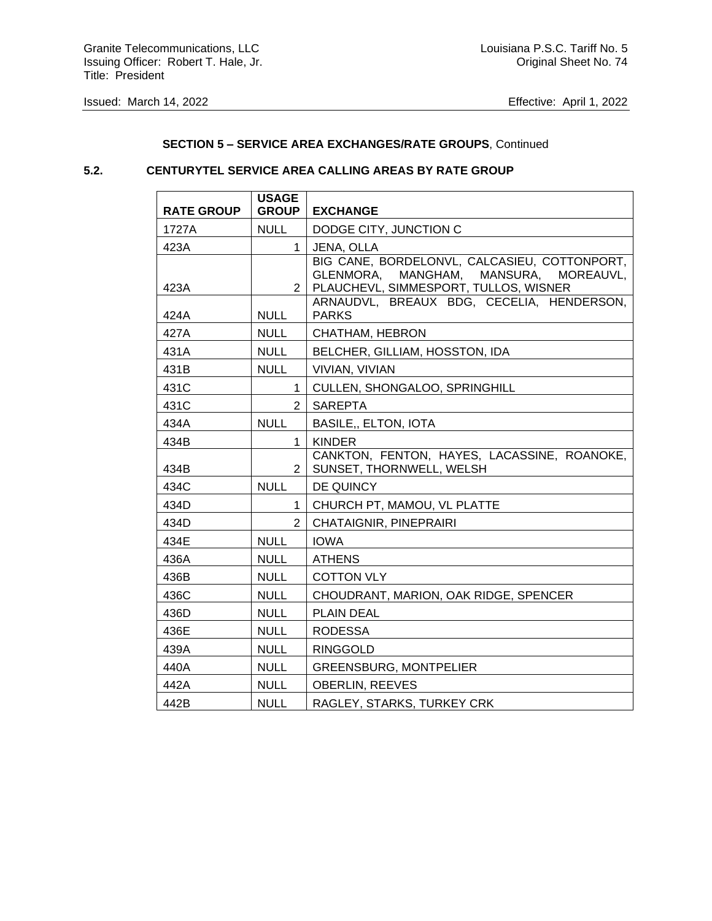## **SECTION 5 – SERVICE AREA EXCHANGES/RATE GROUPS**, Continued

## **5.2. CENTURYTEL SERVICE AREA CALLING AREAS BY RATE GROUP**

| <b>RATE GROUP</b> | <b>USAGE</b><br><b>GROUP</b> | <b>EXCHANGE</b>                                                                                                                         |
|-------------------|------------------------------|-----------------------------------------------------------------------------------------------------------------------------------------|
| 1727A             | <b>NULL</b>                  | DODGE CITY, JUNCTION C                                                                                                                  |
| 423A              | $\mathbf{1}$                 | JENA, OLLA                                                                                                                              |
| 423A              | $\overline{2}$               | BIG CANE, BORDELONVL, CALCASIEU, COTTONPORT,<br>GLENMORA,<br>MANGHAM,<br>MANSURA,<br>MOREAUVL,<br>PLAUCHEVL, SIMMESPORT, TULLOS, WISNER |
| 424A              | <b>NULL</b>                  | ARNAUDVL, BREAUX BDG, CECELIA, HENDERSON,<br><b>PARKS</b>                                                                               |
| 427A              | <b>NULL</b>                  | CHATHAM, HEBRON                                                                                                                         |
| 431A              | <b>NULL</b>                  | BELCHER, GILLIAM, HOSSTON, IDA                                                                                                          |
| 431B              | <b>NULL</b>                  | VIVIAN, VIVIAN                                                                                                                          |
| 431C              | $\mathbf 1$                  | CULLEN, SHONGALOO, SPRINGHILL                                                                                                           |
| 431C              | $\overline{2}$               | <b>SAREPTA</b>                                                                                                                          |
| 434A              | <b>NULL</b>                  | <b>BASILE,, ELTON, IOTA</b>                                                                                                             |
| 434B              | $\mathbf 1$                  | <b>KINDER</b>                                                                                                                           |
| 434B              | 2                            | CANKTON, FENTON, HAYES, LACASSINE, ROANOKE,<br>SUNSET, THORNWELL, WELSH                                                                 |
| 434C              | <b>NULL</b>                  | DE QUINCY                                                                                                                               |
| 434D              | 1                            | CHURCH PT, MAMOU, VL PLATTE                                                                                                             |
| 434D              | $\mathcal{P}$                | <b>CHATAIGNIR, PINEPRAIRI</b>                                                                                                           |
| 434E              | <b>NULL</b>                  | <b>IOWA</b>                                                                                                                             |
| 436A              | <b>NULL</b>                  | <b>ATHENS</b>                                                                                                                           |
| 436B              | <b>NULL</b>                  | <b>COTTON VLY</b>                                                                                                                       |
| 436C              | <b>NULL</b>                  | CHOUDRANT, MARION, OAK RIDGE, SPENCER                                                                                                   |
| 436D              | <b>NULL</b>                  | <b>PLAIN DEAL</b>                                                                                                                       |
| 436E              | <b>NULL</b>                  | <b>RODESSA</b>                                                                                                                          |
| 439A              | <b>NULL</b>                  | <b>RINGGOLD</b>                                                                                                                         |
| 440A              | <b>NULL</b>                  | <b>GREENSBURG, MONTPELIER</b>                                                                                                           |
| 442A              | <b>NULL</b>                  | <b>OBERLIN, REEVES</b>                                                                                                                  |
| 442B              | <b>NULL</b>                  | RAGLEY, STARKS, TURKEY CRK                                                                                                              |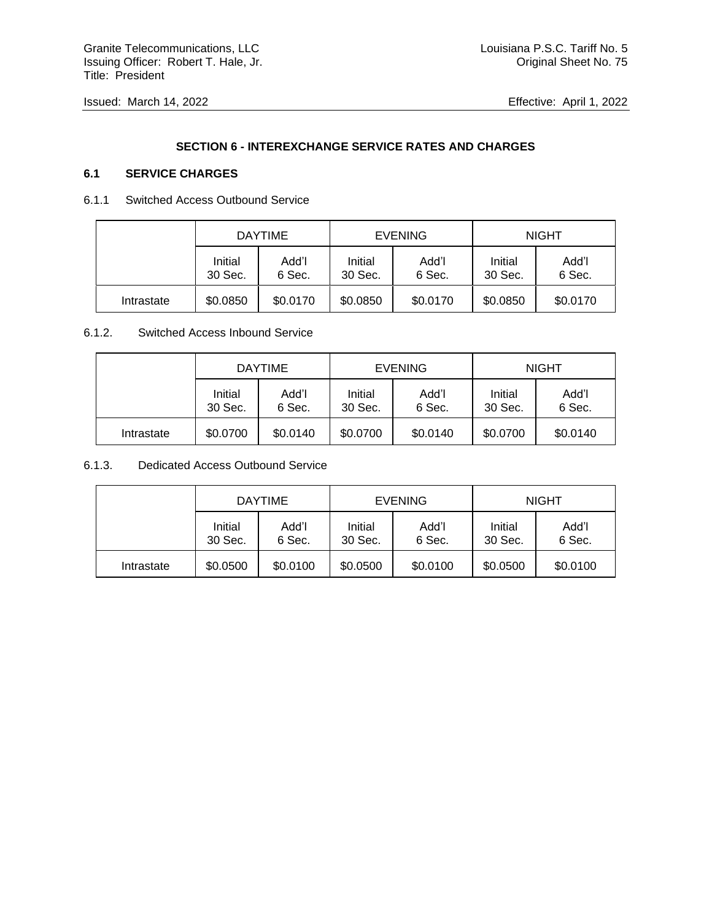# **SECTION 6 - INTEREXCHANGE SERVICE RATES AND CHARGES**

# **6.1 SERVICE CHARGES**

## 6.1.1 Switched Access Outbound Service

|            | <b>DAYTIME</b>     |                 | <b>EVENING</b>     |                 | <b>NIGHT</b>       |                 |
|------------|--------------------|-----------------|--------------------|-----------------|--------------------|-----------------|
|            | Initial<br>30 Sec. | Add'l<br>6 Sec. | Initial<br>30 Sec. | Add'l<br>6 Sec. | Initial<br>30 Sec. | Add'l<br>6 Sec. |
| Intrastate | \$0.0850           | \$0.0170        | \$0.0850           | \$0.0170        | \$0.0850           | \$0.0170        |

## 6.1.2. Switched Access Inbound Service

|            | <b>DAYTIME</b>     |                 | <b>EVENING</b>     |                 | <b>NIGHT</b>       |                 |
|------------|--------------------|-----------------|--------------------|-----------------|--------------------|-----------------|
|            | Initial<br>30 Sec. | Add'l<br>6 Sec. | Initial<br>30 Sec. | Add'l<br>6 Sec. | Initial<br>30 Sec. | Add'l<br>6 Sec. |
| Intrastate | \$0.0700           | \$0.0140        | \$0.0700           | \$0.0140        | \$0.0700           | \$0.0140        |

## 6.1.3. Dedicated Access Outbound Service

|            | <b>DAYTIME</b>     |                 | <b>EVENING</b>     |                 | <b>NIGHT</b>       |                 |
|------------|--------------------|-----------------|--------------------|-----------------|--------------------|-----------------|
|            | Initial<br>30 Sec. | Add'l<br>6 Sec. | Initial<br>30 Sec. | Add'l<br>6 Sec. | Initial<br>30 Sec. | Add'l<br>6 Sec. |
| Intrastate | \$0.0500           | \$0.0100        | \$0.0500           | \$0.0100        | \$0.0500           | \$0.0100        |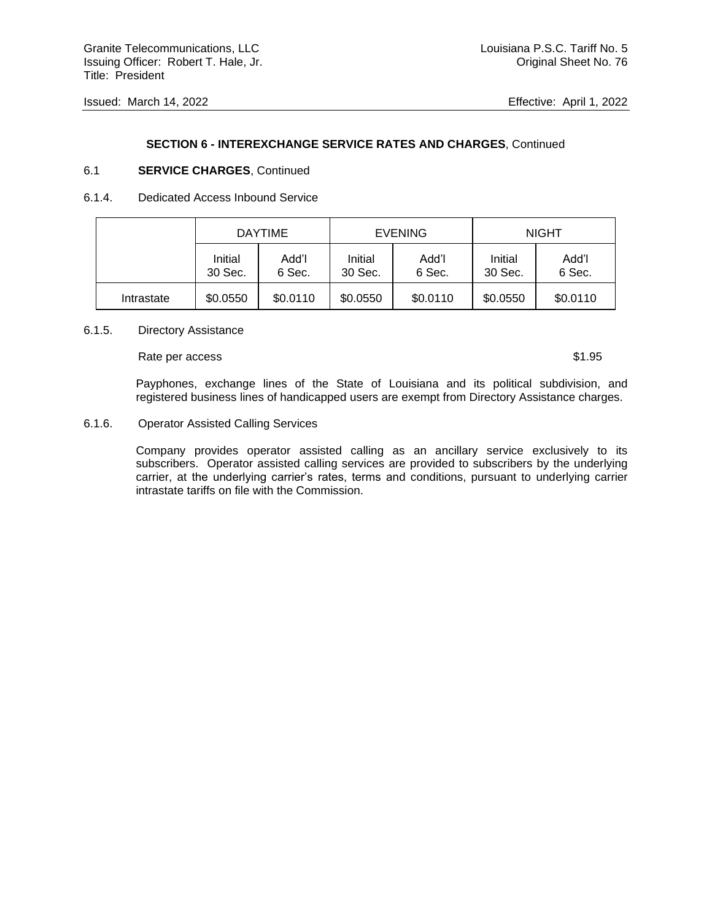#### **SECTION 6 - INTEREXCHANGE SERVICE RATES AND CHARGES**, Continued

#### 6.1 **SERVICE CHARGES**, Continued

#### 6.1.4. Dedicated Access Inbound Service

|            | <b>DAYTIME</b>     |                 | <b>EVENING</b>     |                 | <b>NIGHT</b>       |                 |
|------------|--------------------|-----------------|--------------------|-----------------|--------------------|-----------------|
|            | Initial<br>30 Sec. | Add'l<br>6 Sec. | Initial<br>30 Sec. | Add'l<br>6 Sec. | Initial<br>30 Sec. | Add'l<br>6 Sec. |
| Intrastate | \$0.0550           | \$0.0110        | \$0.0550           | \$0.0110        | \$0.0550           | \$0.0110        |

#### 6.1.5. Directory Assistance

#### Rate per access  $$1.95$

Payphones, exchange lines of the State of Louisiana and its political subdivision, and registered business lines of handicapped users are exempt from Directory Assistance charges.

#### 6.1.6. Operator Assisted Calling Services

Company provides operator assisted calling as an ancillary service exclusively to its subscribers. Operator assisted calling services are provided to subscribers by the underlying carrier, at the underlying carrier's rates, terms and conditions, pursuant to underlying carrier intrastate tariffs on file with the Commission.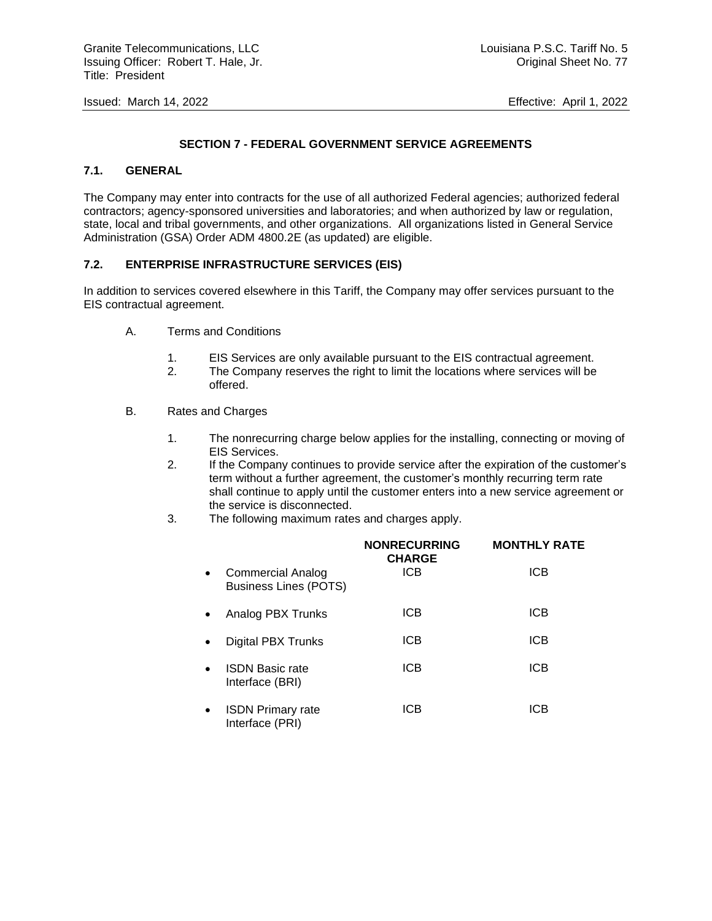# **SECTION 7 - FEDERAL GOVERNMENT SERVICE AGREEMENTS**

## **7.1. GENERAL**

The Company may enter into contracts for the use of all authorized Federal agencies; authorized federal contractors; agency-sponsored universities and laboratories; and when authorized by law or regulation, state, local and tribal governments, and other organizations. All organizations listed in General Service Administration (GSA) Order ADM 4800.2E (as updated) are eligible.

#### **7.2. ENTERPRISE INFRASTRUCTURE SERVICES (EIS)**

In addition to services covered elsewhere in this Tariff, the Company may offer services pursuant to the EIS contractual agreement.

- A. Terms and Conditions
	- 1. EIS Services are only available pursuant to the EIS contractual agreement.
	- 2. The Company reserves the right to limit the locations where services will be offered.
- B. Rates and Charges
	- 1. The nonrecurring charge below applies for the installing, connecting or moving of EIS Services.
	- 2. If the Company continues to provide service after the expiration of the customer's term without a further agreement, the customer's monthly recurring term rate shall continue to apply until the customer enters into a new service agreement or the service is disconnected.
	- 3. The following maximum rates and charges apply.

|           |                                                          | <b>NONRECURRING</b><br><b>CHARGE</b> | <b>MONTHLY RATE</b> |
|-----------|----------------------------------------------------------|--------------------------------------|---------------------|
| $\bullet$ | <b>Commercial Analog</b><br><b>Business Lines (POTS)</b> | <b>ICB</b>                           | <b>ICB</b>          |
|           | Analog PBX Trunks                                        | <b>ICB</b>                           | <b>ICB</b>          |
|           | <b>Digital PBX Trunks</b>                                | <b>ICB</b>                           | <b>ICB</b>          |
|           | <b>ISDN Basic rate</b><br>Interface (BRI)                | <b>ICB</b>                           | <b>ICB</b>          |
|           | <b>ISDN Primary rate</b><br>Interface (PRI)              | ICB                                  | <b>ICB</b>          |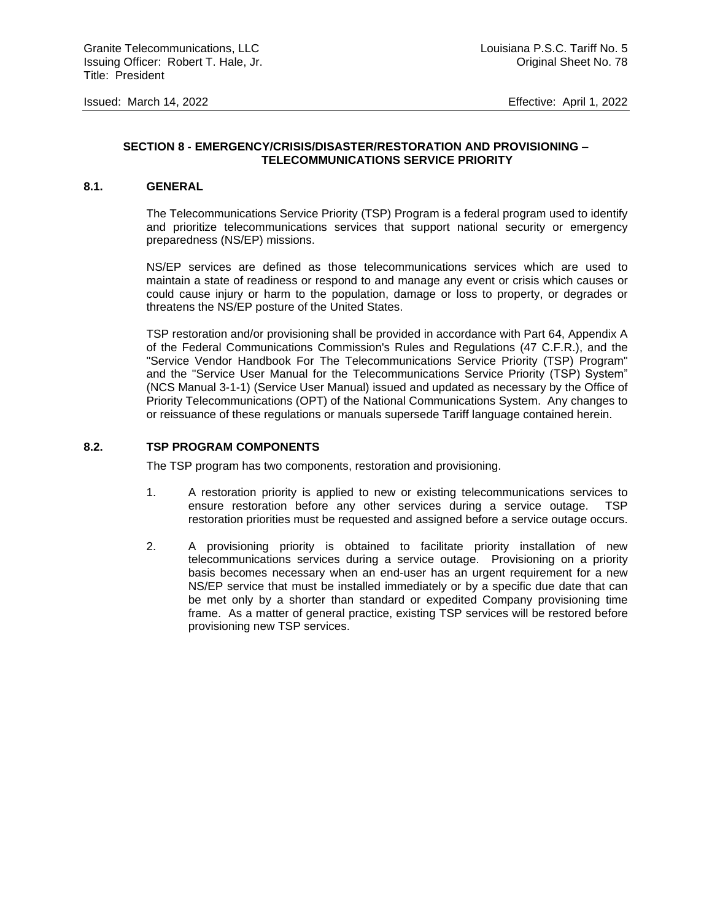## **SECTION 8 - EMERGENCY/CRISIS/DISASTER/RESTORATION AND PROVISIONING – TELECOMMUNICATIONS SERVICE PRIORITY**

## **8.1. GENERAL**

The Telecommunications Service Priority (TSP) Program is a federal program used to identify and prioritize telecommunications services that support national security or emergency preparedness (NS/EP) missions.

NS/EP services are defined as those telecommunications services which are used to maintain a state of readiness or respond to and manage any event or crisis which causes or could cause injury or harm to the population, damage or loss to property, or degrades or threatens the NS/EP posture of the United States.

TSP restoration and/or provisioning shall be provided in accordance with Part 64, Appendix A of the Federal Communications Commission's Rules and Regulations (47 C.F.R.), and the "Service Vendor Handbook For The Telecommunications Service Priority (TSP) Program" and the "Service User Manual for the Telecommunications Service Priority (TSP) System" (NCS Manual 3-1-1) (Service User Manual) issued and updated as necessary by the Office of Priority Telecommunications (OPT) of the National Communications System. Any changes to or reissuance of these regulations or manuals supersede Tariff language contained herein.

#### **8.2. TSP PROGRAM COMPONENTS**

The TSP program has two components, restoration and provisioning.

- 1. A restoration priority is applied to new or existing telecommunications services to ensure restoration before any other services during a service outage. TSP restoration priorities must be requested and assigned before a service outage occurs.
- 2. A provisioning priority is obtained to facilitate priority installation of new telecommunications services during a service outage. Provisioning on a priority basis becomes necessary when an end-user has an urgent requirement for a new NS/EP service that must be installed immediately or by a specific due date that can be met only by a shorter than standard or expedited Company provisioning time frame. As a matter of general practice, existing TSP services will be restored before provisioning new TSP services.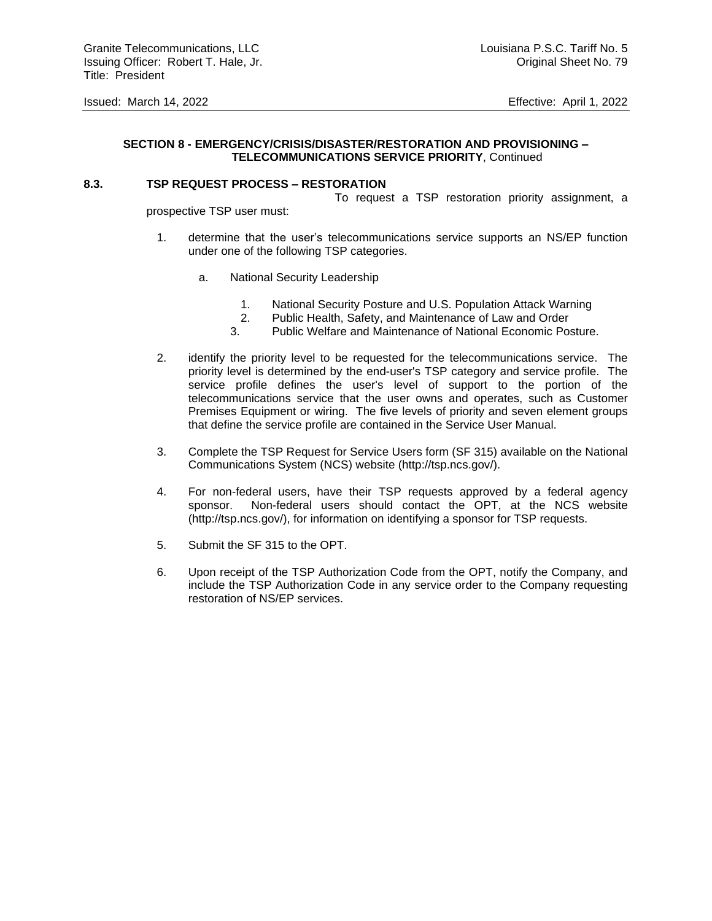## **SECTION 8 - EMERGENCY/CRISIS/DISASTER/RESTORATION AND PROVISIONING – TELECOMMUNICATIONS SERVICE PRIORITY**, Continued

#### **8.3. TSP REQUEST PROCESS – RESTORATION**

To request a TSP restoration priority assignment, a

prospective TSP user must:

- 1. determine that the user's telecommunications service supports an NS/EP function under one of the following TSP categories.
	- a. National Security Leadership
		- 1. National Security Posture and U.S. Population Attack Warning
		- 2. Public Health, Safety, and Maintenance of Law and Order
		- 3. Public Welfare and Maintenance of National Economic Posture.
- 2. identify the priority level to be requested for the telecommunications service. The priority level is determined by the end-user's TSP category and service profile. The service profile defines the user's level of support to the portion of the telecommunications service that the user owns and operates, such as Customer Premises Equipment or wiring. The five levels of priority and seven element groups that define the service profile are contained in the Service User Manual.
- 3. Complete the TSP Request for Service Users form (SF 315) available on the National Communications System (NCS) website (http://tsp.ncs.gov/).
- 4. For non-federal users, have their TSP requests approved by a federal agency sponsor. Non-federal users should contact the OPT, at the NCS website (http://tsp.ncs.gov/), for information on identifying a sponsor for TSP requests.
- 5. Submit the SF 315 to the OPT.
- 6. Upon receipt of the TSP Authorization Code from the OPT, notify the Company, and include the TSP Authorization Code in any service order to the Company requesting restoration of NS/EP services.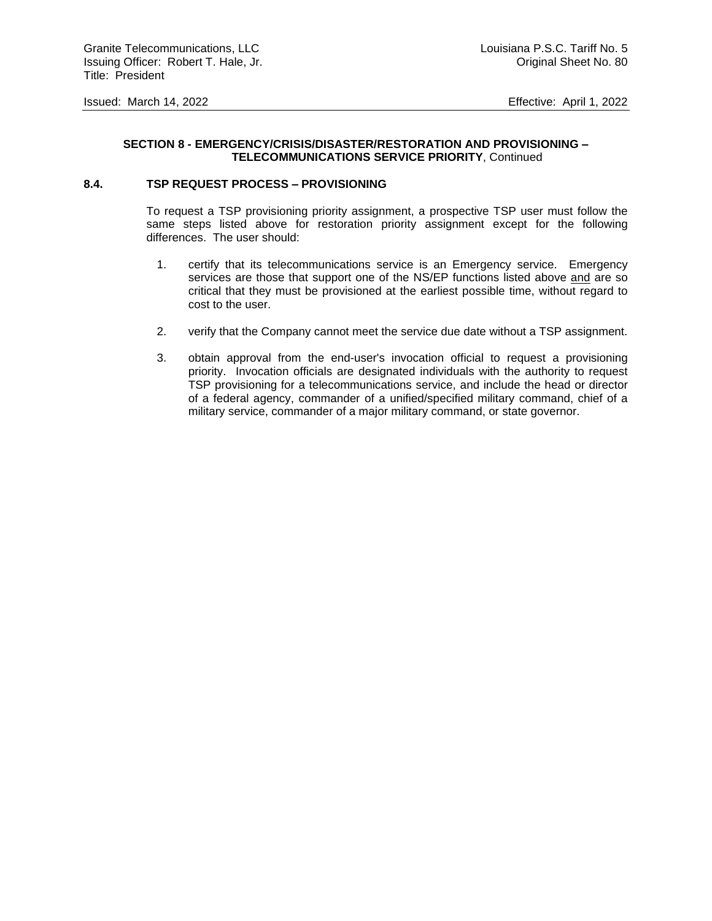## **SECTION 8 - EMERGENCY/CRISIS/DISASTER/RESTORATION AND PROVISIONING – TELECOMMUNICATIONS SERVICE PRIORITY**, Continued

#### **8.4. TSP REQUEST PROCESS – PROVISIONING**

To request a TSP provisioning priority assignment, a prospective TSP user must follow the same steps listed above for restoration priority assignment except for the following differences. The user should:

- 1. certify that its telecommunications service is an Emergency service. Emergency services are those that support one of the NS/EP functions listed above and are so critical that they must be provisioned at the earliest possible time, without regard to cost to the user.
- 2. verify that the Company cannot meet the service due date without a TSP assignment.
- 3. obtain approval from the end-user's invocation official to request a provisioning priority. Invocation officials are designated individuals with the authority to request TSP provisioning for a telecommunications service, and include the head or director of a federal agency, commander of a unified/specified military command, chief of a military service, commander of a major military command, or state governor.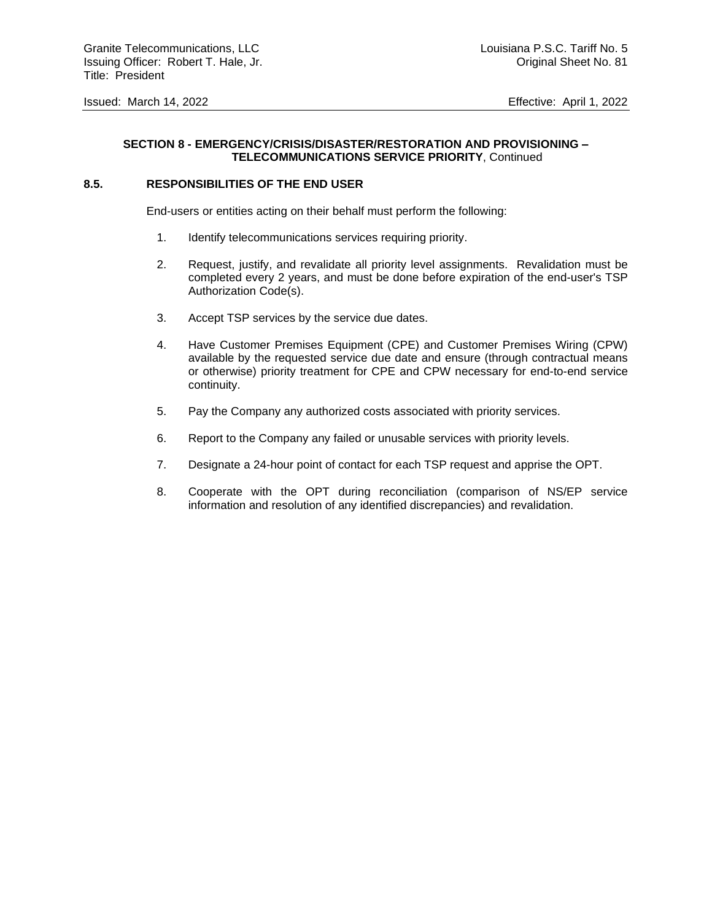# **SECTION 8 - EMERGENCY/CRISIS/DISASTER/RESTORATION AND PROVISIONING – TELECOMMUNICATIONS SERVICE PRIORITY**, Continued

#### **8.5. RESPONSIBILITIES OF THE END USER**

End-users or entities acting on their behalf must perform the following:

- 1. Identify telecommunications services requiring priority.
- 2. Request, justify, and revalidate all priority level assignments. Revalidation must be completed every 2 years, and must be done before expiration of the end-user's TSP Authorization Code(s).
- 3. Accept TSP services by the service due dates.
- 4. Have Customer Premises Equipment (CPE) and Customer Premises Wiring (CPW) available by the requested service due date and ensure (through contractual means or otherwise) priority treatment for CPE and CPW necessary for end-to-end service continuity.
- 5. Pay the Company any authorized costs associated with priority services.
- 6. Report to the Company any failed or unusable services with priority levels.
- 7. Designate a 24-hour point of contact for each TSP request and apprise the OPT.
- 8. Cooperate with the OPT during reconciliation (comparison of NS/EP service information and resolution of any identified discrepancies) and revalidation.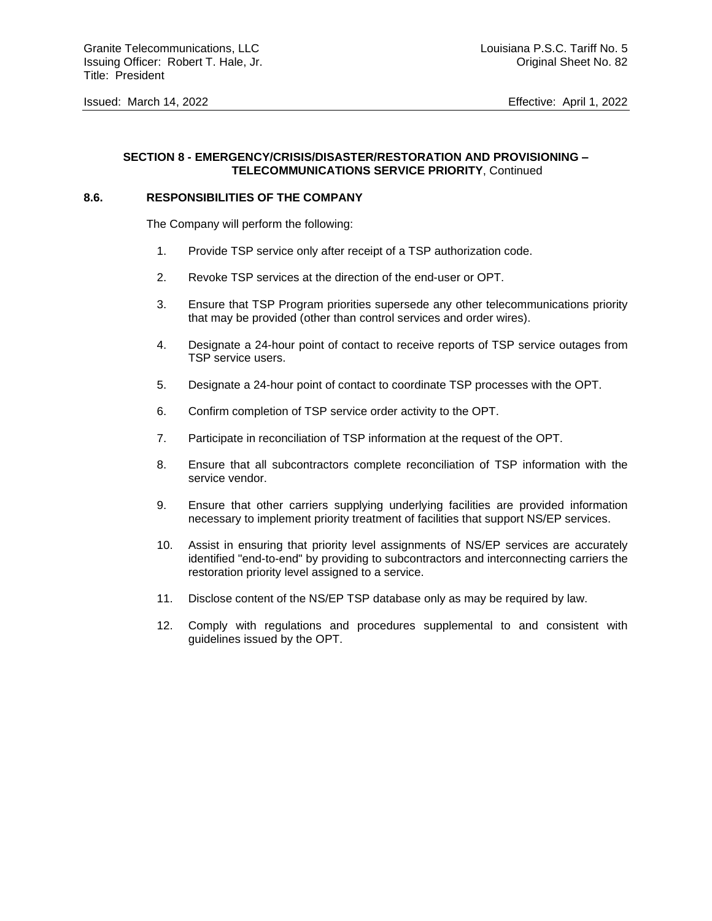## **SECTION 8 - EMERGENCY/CRISIS/DISASTER/RESTORATION AND PROVISIONING – TELECOMMUNICATIONS SERVICE PRIORITY**, Continued

#### **8.6. RESPONSIBILITIES OF THE COMPANY**

The Company will perform the following:

- 1. Provide TSP service only after receipt of a TSP authorization code.
- 2. Revoke TSP services at the direction of the end-user or OPT.
- 3. Ensure that TSP Program priorities supersede any other telecommunications priority that may be provided (other than control services and order wires).
- 4. Designate a 24-hour point of contact to receive reports of TSP service outages from TSP service users.
- 5. Designate a 24-hour point of contact to coordinate TSP processes with the OPT.
- 6. Confirm completion of TSP service order activity to the OPT.
- 7. Participate in reconciliation of TSP information at the request of the OPT.
- 8. Ensure that all subcontractors complete reconciliation of TSP information with the service vendor.
- 9. Ensure that other carriers supplying underlying facilities are provided information necessary to implement priority treatment of facilities that support NS/EP services.
- 10. Assist in ensuring that priority level assignments of NS/EP services are accurately identified "end-to-end" by providing to subcontractors and interconnecting carriers the restoration priority level assigned to a service.
- 11. Disclose content of the NS/EP TSP database only as may be required by law.
- 12. Comply with regulations and procedures supplemental to and consistent with guidelines issued by the OPT.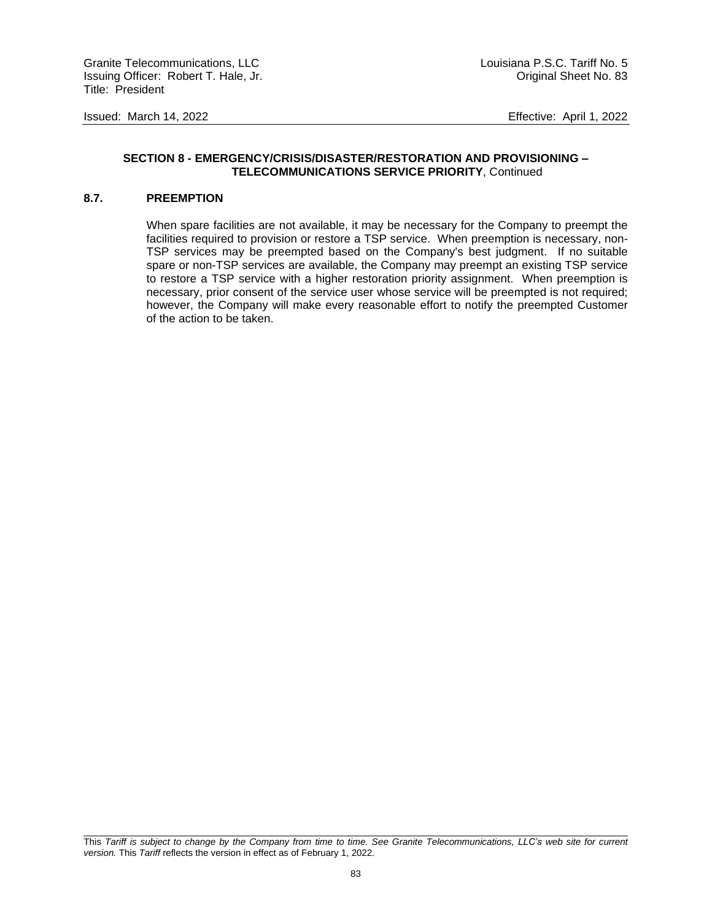#### **SECTION 8 - EMERGENCY/CRISIS/DISASTER/RESTORATION AND PROVISIONING – TELECOMMUNICATIONS SERVICE PRIORITY**, Continued

## **8.7. PREEMPTION**

When spare facilities are not available, it may be necessary for the Company to preempt the facilities required to provision or restore a TSP service. When preemption is necessary, non-TSP services may be preempted based on the Company's best judgment. If no suitable spare or non-TSP services are available, the Company may preempt an existing TSP service to restore a TSP service with a higher restoration priority assignment. When preemption is necessary, prior consent of the service user whose service will be preempted is not required; however, the Company will make every reasonable effort to notify the preempted Customer of the action to be taken.

This *Tariff is subject to change by the Company from time to time. See Granite Telecommunications, LLC's web site for current version.* This *Tariff* reflects the version in effect as of February 1, 2022.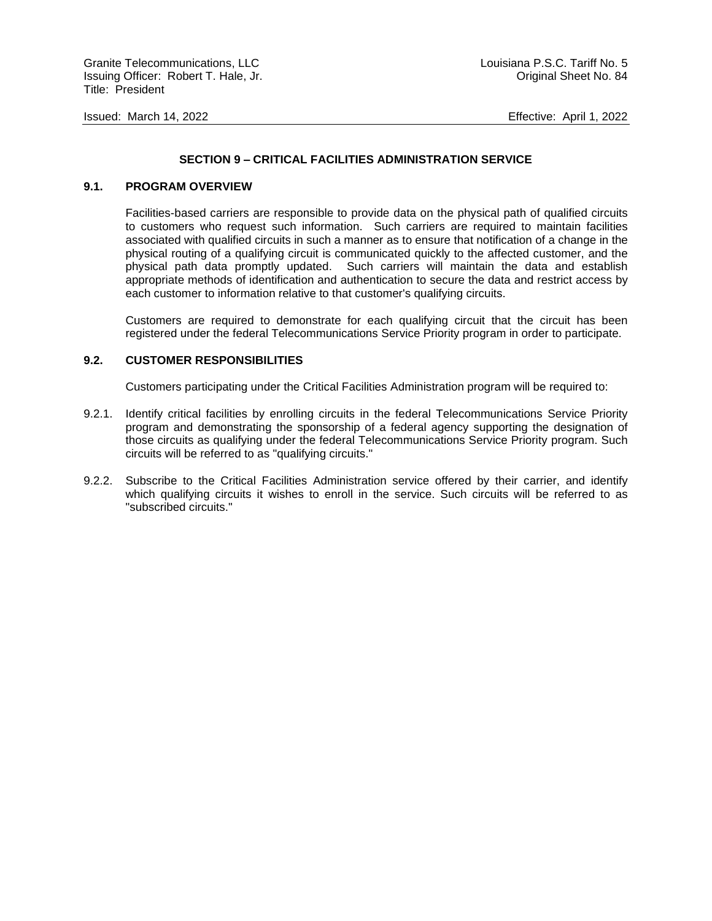## **SECTION 9 – CRITICAL FACILITIES ADMINISTRATION SERVICE**

#### **9.1. PROGRAM OVERVIEW**

Facilities-based carriers are responsible to provide data on the physical path of qualified circuits to customers who request such information. Such carriers are required to maintain facilities associated with qualified circuits in such a manner as to ensure that notification of a change in the physical routing of a qualifying circuit is communicated quickly to the affected customer, and the physical path data promptly updated. Such carriers will maintain the data and establish appropriate methods of identification and authentication to secure the data and restrict access by each customer to information relative to that customer's qualifying circuits.

Customers are required to demonstrate for each qualifying circuit that the circuit has been registered under the federal Telecommunications Service Priority program in order to participate.

#### **9.2. CUSTOMER RESPONSIBILITIES**

Customers participating under the Critical Facilities Administration program will be required to:

- 9.2.1. Identify critical facilities by enrolling circuits in the federal Telecommunications Service Priority program and demonstrating the sponsorship of a federal agency supporting the designation of those circuits as qualifying under the federal Telecommunications Service Priority program. Such circuits will be referred to as "qualifying circuits."
- 9.2.2. Subscribe to the Critical Facilities Administration service offered by their carrier, and identify which qualifying circuits it wishes to enroll in the service. Such circuits will be referred to as "subscribed circuits."